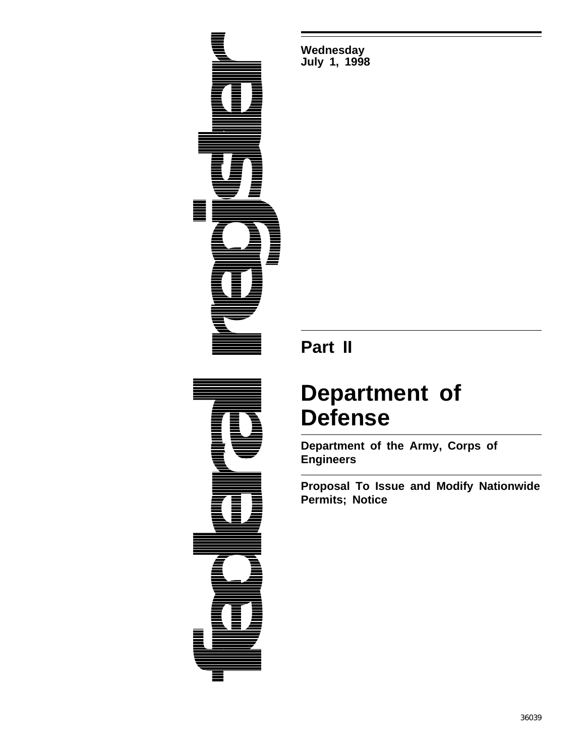

**Wednesday July 1, 1998**

# **Part II**

# **Department of Defense**

**Department of the Army, Corps of Engineers**

**Proposal To Issue and Modify Nationwide Permits; Notice**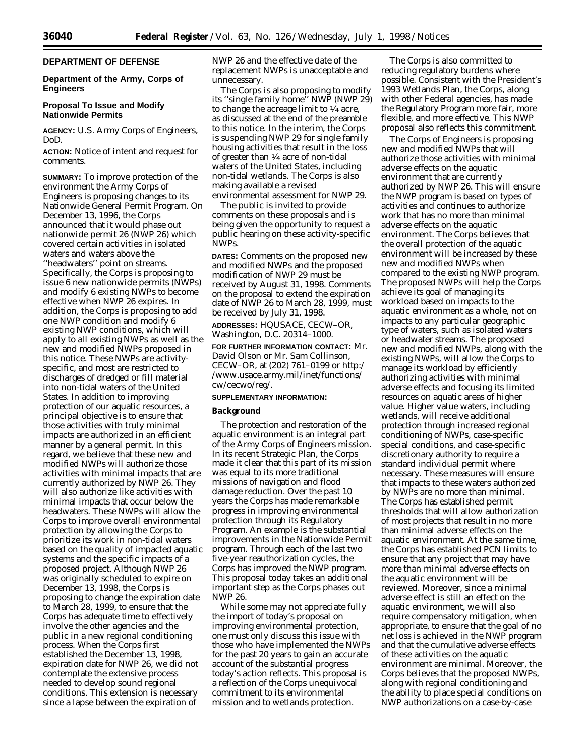# **DEPARTMENT OF DEFENSE**

# **Department of the Army, Corps of Engineers**

# **Proposal To Issue and Modify Nationwide Permits**

**AGENCY:** U.S. Army Corps of Engineers, DoD.

**ACTION:** Notice of intent and request for comments.

**SUMMARY:** To improve protection of the environment the Army Corps of Engineers is proposing changes to its Nationwide General Permit Program. On December 13, 1996, the Corps announced that it would phase out nationwide permit 26 (NWP 26) which covered certain activities in isolated waters and waters above the ''headwaters'' point on streams. Specifically, the Corps is proposing to issue 6 new nationwide permits (NWPs) and modify 6 existing NWPs to become effective when NWP 26 expires. In addition, the Corps is proposing to add one NWP condition and modify 6 existing NWP conditions, which will apply to all existing NWPs as well as the new and modified NWPs proposed in this notice. These NWPs are activityspecific, and most are restricted to discharges of dredged or fill material into non-tidal waters of the United States. In addition to improving protection of our aquatic resources, a principal objective is to ensure that those activities with truly minimal impacts are authorized in an efficient manner by a general permit. In this regard, we believe that these new and modified NWPs will authorize those activities with minimal impacts that are currently authorized by NWP 26. They will also authorize like activities with minimal impacts that occur below the headwaters. These NWPs will allow the Corps to improve overall environmental protection by allowing the Corps to prioritize its work in non-tidal waters based on the quality of impacted aquatic systems and the specific impacts of a proposed project. Although NWP 26 was originally scheduled to expire on December 13, 1998, the Corps is proposing to change the expiration date to March 28, 1999, to ensure that the Corps has adequate time to effectively involve the other agencies and the public in a new regional conditioning process. When the Corps first established the December 13, 1998, expiration date for NWP 26, we did not contemplate the extensive process needed to develop sound regional conditions. This extension is necessary since a lapse between the expiration of

NWP 26 and the effective date of the replacement NWPs is unacceptable and unnecessary.

The Corps is also proposing to modify its ''single family home'' NWP (NWP 29) to change the acreage limit to  $\frac{1}{4}$  acre, as discussed at the end of the preamble to this notice. In the interim, the Corps is suspending NWP 29 for single family housing activities that result in the loss of greater than 1⁄4 acre of non-tidal waters of the United States, including non-tidal wetlands. The Corps is also making available a revised environmental assessment for NWP 29.

The public is invited to provide comments on these proposals and is being given the opportunity to request a public hearing on these activity-specific NWPs.

**DATES:** Comments on the proposed new and modified NWPs and the proposed modification of NWP 29 must be received by August 31, 1998. Comments on the proposal to extend the expiration date of NWP 26 to March 28, 1999, must be received by July 31, 1998.

**ADDRESSES:** HQUSACE, CECW–OR, Washington, D.C. 20314–1000.

**FOR FURTHER INFORMATION CONTACT:** Mr. David Olson or Mr. Sam Collinson, CECW–OR, at (202) 761–0199 or http:/ /www.usace.army.mil/inet/functions/ cw/cecwo/reg/.

# **SUPPLEMENTARY INFORMATION:**

# **Background**

The protection and restoration of the aquatic environment is an integral part of the Army Corps of Engineers mission. In its recent Strategic Plan, the Corps made it clear that this part of its mission was equal to its more traditional missions of navigation and flood damage reduction. Over the past 10 years the Corps has made remarkable progress in improving environmental protection through its Regulatory Program. An example is the substantial improvements in the Nationwide Permit program. Through each of the last two five-year reauthorization cycles, the Corps has improved the NWP program. This proposal today takes an additional important step as the Corps phases out NWP 26.

While some may not appreciate fully the import of today's proposal on improving environmental protection, one must only discuss this issue with those who have implemented the NWPs for the past 20 years to gain an accurate account of the substantial progress today's action reflects. This proposal is a reflection of the Corps unequivocal commitment to its environmental mission and to wetlands protection.

The Corps is also committed to reducing regulatory burdens where possible. Consistent with the President's 1993 Wetlands Plan, the Corps, along with other Federal agencies, has made the Regulatory Program more fair, more flexible, and more effective. This NWP proposal also reflects this commitment.

The Corps of Engineers is proposing new and modified NWPs that will authorize those activities with minimal adverse effects on the aquatic environment that are currently authorized by NWP 26. This will ensure the NWP program is based on types of activities and continues to authorize work that has no more than minimal adverse effects on the aquatic environment. The Corps believes that the overall protection of the aquatic environment will be increased by these new and modified NWPs when compared to the existing NWP program. The proposed NWPs will help the Corps achieve its goal of managing its workload based on impacts to the aquatic environment as a whole, not on impacts to any particular geographic type of waters, such as isolated waters or headwater streams. The proposed new and modified NWPs, along with the existing NWPs, will allow the Corps to manage its workload by efficiently authorizing activities with minimal adverse effects and focusing its limited resources on aquatic areas of higher value. Higher value waters, including wetlands, will receive additional protection through increased regional conditioning of NWPs, case-specific special conditions, and case-specific discretionary authority to require a standard individual permit where necessary. These measures will ensure that impacts to these waters authorized by NWPs are no more than minimal. The Corps has established permit thresholds that will allow authorization of most projects that result in no more than minimal adverse effects on the aquatic environment. At the same time, the Corps has established PCN limits to ensure that any project that may have more than minimal adverse effects on the aquatic environment will be reviewed. Moreover, since a minimal adverse effect is still an effect on the aquatic environment, we will also require compensatory mitigation, when appropriate, to ensure that the goal of no net loss is achieved in the NWP program and that the cumulative adverse effects of these activities on the aquatic environment are minimal. Moreover, the Corps believes that the proposed NWPs, along with regional conditioning and the ability to place special conditions on NWP authorizations on a case-by-case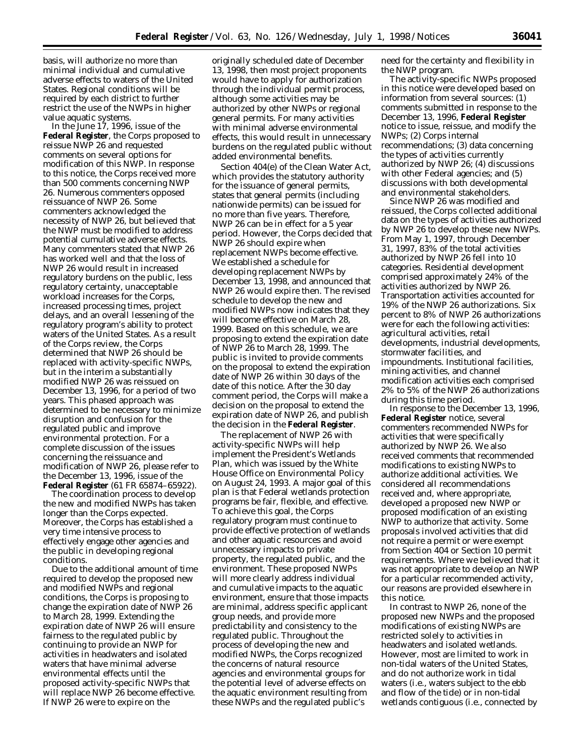basis, will authorize no more than minimal individual and cumulative adverse effects to waters of the United States. Regional conditions will be required by each district to further restrict the use of the NWPs in higher value aquatic systems.

In the June 17, 1996, issue of the **Federal Register**, the Corps proposed to reissue NWP 26 and requested comments on several options for modification of this NWP. In response to this notice, the Corps received more than 500 comments concerning NWP 26. Numerous commenters opposed reissuance of NWP 26. Some commenters acknowledged the necessity of NWP 26, but believed that the NWP must be modified to address potential cumulative adverse effects. Many commenters stated that NWP 26 has worked well and that the loss of NWP 26 would result in increased regulatory burdens on the public, less regulatory certainty, unacceptable workload increases for the Corps, increased processing times, project delays, and an overall lessening of the regulatory program's ability to protect waters of the United States. As a result of the Corps review, the Corps determined that NWP 26 should be replaced with activity-specific NWPs, but in the interim a substantially modified NWP 26 was reissued on December 13, 1996, for a period of two years. This phased approach was determined to be necessary to minimize disruption and confusion for the regulated public and improve environmental protection. For a complete discussion of the issues concerning the reissuance and modification of NWP 26, please refer to the December 13, 1996, issue of the **Federal Register** (61 FR 65874–65922).

The coordination process to develop the new and modified NWPs has taken longer than the Corps expected. Moreover, the Corps has established a very time intensive process to effectively engage other agencies and the public in developing regional conditions.

Due to the additional amount of time required to develop the proposed new and modified NWPs and regional conditions, the Corps is proposing to change the expiration date of NWP 26 to March 28, 1999. Extending the expiration date of NWP 26 will ensure fairness to the regulated public by continuing to provide an NWP for activities in headwaters and isolated waters that have minimal adverse environmental effects until the proposed activity-specific NWPs that will replace NWP 26 become effective. If NWP 26 were to expire on the

originally scheduled date of December 13, 1998, then most project proponents would have to apply for authorization through the individual permit process, although some activities may be authorized by other NWPs or regional general permits. For many activities with minimal adverse environmental effects, this would result in unnecessary burdens on the regulated public without added environmental benefits.

Section 404(e) of the Clean Water Act, which provides the statutory authority for the issuance of general permits, states that general permits (including nationwide permits) can be issued for no more than five years. Therefore, NWP 26 can be in effect for a 5 year period. However, the Corps decided that NWP 26 should expire when replacement NWPs become effective. We established a schedule for developing replacement NWPs by December 13, 1998, and announced that NWP 26 would expire then. The revised schedule to develop the new and modified NWPs now indicates that they will become effective on March 28, 1999. Based on this schedule, we are proposing to extend the expiration date of NWP 26 to March 28, 1999. The public is invited to provide comments on the proposal to extend the expiration date of NWP 26 within 30 days of the date of this notice. After the 30 day comment period, the Corps will make a decision on the proposal to extend the expiration date of NWP 26, and publish the decision in the **Federal Register**.

The replacement of NWP 26 with activity-specific NWPs will help implement the President's Wetlands Plan, which was issued by the White House Office on Environmental Policy on August 24, 1993. A major goal of this plan is that Federal wetlands protection programs be fair, flexible, and effective. To achieve this goal, the Corps regulatory program must continue to provide effective protection of wetlands and other aquatic resources and avoid unnecessary impacts to private property, the regulated public, and the environment. These proposed NWPs will more clearly address individual and cumulative impacts to the aquatic environment, ensure that those impacts are minimal, address specific applicant group needs, and provide more predictability and consistency to the regulated public. Throughout the process of developing the new and modified NWPs, the Corps recognized the concerns of natural resource agencies and environmental groups for the potential level of adverse effects on the aquatic environment resulting from these NWPs and the regulated public's

need for the certainty and flexibility in the NWP program.

The activity-specific NWPs proposed in this notice were developed based on information from several sources: (1) comments submitted in response to the December 13, 1996, **Federal Register** notice to issue, reissue, and modify the NWPs; (2) Corps internal recommendations; (3) data concerning the types of activities currently authorized by NWP 26; (4) discussions with other Federal agencies; and (5) discussions with both developmental and environmental stakeholders.

Since NWP 26 was modified and reissued, the Corps collected additional data on the types of activities authorized by NWP 26 to develop these new NWPs. From May 1, 1997, through December 31, 1997, 83% of the total activities authorized by NWP 26 fell into 10 categories. Residential development comprised approximately 24% of the activities authorized by NWP 26. Transportation activities accounted for 19% of the NWP 26 authorizations. Six percent to 8% of NWP 26 authorizations were for each the following activities: agricultural activities, retail developments, industrial developments, stormwater facilities, and impoundments. Institutional facilities, mining activities, and channel modification activities each comprised 2% to 5% of the NWP 26 authorizations during this time period.

In response to the December 13, 1996, **Federal Register** notice, several commenters recommended NWPs for activities that were specifically authorized by NWP 26. We also received comments that recommended modifications to existing NWPs to authorize additional activities. We considered all recommendations received and, where appropriate, developed a proposed new NWP or proposed modification of an existing NWP to authorize that activity. Some proposals involved activities that did not require a permit or were exempt from Section 404 or Section 10 permit requirements. Where we believed that it was not appropriate to develop an NWP for a particular recommended activity, our reasons are provided elsewhere in this notice.

In contrast to NWP 26, none of the proposed new NWPs and the proposed modifications of existing NWPs are restricted solely to activities in headwaters and isolated wetlands. However, most are limited to work in non-tidal waters of the United States, and do not authorize work in tidal waters (i.e., waters subject to the ebb and flow of the tide) or in non-tidal wetlands contiguous (i.e., connected by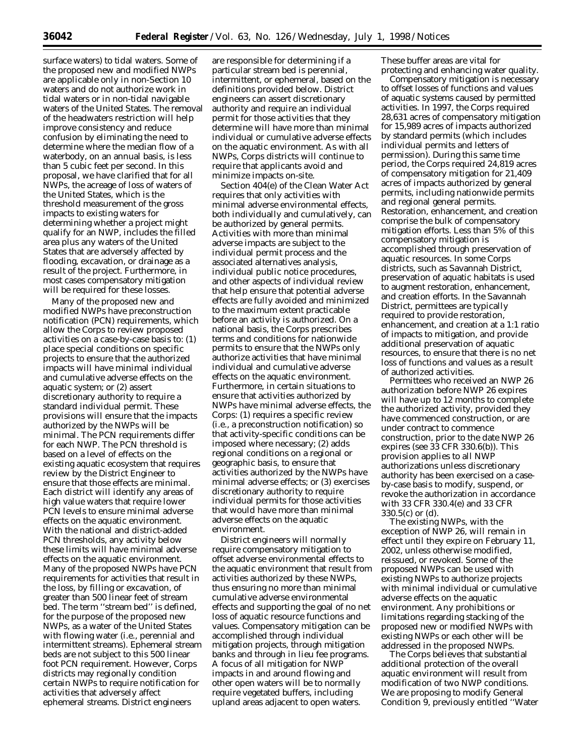surface waters) to tidal waters. Some of the proposed new and modified NWPs are applicable only in non-Section 10 waters and do not authorize work in tidal waters or in non-tidal navigable waters of the United States. The removal of the headwaters restriction will help improve consistency and reduce confusion by eliminating the need to determine where the median flow of a waterbody, on an annual basis, is less than 5 cubic feet per second. In this proposal, we have clarified that for all NWPs, the acreage of loss of waters of the United States, which is the threshold measurement of the gross impacts to existing waters for determining whether a project might qualify for an NWP, includes the filled area plus any waters of the United States that are adversely affected by flooding, excavation, or drainage as a result of the project. Furthermore, in most cases compensatory mitigation will be required for these losses.

Many of the proposed new and modified NWPs have preconstruction notification (PCN) requirements, which allow the Corps to review proposed activities on a case-by-case basis to: (1) place special conditions on specific projects to ensure that the authorized impacts will have minimal individual and cumulative adverse effects on the aquatic system; or (2) assert discretionary authority to require a standard individual permit. These provisions will ensure that the impacts authorized by the NWPs will be minimal. The PCN requirements differ for each NWP. The PCN threshold is based on a level of effects on the existing aquatic ecosystem that requires review by the District Engineer to ensure that those effects are minimal. Each district will identify any areas of high value waters that require lower PCN levels to ensure minimal adverse effects on the aquatic environment. With the national and district-added PCN thresholds, any activity below these limits will have minimal adverse effects on the aquatic environment. Many of the proposed NWPs have PCN requirements for activities that result in the loss, by filling or excavation, of greater than 500 linear feet of stream bed. The term ''stream bed'' is defined, for the purpose of the proposed new NWPs, as a water of the United States with flowing water (i.e., perennial and intermittent streams). Ephemeral stream beds are not subject to this 500 linear foot PCN requirement. However, Corps districts may regionally condition certain NWPs to require notification for activities that adversely affect ephemeral streams. District engineers

are responsible for determining if a particular stream bed is perennial, intermittent, or ephemeral, based on the definitions provided below. District engineers can assert discretionary authority and require an individual permit for those activities that they determine will have more than minimal individual or cumulative adverse effects on the aquatic environment. As with all NWPs, Corps districts will continue to require that applicants avoid and minimize impacts on-site.

Section 404(e) of the Clean Water Act requires that only activities with minimal adverse environmental effects, both individually and cumulatively, can be authorized by general permits. Activities with more than minimal adverse impacts are subject to the individual permit process and the associated alternatives analysis, individual public notice procedures, and other aspects of individual review that help ensure that potential adverse effects are fully avoided and minimized to the maximum extent practicable before an activity is authorized. On a national basis, the Corps prescribes terms and conditions for nationwide permits to ensure that the NWPs only authorize activities that have minimal individual and cumulative adverse effects on the aquatic environment. Furthermore, in certain situations to ensure that activities authorized by NWPs have minimal adverse effects, the Corps: (1) requires a specific review (i.e., a preconstruction notification) so that activity-specific conditions can be imposed where necessary; (2) adds regional conditions on a regional or geographic basis, to ensure that activities authorized by the NWPs have minimal adverse effects; or (3) exercises discretionary authority to require individual permits for those activities that would have more than minimal adverse effects on the aquatic environment.

District engineers will normally require compensatory mitigation to offset adverse environmental effects to the aquatic environment that result from activities authorized by these NWPs, thus ensuring no more than minimal cumulative adverse environmental effects and supporting the goal of no net loss of aquatic resource functions and values. Compensatory mitigation can be accomplished through individual mitigation projects, through mitigation banks and through in lieu fee programs. A focus of all mitigation for NWP impacts in and around flowing and other open waters will be to normally require vegetated buffers, including upland areas adjacent to open waters.

These buffer areas are vital for protecting and enhancing water quality.

Compensatory mitigation is necessary to offset losses of functions and values of aquatic systems caused by permitted activities. In 1997, the Corps required 28,631 acres of compensatory mitigation for 15,989 acres of impacts authorized by standard permits (which includes individual permits and letters of permission). During this same time period, the Corps required 24,819 acres of compensatory mitigation for 21,409 acres of impacts authorized by general permits, including nationwide permits and regional general permits. Restoration, enhancement, and creation comprise the bulk of compensatory mitigation efforts. Less than 5% of this compensatory mitigation is accomplished through preservation of aquatic resources. In some Corps districts, such as Savannah District, preservation of aquatic habitats is used to augment restoration, enhancement, and creation efforts. In the Savannah District, permittees are typically required to provide restoration, enhancement, and creation at a 1:1 ratio of impacts to mitigation, and provide additional preservation of aquatic resources, to ensure that there is no net loss of functions and values as a result of authorized activities.

Permittees who received an NWP 26 authorization before NWP 26 expires will have up to 12 months to complete the authorized activity, provided they have commenced construction, or are under contract to commence construction, prior to the date NWP 26 expires (see 33 CFR 330.6(b)). This provision applies to all NWP authorizations unless discretionary authority has been exercised on a caseby-case basis to modify, suspend, or revoke the authorization in accordance with 33 CFR 330.4(e) and 33 CFR 330.5(c) or (d).

The existing NWPs, with the exception of NWP 26, will remain in effect until they expire on February 11, 2002, unless otherwise modified, reissued, or revoked. Some of the proposed NWPs can be used with existing NWPs to authorize projects with minimal individual or cumulative adverse effects on the aquatic environment. Any prohibitions or limitations regarding stacking of the proposed new or modified NWPs with existing NWPs or each other will be addressed in the proposed NWPs.

The Corps believes that substantial additional protection of the overall aquatic environment will result from modification of two NWP conditions. We are proposing to modify General Condition 9, previously entitled ''Water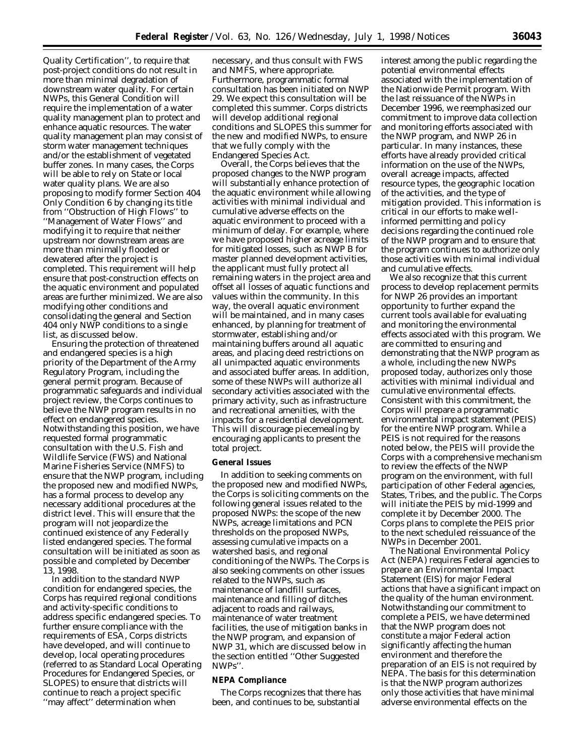Quality Certification'', to require that post-project conditions do not result in more than minimal degradation of downstream water quality. For certain NWPs, this General Condition will require the implementation of a water quality management plan to protect and enhance aquatic resources. The water quality management plan may consist of storm water management techniques and/or the establishment of vegetated buffer zones. In many cases, the Corps will be able to rely on State or local water quality plans. We are also proposing to modify former Section 404 Only Condition 6 by changing its title from ''Obstruction of High Flows'' to ''Management of Water Flows'' and modifying it to require that neither upstream nor downstream areas are more than minimally flooded or dewatered after the project is completed. This requirement will help ensure that post-construction effects on the aquatic environment and populated areas are further minimized. We are also modifying other conditions and consolidating the general and Section 404 only NWP conditions to a single list, as discussed below.

Ensuring the protection of threatened and endangered species is a high priority of the Department of the Army Regulatory Program, including the general permit program. Because of programmatic safeguards and individual project review, the Corps continues to believe the NWP program results in no effect on endangered species. Notwithstanding this position, we have requested formal programmatic consultation with the U.S. Fish and Wildlife Service (FWS) and National Marine Fisheries Service (NMFS) to ensure that the NWP program, including the proposed new and modified NWPs, has a formal process to develop any necessary additional procedures at the district level. This will ensure that the program will not jeopardize the continued existence of any Federally listed endangered species. The formal consultation will be initiated as soon as possible and completed by December 13, 1998.

In addition to the standard NWP condition for endangered species, the Corps has required regional conditions and activity-specific conditions to address specific endangered species. To further ensure compliance with the requirements of ESA, Corps districts have developed, and will continue to develop, local operating procedures (referred to as Standard Local Operating Procedures for Endangered Species, or SLOPES) to ensure that districts will continue to reach a project specific ''may affect'' determination when

necessary, and thus consult with FWS and NMFS, where appropriate. Furthermore, programmatic formal consultation has been initiated on NWP 29. We expect this consultation will be completed this summer. Corps districts will develop additional regional conditions and SLOPES this summer for the new and modified NWPs, to ensure that we fully comply with the Endangered Species Act.

Overall, the Corps believes that the proposed changes to the NWP program will substantially enhance protection of the aquatic environment while allowing activities with minimal individual and cumulative adverse effects on the aquatic environment to proceed with a minimum of delay. For example, where we have proposed higher acreage limits for mitigated losses, such as NWP B for master planned development activities, the applicant must fully protect all remaining waters in the project area and offset all losses of aquatic functions and values within the community. In this way, the overall aquatic environment will be maintained, and in many cases enhanced, by planning for treatment of stormwater, establishing and/or maintaining buffers around all aquatic areas, and placing deed restrictions on all unimpacted aquatic environments and associated buffer areas. In addition, some of these NWPs will authorize all secondary activities associated with the primary activity, such as infrastructure and recreational amenities, with the impacts for a residential development. This will discourage piecemealing by encouraging applicants to present the total project.

#### **General Issues**

In addition to seeking comments on the proposed new and modified NWPs, the Corps is soliciting comments on the following general issues related to the proposed NWPs: the scope of the new NWPs, acreage limitations and PCN thresholds on the proposed NWPs, assessing cumulative impacts on a watershed basis, and regional conditioning of the NWPs. The Corps is also seeking comments on other issues related to the NWPs, such as maintenance of landfill surfaces, maintenance and filling of ditches adjacent to roads and railways, maintenance of water treatment facilities, the use of mitigation banks in the NWP program, and expansion of NWP 31, which are discussed below in the section entitled ''Other Suggested NWPs''.

# **NEPA Compliance**

The Corps recognizes that there has been, and continues to be, substantial

interest among the public regarding the potential environmental effects associated with the implementation of the Nationwide Permit program. With the last reissuance of the NWPs in December 1996, we reemphasized our commitment to improve data collection and monitoring efforts associated with the NWP program, and NWP 26 in particular. In many instances, these efforts have already provided critical information on the use of the NWPs, overall acreage impacts, affected resource types, the geographic location of the activities, and the type of mitigation provided. This information is critical in our efforts to make wellinformed permitting and policy decisions regarding the continued role of the NWP program and to ensure that the program continues to authorize only those activities with minimal individual and cumulative effects.

We also recognize that this current process to develop replacement permits for NWP 26 provides an important opportunity to further expand the current tools available for evaluating and monitoring the environmental effects associated with this program. We are committed to ensuring and demonstrating that the NWP program as a whole, including the new NWPs proposed today, authorizes only those activities with minimal individual and cumulative environmental effects. Consistent with this commitment, the Corps will prepare a programmatic environmental impact statement (PEIS) for the entire NWP program. While a PEIS is not required for the reasons noted below, the PEIS will provide the Corps with a comprehensive mechanism to review the effects of the NWP program on the environment, with full participation of other Federal agencies, States, Tribes, and the public. The Corps will initiate the PEIS by mid-1999 and complete it by December 2000. The Corps plans to complete the PEIS prior to the next scheduled reissuance of the NWPs in December 2001.

The National Environmental Policy Act (NEPA) requires Federal agencies to prepare an Environmental Impact Statement (EIS) for major Federal actions that have a significant impact on the quality of the human environment. Notwithstanding our commitment to complete a PEIS, we have determined that the NWP program does not constitute a major Federal action significantly affecting the human environment and therefore the preparation of an EIS is not required by NEPA. The basis for this determination is that the NWP program authorizes only those activities that have minimal adverse environmental effects on the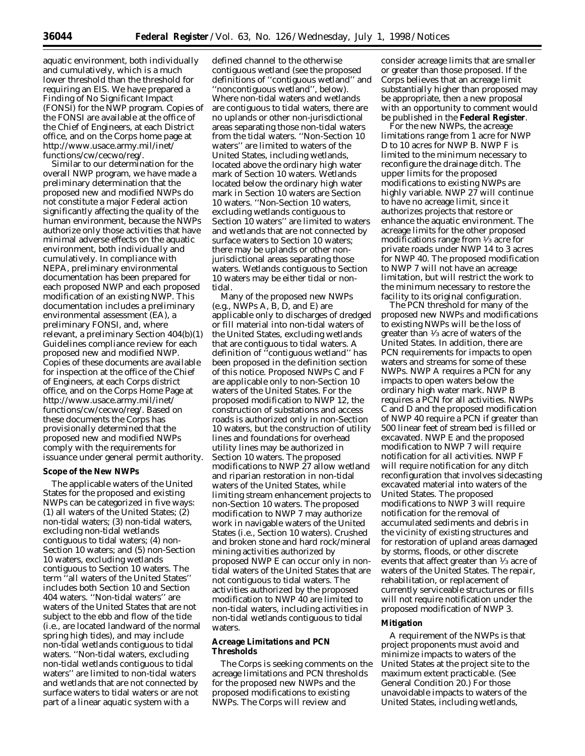aquatic environment, both individually and cumulatively, which is a much lower threshold than the threshold for requiring an EIS. We have prepared a Finding of No Significant Impact (FONSI) for the NWP program. Copies of the FONSI are available at the office of the Chief of Engineers, at each District office, and on the Corps home page at http://www.usace.army.mil/inet/ functions/cw/cecwo/reg/.

Similar to our determination for the overall NWP program, we have made a preliminary determination that the proposed new and modified NWPs do not constitute a major Federal action significantly affecting the quality of the human environment, because the NWPs authorize only those activities that have minimal adverse effects on the aquatic environment, both individually and cumulatively. In compliance with NEPA, preliminary environmental documentation has been prepared for each proposed NWP and each proposed modification of an existing NWP. This documentation includes a preliminary environmental assessment (EA), a preliminary FONSI, and, where relevant, a preliminary Section 404(b)(1) Guidelines compliance review for each proposed new and modified NWP. Copies of these documents are available for inspection at the office of the Chief of Engineers, at each Corps district office, and on the Corps Home Page at http://www.usace.army.mil/inet/ functions/cw/cecwo/reg/. Based on these documents the Corps has provisionally determined that the proposed new and modified NWPs comply with the requirements for issuance under general permit authority.

# **Scope of the New NWPs**

The applicable waters of the United States for the proposed and existing NWPs can be categorized in five ways: (1) all waters of the United States; (2) non-tidal waters; (3) non-tidal waters, excluding non-tidal wetlands contiguous to tidal waters; (4) non-Section 10 waters; and (5) non-Section 10 waters, excluding wetlands contiguous to Section 10 waters. The term ''all waters of the United States'' includes both Section 10 and Section 404 waters. ''Non-tidal waters'' are waters of the United States that are not subject to the ebb and flow of the tide (i.e., are located landward of the normal spring high tides), and may include non-tidal wetlands contiguous to tidal waters. ''Non-tidal waters, excluding non-tidal wetlands contiguous to tidal waters'' are limited to non-tidal waters and wetlands that are not connected by surface waters to tidal waters or are not part of a linear aquatic system with a

defined channel to the otherwise contiguous wetland (see the proposed definitions of ''contiguous wetland'' and ''noncontiguous wetland'', below). Where non-tidal waters and wetlands are contiguous to tidal waters, there are no uplands or other non-jurisdictional areas separating those non-tidal waters from the tidal waters. ''Non-Section 10 waters'' are limited to waters of the United States, including wetlands, located above the ordinary high water mark of Section 10 waters. Wetlands located below the ordinary high water mark in Section 10 waters are Section 10 waters. ''Non-Section 10 waters, excluding wetlands contiguous to Section 10 waters'' are limited to waters and wetlands that are not connected by surface waters to Section 10 waters; there may be uplands or other nonjurisdictional areas separating those waters. Wetlands contiguous to Section 10 waters may be either tidal or nontidal.

Many of the proposed new NWPs (e.g., NWPs A, B, D, and E) are applicable only to discharges of dredged or fill material into non-tidal waters of the United States, excluding wetlands that are contiguous to tidal waters. A definition of ''contiguous wetland'' has been proposed in the definition section of this notice. Proposed NWPs C and F are applicable only to non-Section 10 waters of the United States. For the proposed modification to NWP 12, the construction of substations and access roads is authorized only in non-Section 10 waters, but the construction of utility lines and foundations for overhead utility lines may be authorized in Section 10 waters. The proposed modifications to NWP 27 allow wetland and riparian restoration in non-tidal waters of the United States, while limiting stream enhancement projects to non-Section 10 waters. The proposed modification to NWP 7 may authorize work in navigable waters of the United States (i.e., Section 10 waters). Crushed and broken stone and hard rock/mineral mining activities authorized by proposed NWP E can occur only in nontidal waters of the United States that are not contiguous to tidal waters. The activities authorized by the proposed modification to NWP 40 are limited to non-tidal waters, including activities in non-tidal wetlands contiguous to tidal waters.

## **Acreage Limitations and PCN Thresholds**

The Corps is seeking comments on the acreage limitations and PCN thresholds for the proposed new NWPs and the proposed modifications to existing NWPs. The Corps will review and

consider acreage limits that are smaller or greater than those proposed. If the Corps believes that an acreage limit substantially higher than proposed may be appropriate, then a new proposal with an opportunity to comment would be published in the **Federal Register**.

For the new NWPs, the acreage limitations range from 1 acre for NWP D to 10 acres for NWP B. NWP F is limited to the minimum necessary to reconfigure the drainage ditch. The upper limits for the proposed modifications to existing NWPs are highly variable. NWP 27 will continue to have no acreage limit, since it authorizes projects that restore or enhance the aquatic environment. The acreage limits for the other proposed modifications range from  $\frac{1}{3}$  acre for private roads under NWP 14 to 3 acres for NWP 40. The proposed modification to NWP 7 will not have an acreage limitation, but will restrict the work to the minimum necessary to restore the facility to its original configuration.

The PCN threshold for many of the proposed new NWPs and modifications to existing NWPs will be the loss of greater than 1⁄3 acre of waters of the United States. In addition, there are PCN requirements for impacts to open waters and streams for some of these NWPs. NWP A requires a PCN for any impacts to open waters below the ordinary high water mark. NWP B requires a PCN for all activities. NWPs C and D and the proposed modification of NWP 40 require a PCN if greater than 500 linear feet of stream bed is filled or excavated. NWP E and the proposed modification to NWP 7 will require notification for all activities. NWP F will require notification for any ditch reconfiguration that involves sidecasting excavated material into waters of the United States. The proposed modifications to NWP 3 will require notification for the removal of accumulated sediments and debris in the vicinity of existing structures and for restoration of upland areas damaged by storms, floods, or other discrete events that affect greater than 1⁄3 acre of waters of the United States. The repair, rehabilitation, or replacement of currently serviceable structures or fills will not require notification under the proposed modification of NWP 3.

#### **Mitigation**

A requirement of the NWPs is that project proponents must avoid and minimize impacts to waters of the United States at the project site to the maximum extent practicable. (See General Condition 20.) For those unavoidable impacts to waters of the United States, including wetlands,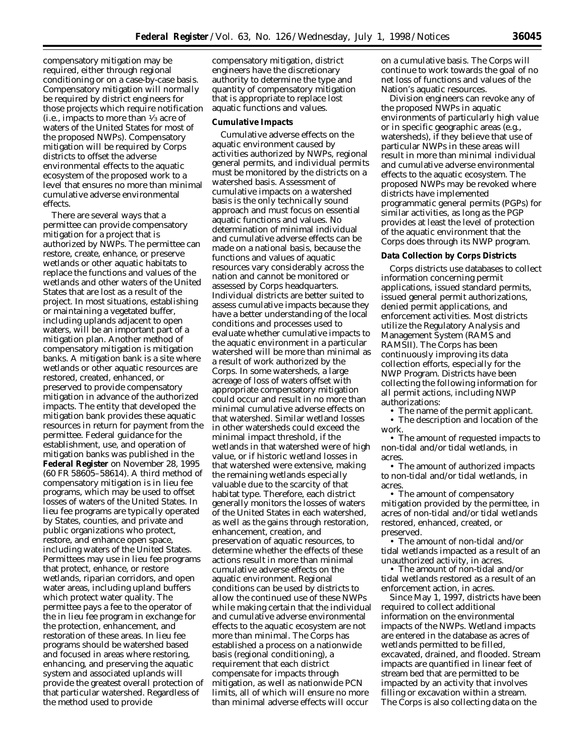compensatory mitigation may be required, either through regional conditioning or on a case-by-case basis. Compensatory mitigation will normally be required by district engineers for those projects which require notification (i.e., impacts to more than  $\frac{1}{3}$  acre of waters of the United States for most of the proposed NWPs). Compensatory mitigation will be required by Corps districts to offset the adverse environmental effects to the aquatic ecosystem of the proposed work to a level that ensures no more than minimal cumulative adverse environmental effects.

There are several ways that a permittee can provide compensatory mitigation for a project that is authorized by NWPs. The permittee can restore, create, enhance, or preserve wetlands or other aquatic habitats to replace the functions and values of the wetlands and other waters of the United States that are lost as a result of the project. In most situations, establishing or maintaining a vegetated buffer, including uplands adjacent to open waters, will be an important part of a mitigation plan. Another method of compensatory mitigation is mitigation banks. A mitigation bank is a site where wetlands or other aquatic resources are restored, created, enhanced, or preserved to provide compensatory mitigation in advance of the authorized impacts. The entity that developed the mitigation bank provides these aquatic resources in return for payment from the permittee. Federal guidance for the establishment, use, and operation of mitigation banks was published in the **Federal Register** on November 28, 1995 (60 FR 58605–58614). A third method of compensatory mitigation is in lieu fee programs, which may be used to offset losses of waters of the United States. In lieu fee programs are typically operated by States, counties, and private and public organizations who protect, restore, and enhance open space, including waters of the United States. Permittees may use in lieu fee programs that protect, enhance, or restore wetlands, riparian corridors, and open water areas, including upland buffers which protect water quality. The permittee pays a fee to the operator of the in lieu fee program in exchange for the protection, enhancement, and restoration of these areas. In lieu fee programs should be watershed based and focused in areas where restoring, enhancing, and preserving the aquatic system and associated uplands will provide the greatest overall protection of that particular watershed. Regardless of the method used to provide

compensatory mitigation, district engineers have the discretionary authority to determine the type and quantity of compensatory mitigation that is appropriate to replace lost aquatic functions and values.

#### **Cumulative Impacts**

Cumulative adverse effects on the aquatic environment caused by activities authorized by NWPs, regional general permits, and individual permits must be monitored by the districts on a watershed basis. Assessment of cumulative impacts on a watershed basis is the only technically sound approach and must focus on essential aquatic functions and values. No determination of minimal individual and cumulative adverse effects can be made on a national basis, because the functions and values of aquatic resources vary considerably across the nation and cannot be monitored or assessed by Corps headquarters. Individual districts are better suited to assess cumulative impacts because they have a better understanding of the local conditions and processes used to evaluate whether cumulative impacts to the aquatic environment in a particular watershed will be more than minimal as a result of work authorized by the Corps. In some watersheds, a large acreage of loss of waters offset with appropriate compensatory mitigation could occur and result in no more than minimal cumulative adverse effects on that watershed. Similar wetland losses in other watersheds could exceed the minimal impact threshold, if the wetlands in that watershed were of high value, or if historic wetland losses in that watershed were extensive, making the remaining wetlands especially valuable due to the scarcity of that habitat type. Therefore, each district generally monitors the losses of waters of the United States in each watershed, as well as the gains through restoration, enhancement, creation, and preservation of aquatic resources, to determine whether the effects of these actions result in more than minimal cumulative adverse effects on the aquatic environment. Regional conditions can be used by districts to allow the continued use of these NWPs while making certain that the individual and cumulative adverse environmental effects to the aquatic ecosystem are not more than minimal. The Corps has established a process on a nationwide basis (regional conditioning), a requirement that each district compensate for impacts through mitigation, as well as nationwide PCN limits, all of which will ensure no more than minimal adverse effects will occur

on a cumulative basis. The Corps will continue to work towards the goal of no net loss of functions and values of the Nation's aquatic resources.

Division engineers can revoke any of the proposed NWPs in aquatic environments of particularly high value or in specific geographic areas (e.g., watersheds), if they believe that use of particular NWPs in these areas will result in more than minimal individual and cumulative adverse environmental effects to the aquatic ecosystem. The proposed NWPs may be revoked where districts have implemented programmatic general permits (PGPs) for similar activities, as long as the PGP provides at least the level of protection of the aquatic environment that the Corps does through its NWP program.

#### **Data Collection by Corps Districts**

Corps districts use databases to collect information concerning permit applications, issued standard permits, issued general permit authorizations, denied permit applications, and enforcement activities. Most districts utilize the Regulatory Analysis and Management System (RAMS and RAMSII). The Corps has been continuously improving its data collection efforts, especially for the NWP Program. Districts have been collecting the following information for all permit actions, including NWP authorizations:

• The name of the permit applicant.

• The description and location of the work.

• The amount of requested impacts to non-tidal and/or tidal wetlands, in acres.

• The amount of authorized impacts to non-tidal and/or tidal wetlands, in acres.

• The amount of compensatory mitigation provided by the permittee, in acres of non-tidal and/or tidal wetlands restored, enhanced, created, or preserved.

• The amount of non-tidal and/or tidal wetlands impacted as a result of an unauthorized activity, in acres.

• The amount of non-tidal and/or tidal wetlands restored as a result of an enforcement action, in acres.

Since May 1, 1997, districts have been required to collect additional information on the environmental impacts of the NWPs. Wetland impacts are entered in the database as acres of wetlands permitted to be filled, excavated, drained, and flooded. Stream impacts are quantified in linear feet of stream bed that are permitted to be impacted by an activity that involves filling or excavation within a stream. The Corps is also collecting data on the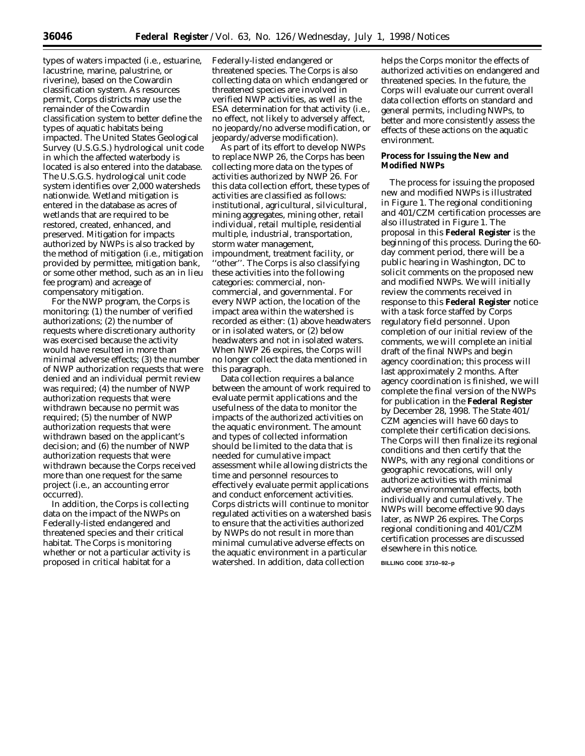types of waters impacted (i.e., estuarine, lacustrine, marine, palustrine, or riverine), based on the Cowardin classification system. As resources permit, Corps districts may use the remainder of the Cowardin classification system to better define the types of aquatic habitats being impacted. The United States Geological Survey (U.S.G.S.) hydrological unit code in which the affected waterbody is located is also entered into the database. The U.S.G.S. hydrological unit code system identifies over 2,000 watersheds nationwide. Wetland mitigation is entered in the database as acres of wetlands that are required to be restored, created, enhanced, and preserved. Mitigation for impacts authorized by NWPs is also tracked by the method of mitigation (i.e., mitigation provided by permittee, mitigation bank, or some other method, such as an in lieu fee program) and acreage of compensatory mitigation.

For the NWP program, the Corps is monitoring: (1) the number of verified authorizations; (2) the number of requests where discretionary authority was exercised because the activity would have resulted in more than minimal adverse effects; (3) the number of NWP authorization requests that were denied and an individual permit review was required; (4) the number of NWP authorization requests that were withdrawn because no permit was required; (5) the number of NWP authorization requests that were withdrawn based on the applicant's decision; and (6) the number of NWP authorization requests that were withdrawn because the Corps received more than one request for the same project (i.e., an accounting error occurred).

In addition, the Corps is collecting data on the impact of the NWPs on Federally-listed endangered and threatened species and their critical habitat. The Corps is monitoring whether or not a particular activity is proposed in critical habitat for a

Federally-listed endangered or threatened species. The Corps is also collecting data on which endangered or threatened species are involved in verified NWP activities, as well as the ESA determination for that activity (i.e., no effect, not likely to adversely affect, no jeopardy/no adverse modification, or jeopardy/adverse modification).

As part of its effort to develop NWPs to replace NWP 26, the Corps has been collecting more data on the types of activities authorized by NWP 26. For this data collection effort, these types of activities are classified as follows: institutional, agricultural, silvicultural, mining aggregates, mining other, retail individual, retail multiple, residential multiple, industrial, transportation, storm water management, impoundment, treatment facility, or ''other''. The Corps is also classifying these activities into the following categories: commercial, noncommercial, and governmental. For every NWP action, the location of the impact area within the watershed is recorded as either: (1) above headwaters or in isolated waters, or (2) below headwaters and not in isolated waters. When NWP 26 expires, the Corps will no longer collect the data mentioned in this paragraph.

Data collection requires a balance between the amount of work required to evaluate permit applications and the usefulness of the data to monitor the impacts of the authorized activities on the aquatic environment. The amount and types of collected information should be limited to the data that is needed for cumulative impact assessment while allowing districts the time and personnel resources to effectively evaluate permit applications and conduct enforcement activities. Corps districts will continue to monitor regulated activities on a watershed basis to ensure that the activities authorized by NWPs do not result in more than minimal cumulative adverse effects on the aquatic environment in a particular watershed. In addition, data collection

helps the Corps monitor the effects of authorized activities on endangered and threatened species. In the future, the Corps will evaluate our current overall data collection efforts on standard and general permits, including NWPs, to better and more consistently assess the effects of these actions on the aquatic environment.

# **Process for Issuing the New and Modified NWPs**

The process for issuing the proposed new and modified NWPs is illustrated in Figure 1. The regional conditioning and 401/CZM certification processes are also illustrated in Figure 1. The proposal in this **Federal Register** is the beginning of this process. During the 60 day comment period, there will be a public hearing in Washington, DC to solicit comments on the proposed new and modified NWPs. We will initially review the comments received in response to this **Federal Register** notice with a task force staffed by Corps regulatory field personnel. Upon completion of our initial review of the comments, we will complete an initial draft of the final NWPs and begin agency coordination; this process will last approximately 2 months. After agency coordination is finished, we will complete the final version of the NWPs for publication in the **Federal Register** by December 28, 1998. The State 401/ CZM agencies will have 60 days to complete their certification decisions. The Corps will then finalize its regional conditions and then certify that the NWPs, with any regional conditions or geographic revocations, will only authorize activities with minimal adverse environmental effects, both individually and cumulatively. The NWPs will become effective 90 days later, as NWP 26 expires. The Corps regional conditioning and 401/CZM certification processes are discussed elsewhere in this notice.

**BILLING CODE 3710–92–p**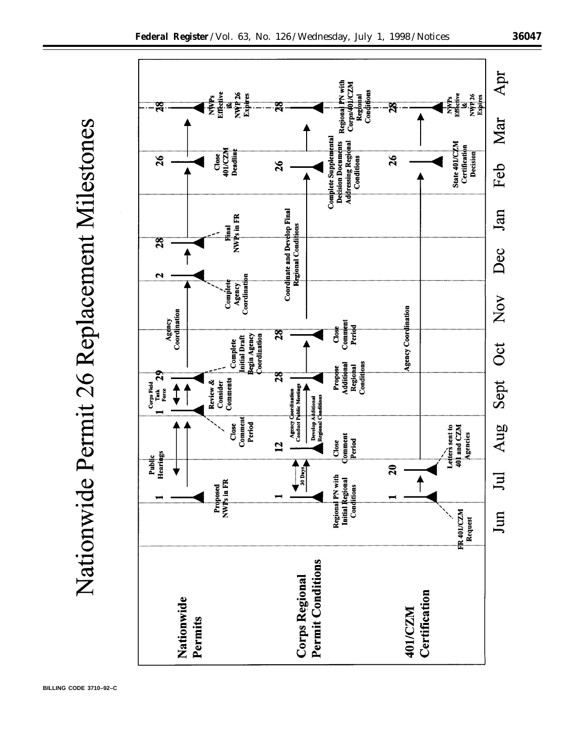

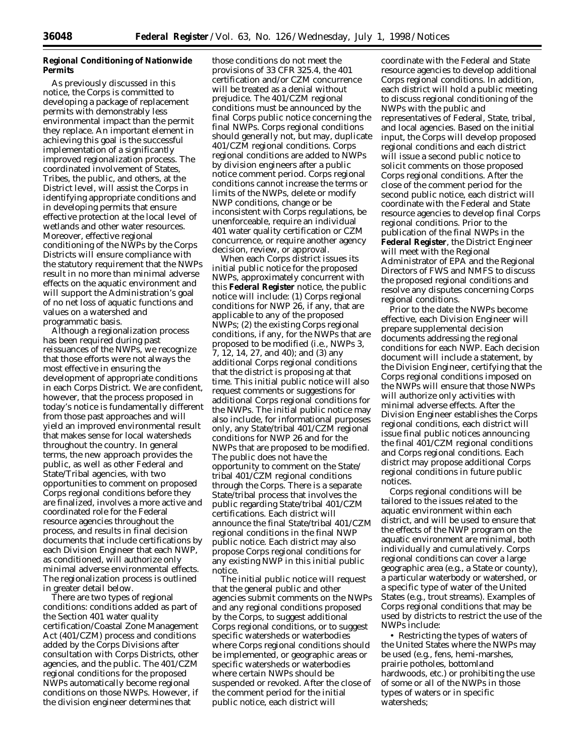# **Regional Conditioning of Nationwide Permits**

As previously discussed in this notice, the Corps is committed to developing a package of replacement permits with demonstrably less environmental impact than the permit they replace. An important element in achieving this goal is the successful implementation of a significantly improved regionalization process. The coordinated involvement of States, Tribes, the public, and others, at the District level, will assist the Corps in identifying appropriate conditions and in developing permits that ensure effective protection at the local level of wetlands and other water resources. Moreover, effective regional conditioning of the NWPs by the Corps Districts will ensure compliance with the statutory requirement that the NWPs result in no more than minimal adverse effects on the aquatic environment and will support the Administration's goal of no net loss of aquatic functions and values on a watershed and programmatic basis.

Although a regionalization process has been required during past reissuances of the NWPs, we recognize that those efforts were not always the most effective in ensuring the development of appropriate conditions in each Corps District. We are confident, however, that the process proposed in today's notice is fundamentally different from those past approaches and will yield an improved environmental result that makes sense for local watersheds throughout the country. In general terms, the new approach provides the public, as well as other Federal and State/Tribal agencies, with two opportunities to comment on proposed Corps regional conditions before they are finalized, involves a more active and coordinated role for the Federal resource agencies throughout the process, and results in final decision documents that include certifications by each Division Engineer that each NWP, as conditioned, will authorize only minimal adverse environmental effects. The regionalization process is outlined in greater detail below.

There are two types of regional conditions: conditions added as part of the Section 401 water quality certification/Coastal Zone Management Act (401/CZM) process and conditions added by the Corps Divisions after consultation with Corps Districts, other agencies, and the public. The 401/CZM regional conditions for the proposed NWPs automatically become regional conditions on those NWPs. However, if the division engineer determines that

those conditions do not meet the provisions of 33 CFR 325.4, the 401 certification and/or CZM concurrence will be treated as a denial without prejudice. The 401/CZM regional conditions must be announced by the final Corps public notice concerning the final NWPs. Corps regional conditions should generally not, but may, duplicate 401/CZM regional conditions. Corps regional conditions are added to NWPs by division engineers after a public notice comment period. Corps regional conditions cannot increase the terms or limits of the NWPs, delete or modify NWP conditions, change or be inconsistent with Corps regulations, be unenforceable, require an individual 401 water quality certification or CZM concurrence, or require another agency decision, review, or approval.

When each Corps district issues its initial public notice for the proposed NWPs, approximately concurrent with this **Federal Register** notice, the public notice will include: (1) Corps regional conditions for NWP 26, if any, that are applicable to any of the proposed NWPs; (2) the existing Corps regional conditions, if any, for the NWPs that are proposed to be modified (i.e., NWPs 3, 7, 12, 14, 27, and 40); and (3) any additional Corps regional conditions that the district is proposing at that time. This initial public notice will also request comments or suggestions for additional Corps regional conditions for the NWPs. The initial public notice may also include, for informational purposes only, any State/tribal 401/CZM regional conditions for NWP 26 and for the NWPs that are proposed to be modified. The public does not have the opportunity to comment on the State/ tribal 401/CZM regional conditions through the Corps. There is a separate State/tribal process that involves the public regarding State/tribal 401/CZM certifications. Each district will announce the final State/tribal 401/CZM regional conditions in the final NWP public notice. Each district may also propose Corps regional conditions for any existing NWP in this initial public notice.

The initial public notice will request that the general public and other agencies submit comments on the NWPs and any regional conditions proposed by the Corps, to suggest additional Corps regional conditions, or to suggest specific watersheds or waterbodies where Corps regional conditions should be implemented, or geographic areas or specific watersheds or waterbodies where certain NWPs should be suspended or revoked. After the close of the comment period for the initial public notice, each district will

coordinate with the Federal and State resource agencies to develop additional Corps regional conditions. In addition, each district will hold a public meeting to discuss regional conditioning of the NWPs with the public and representatives of Federal, State, tribal, and local agencies. Based on the initial input, the Corps will develop proposed regional conditions and each district will issue a second public notice to solicit comments on those proposed Corps regional conditions. After the close of the comment period for the second public notice, each district will coordinate with the Federal and State resource agencies to develop final Corps regional conditions. Prior to the publication of the final NWPs in the **Federal Register**, the District Engineer will meet with the Regional Administrator of EPA and the Regional Directors of FWS and NMFS to discuss the proposed regional conditions and resolve any disputes concerning Corps regional conditions.

Prior to the date the NWPs become effective, each Division Engineer will prepare supplemental decision documents addressing the regional conditions for each NWP. Each decision document will include a statement, by the Division Engineer, certifying that the Corps regional conditions imposed on the NWPs will ensure that those NWPs will authorize only activities with minimal adverse effects. After the Division Engineer establishes the Corps regional conditions, each district will issue final public notices announcing the final 401/CZM regional conditions and Corps regional conditions. Each district may propose additional Corps regional conditions in future public notices.

Corps regional conditions will be tailored to the issues related to the aquatic environment within each district, and will be used to ensure that the effects of the NWP program on the aquatic environment are minimal, both individually and cumulatively. Corps regional conditions can cover a large geographic area (e.g., a State or county), a particular waterbody or watershed, or a specific type of water of the United States (e.g., trout streams). Examples of Corps regional conditions that may be used by districts to restrict the use of the NWPs include:

• Restricting the types of waters of the United States where the NWPs may be used (e.g., fens, hemi-marshes, prairie potholes, bottomland hardwoods, etc.) or prohibiting the use of some or all of the NWPs in those types of waters or in specific watersheds;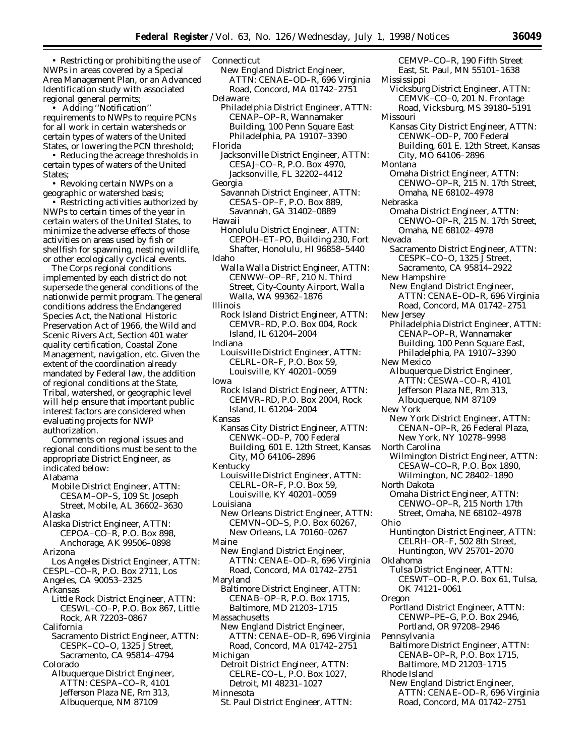• Restricting or prohibiting the use of NWPs in areas covered by a Special Area Management Plan, or an Advanced Identification study with associated regional general permits;

• Adding ''Notification'' requirements to NWPs to require PCNs for all work in certain watersheds or certain types of waters of the United States, or lowering the PCN threshold;

• Reducing the acreage thresholds in certain types of waters of the United States;

• Revoking certain NWPs on a geographic or watershed basis;

• Restricting activities authorized by NWPs to certain times of the year in certain waters of the United States, to minimize the adverse effects of those activities on areas used by fish or shellfish for spawning, nesting wildlife, or other ecologically cyclical events.

The Corps regional conditions implemented by each district do not supersede the general conditions of the nationwide permit program. The general conditions address the Endangered Species Act, the National Historic Preservation Act of 1966, the Wild and Scenic Rivers Act, Section 401 water quality certification, Coastal Zone Management, navigation, etc. Given the extent of the coordination already mandated by Federal law, the addition of regional conditions at the State, Tribal, watershed, or geographic level will help ensure that important public interest factors are considered when evaluating projects for NWP authorization.

Comments on regional issues and regional conditions must be sent to the appropriate District Engineer, as indicated below: Alabama

Mobile District Engineer, ATTN: CESAM–OP–S, 109 St. Joseph Street, Mobile, AL 36602–3630 Alaska

- Alaska District Engineer, ATTN: CEPOA–CO–R, P.O. Box 898, Anchorage, AK 99506–0898
- Arizona

Los Angeles District Engineer, ATTN:

CESPL–CO–R, P.O. Box 2711, Los

Angeles, CA 90053–2325 Arkansas

- Little Rock District Engineer, ATTN: CESWL–CO–P, P.O. Box 867, Little Rock, AR 72203–0867
- California
- Sacramento District Engineer, ATTN: CESPK–CO–O, 1325 J Street, Sacramento, CA 95814–4794 Colorado
- Albuquerque District Engineer, ATTN: CESPA–CO–R, 4101 Jefferson Plaza NE, Rm 313, Albuquerque, NM 87109

**Connecticut** New England District Engineer, ATTN: CENAE–OD–R, 696 Virginia Road, Concord, MA 01742–2751 Delaware Philadelphia District Engineer, ATTN: CENAP–OP–R, Wannamaker Building, 100 Penn Square East Philadelphia, PA 19107–3390 Florida Jacksonville District Engineer, ATTN: CESAJ–CO–R, P.O. Box 4970, Jacksonville, FL 32202–4412 Georgia Savannah District Engineer, ATTN: CESAS–OP–F, P.O. Box 889, Savannah, GA 31402–0889 Hawaii Honolulu District Engineer, ATTN: CEPOH–ET–PO, Building 230, Fort Shafter, Honolulu, HI 96858–5440 Idaho Walla Walla District Engineer, ATTN: CENWW–OP–RF, 210 N. Third Street, City-County Airport, Walla Walla, WA 99362–1876 Illinois Rock Island District Engineer, ATTN: CEMVR–RD, P.O. Box 004, Rock Island, IL 61204–2004 Indiana Louisville District Engineer, ATTN: CELRL–OR–F, P.O. Box 59, Louisville, KY 40201–0059 Iowa Rock Island District Engineer, ATTN: CEMVR–RD, P.O. Box 2004, Rock Island, IL 61204–2004 Kansas Kansas City District Engineer, ATTN: CENWK–OD–P, 700 Federal Building, 601 E. 12th Street, Kansas City, MO 64106–2896 Kentucky Louisville District Engineer, ATTN: CELRL–OR–F, P.O. Box 59, Louisville, KY 40201–0059 Louisiana New Orleans District Engineer, ATTN: CEMVN–OD–S, P.O. Box 60267, New Orleans, LA 70160–0267 Maine New England District Engineer, ATTN: CENAE–OD–R, 696 Virginia Road, Concord, MA 01742–2751 Maryland Baltimore District Engineer, ATTN: CENAB–OP–R, P.O. Box 1715, Baltimore, MD 21203–1715 **Massachusetts** New England District Engineer, ATTN: CENAE–OD–R, 696 Virginia Road, Concord, MA 01742–2751 Michigan Detroit District Engineer, ATTN: CELRE–CO–L, P.O. Box 1027, Detroit, MI 48231–1027 Minnesota St. Paul District Engineer, ATTN:

CEMVP–CO–R, 190 Fifth Street East, St. Paul, MN 55101–1638 Mississippi Vicksburg District Engineer, ATTN: CEMVK–CO–0, 201 N. Frontage Road, Vicksburg, MS 39180–5191 Missouri Kansas City District Engineer, ATTN: CENWK–OD–P, 700 Federal Building, 601 E. 12th Street, Kansas City, MO 64106–2896 Montana Omaha District Engineer, ATTN: CENWO–OP–R, 215 N. 17th Street, Omaha, NE 68102–4978 Nebraska Omaha District Engineer, ATTN: CENWO–OP–R, 215 N. 17th Street, Omaha, NE 68102–4978 Nevada Sacramento District Engineer, ATTN: CESPK–CO–O, 1325 J Street, Sacramento, CA 95814–2922 New Hampshire New England District Engineer, ATTN: CENAE–OD–R, 696 Virginia Road, Concord, MA 01742–2751 New Jersey Philadelphia District Engineer, ATTN: CENAP–OP–R, Wannamaker Building, 100 Penn Square East, Philadelphia, PA 19107–3390 New Mexico Albuquerque District Engineer, ATTN: CESWA–CO–R, 4101 Jefferson Plaza NE, Rm 313, Albuquerque, NM 87109 New York New York District Engineer, ATTN: CENAN–OP–R, 26 Federal Plaza, New York, NY 10278–9998 North Carolina Wilmington District Engineer, ATTN: CESAW–CO–R, P.O. Box 1890, Wilmington, NC 28402–1890 North Dakota Omaha District Engineer, ATTN: CENWO–OP–R, 215 North 17th Street, Omaha, NE 68102–4978 Ohio Huntington District Engineer, ATTN: CELRH–OR–F, 502 8th Street, Huntington, WV 25701–2070 Oklahoma Tulsa District Engineer, ATTN: CESWT–OD–R, P.O. Box 61, Tulsa, OK 74121–0061 Oregon Portland District Engineer, ATTN: CENWP–PE–G, P.O. Box 2946, Portland, OR 97208–2946 Pennsylvania Baltimore District Engineer, ATTN: CENAB–OP–R, P.O. Box 1715, Baltimore, MD 21203–1715 Rhode Island New England District Engineer, ATTN: CENAE–OD–R, 696 Virginia Road, Concord, MA 01742–2751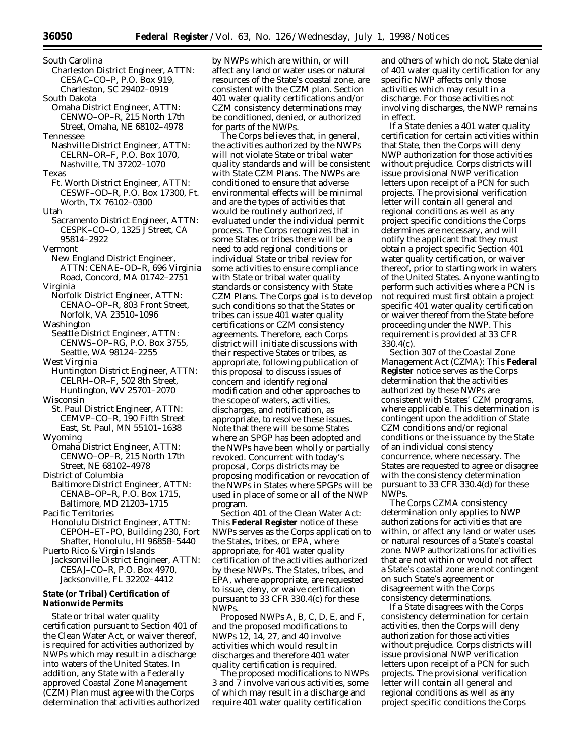- South Carolina Charleston District Engineer, ATTN: CESAC–CO–P, P.O. Box 919, Charleston, SC 29402–0919 South Dakota Omaha District Engineer, ATTN: CENWO–OP–R, 215 North 17th Street, Omaha, NE 68102–4978 Tennessee Nashville District Engineer, ATTN: CELRN–OR–F, P.O. Box 1070, Nashville, TN 37202–1070 Texas Ft. Worth District Engineer, ATTN: CESWF–OD–R, P.O. Box 17300, Ft. Worth, TX 76102–0300 Utah Sacramento District Engineer, ATTN: CESPK–CO–O, 1325 J Street, CA 95814–2922 Vermont New England District Engineer, ATTN: CENAE–OD–R, 696 Virginia Road, Concord, MA 01742–2751 Virginia Norfolk District Engineer, ATTN: CENAO–OP–R, 803 Front Street, Norfolk, VA 23510–1096 Washington Seattle District Engineer, ATTN: CENWS–OP–RG, P.O. Box 3755, Seattle, WA 98124–2255 West Virginia Huntington District Engineer, ATTN: CELRH–OR–F, 502 8th Street, Huntington, WV 25701–2070 Wisconsin St. Paul District Engineer, ATTN: CEMVP–CO–R, 190 Fifth Street East, St. Paul, MN 55101–1638 Wyoming Omaha District Engineer, ATTN: CENWO–OP–R, 215 North 17th Street, NE 68102–4978 District of Columbia Baltimore District Engineer, ATTN: CENAB–OP–R, P.O. Box 1715, Baltimore, MD 21203–1715 Pacific Territories Honolulu District Engineer, ATTN: CEPOH–ET–PO, Building 230, Fort Shafter, Honolulu, HI 96858–5440 Puerto Rico & Virgin Islands
- Jacksonville District Engineer, ATTN: CESAJ–CO–R, P.O. Box 4970, Jacksonville, FL 32202–4412

# **State (or Tribal) Certification of Nationwide Permits**

State or tribal water quality certification pursuant to Section 401 of the Clean Water Act, or waiver thereof, is required for activities authorized by NWPs which may result in a discharge into waters of the United States. In addition, any State with a Federally approved Coastal Zone Management (CZM) Plan must agree with the Corps determination that activities authorized by NWPs which are within, or will affect any land or water uses or natural resources of the State's coastal zone, are consistent with the CZM plan. Section 401 water quality certifications and/or CZM consistency determinations may be conditioned, denied, or authorized for parts of the NWPs.

The Corps believes that, in general, the activities authorized by the NWPs will not violate State or tribal water quality standards and will be consistent with State CZM Plans. The NWPs are conditioned to ensure that adverse environmental effects will be minimal and are the types of activities that would be routinely authorized, if evaluated under the individual permit process. The Corps recognizes that in some States or tribes there will be a need to add regional conditions or individual State or tribal review for some activities to ensure compliance with State or tribal water quality standards or consistency with State CZM Plans. The Corps goal is to develop such conditions so that the States or tribes can issue 401 water quality certifications or CZM consistency agreements. Therefore, each Corps district will initiate discussions with their respective States or tribes, as appropriate, following publication of this proposal to discuss issues of concern and identify regional modification and other approaches to the scope of waters, activities, discharges, and notification, as appropriate, to resolve these issues. Note that there will be some States where an SPGP has been adopted and the NWPs have been wholly or partially revoked. Concurrent with today's proposal, Corps districts may be proposing modification or revocation of the NWPs in States where SPGPs will be used in place of some or all of the NWP program.

*Section 401 of the Clean Water Act:* This **Federal Register** notice of these NWPs serves as the Corps application to the States, tribes, or EPA, where appropriate, for 401 water quality certification of the activities authorized by these NWPs. The States, tribes, and EPA, where appropriate, are requested to issue, deny, or waive certification pursuant to 33 CFR 330.4(c) for these NWPs.

Proposed NWPs A, B, C, D, E, and F, and the proposed modifications to NWPs 12, 14, 27, and 40 involve activities which would result in discharges and therefore 401 water quality certification is required.

The proposed modifications to NWPs 3 and 7 involve various activities, some of which may result in a discharge and require 401 water quality certification

and others of which do not. State denial of 401 water quality certification for any specific NWP affects only those activities which may result in a discharge. For those activities not involving discharges, the NWP remains in effect.

If a State denies a 401 water quality certification for certain activities within that State, then the Corps will deny NWP authorization for those activities without prejudice. Corps districts will issue provisional NWP verification letters upon receipt of a PCN for such projects. The provisional verification letter will contain all general and regional conditions as well as any project specific conditions the Corps determines are necessary, and will notify the applicant that they must obtain a project specific Section 401 water quality certification, or waiver thereof, prior to starting work in waters of the United States. Anyone wanting to perform such activities where a PCN is not required must first obtain a project specific 401 water quality certification or waiver thereof from the State before proceeding under the NWP. This requirement is provided at 33 CFR 330.4(c).

*Section 307 of the Coastal Zone Management Act (CZMA):* This **Federal Register** notice serves as the Corps determination that the activities authorized by these NWPs are consistent with States' CZM programs, where applicable. This determination is contingent upon the addition of State CZM conditions and/or regional conditions or the issuance by the State of an individual consistency concurrence, where necessary. The States are requested to agree or disagree with the consistency determination pursuant to 33 CFR 330.4(d) for these NWPs.

The Corps CZMA consistency determination only applies to NWP authorizations for activities that are within, or affect any land or water uses or natural resources of a State's coastal zone. NWP authorizations for activities that are not within or would not affect a State's coastal zone are not contingent on such State's agreement or disagreement with the Corps consistency determinations.

If a State disagrees with the Corps consistency determination for certain activities, then the Corps will deny authorization for those activities without prejudice. Corps districts will issue provisional NWP verification letters upon receipt of a PCN for such projects. The provisional verification letter will contain all general and regional conditions as well as any project specific conditions the Corps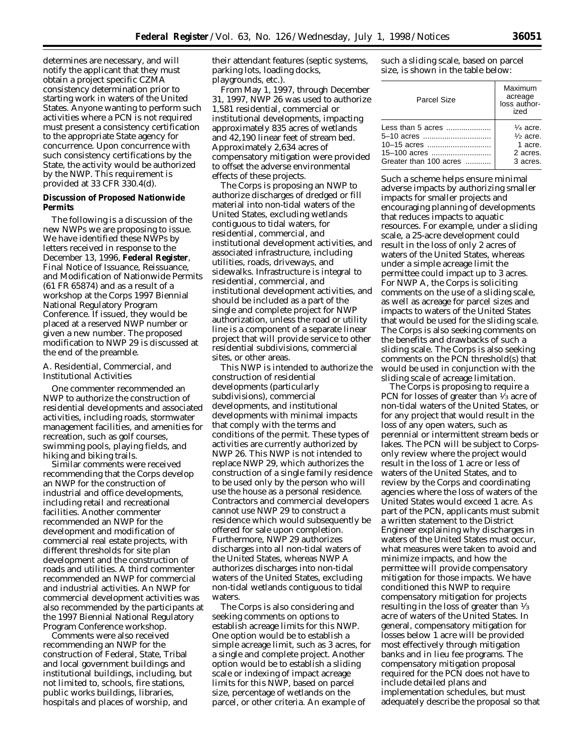determines are necessary, and will notify the applicant that they must obtain a project specific CZMA consistency determination prior to starting work in waters of the United States. Anyone wanting to perform such activities where a PCN is not required must present a consistency certification to the appropriate State agency for concurrence. Upon concurrence with such consistency certifications by the State, the activity would be authorized by the NWP. This requirement is provided at 33 CFR 330.4(d).

# **Discussion of Proposed Nationwide Permits**

The following is a discussion of the new NWPs we are proposing to issue. We have identified these NWPs by letters received in response to the December 13, 1996, **Federal Register**, Final Notice of Issuance, Reissuance, and Modification of Nationwide Permits (61 FR 65874) and as a result of a workshop at the Corps 1997 Biennial National Regulatory Program Conference. If issued, they would be placed at a reserved NWP number or given a new number. The proposed modification to NWP 29 is discussed at the end of the preamble.

# *A. Residential, Commercial, and Institutional Activities*

One commenter recommended an NWP to authorize the construction of residential developments and associated activities, including roads, stormwater management facilities, and amenities for recreation, such as golf courses, swimming pools, playing fields, and hiking and biking trails.

Similar comments were received recommending that the Corps develop an NWP for the construction of industrial and office developments, including retail and recreational facilities. Another commenter recommended an NWP for the development and modification of commercial real estate projects, with different thresholds for site plan development and the construction of roads and utilities. A third commenter recommended an NWP for commercial and industrial activities. An NWP for commercial development activities was also recommended by the participants at the 1997 Biennial National Regulatory Program Conference workshop.

Comments were also received recommending an NWP for the construction of Federal, State, Tribal and local government buildings and institutional buildings, including, but not limited to, schools, fire stations, public works buildings, libraries, hospitals and places of worship, and

their attendant features (septic systems, parking lots, loading docks, playgrounds, etc.).

From May 1, 1997, through December 31, 1997, NWP 26 was used to authorize 1,581 residential, commercial or institutional developments, impacting approximately 835 acres of wetlands and 42,190 linear feet of stream bed. Approximately 2,634 acres of compensatory mitigation were provided to offset the adverse environmental effects of these projects.

The Corps is proposing an NWP to authorize discharges of dredged or fill material into non-tidal waters of the United States, excluding wetlands contiguous to tidal waters, for residential, commercial, and institutional development activities, and associated infrastructure, including utilities, roads, driveways, and sidewalks. Infrastructure is integral to residential, commercial, and institutional development activities, and should be included as a part of the single and complete project for NWP authorization, unless the road or utility line is a component of a separate linear project that will provide service to other residential subdivisions, commercial sites, or other areas.

This NWP is intended to authorize the construction of residential developments (particularly subdivisions), commercial developments, and institutional developments with minimal impacts that comply with the terms and conditions of the permit. These types of activities are currently authorized by NWP 26. This NWP is not intended to replace NWP 29, which authorizes the construction of a single family residence to be used only by the person who will use the house as a personal residence. Contractors and commercial developers cannot use NWP 29 to construct a residence which would subsequently be offered for sale upon completion. Furthermore, NWP 29 authorizes discharges into all non-tidal waters of the United States, whereas NWP A authorizes discharges into non-tidal waters of the United States, excluding non-tidal wetlands contiguous to tidal waters.

The Corps is also considering and seeking comments on options to establish acreage limits for this NWP. One option would be to establish a simple acreage limit, such as 3 acres, for a single and complete project. Another option would be to establish a sliding scale or indexing of impact acreage limits for this NWP, based on parcel size, percentage of wetlands on the parcel, or other criteria. An example of

such a sliding scale, based on parcel size, is shown in the table below:

| Parcel Size            | Maximum<br>acreage<br>loss author-<br>ized |
|------------------------|--------------------------------------------|
|                        | $\frac{1}{4}$ acre.                        |
| 5–10 acres             | $\frac{1}{2}$ acre.                        |
| 10-15 acres            | 1 acre.                                    |
| 15-100 acres           | 2 acres.                                   |
| Greater than 100 acres | 3 acres.                                   |

Such a scheme helps ensure minimal adverse impacts by authorizing smaller impacts for smaller projects and encouraging planning of developments that reduces impacts to aquatic resources. For example, under a sliding scale, a 25-acre development could result in the loss of only 2 acres of waters of the United States, whereas under a simple acreage limit the permittee could impact up to 3 acres. For NWP A, the Corps is soliciting comments on the use of a sliding scale, as well as acreage for parcel sizes and impacts to waters of the United States that would be used for the sliding scale. The Corps is also seeking comments on the benefits and drawbacks of such a sliding scale. The Corps is also seeking comments on the PCN threshold(s) that would be used in conjunction with the sliding scale of acreage limitation.

The Corps is proposing to require a PCN for losses of greater than 1⁄3 acre of non-tidal waters of the United States, or for any project that would result in the loss of any open waters, such as perennial or intermittent stream beds or lakes. The PCN will be subject to Corpsonly review where the project would result in the loss of 1 acre or less of waters of the United States, and to review by the Corps and coordinating agencies where the loss of waters of the United States would exceed 1 acre. As part of the PCN, applicants must submit a written statement to the District Engineer explaining why discharges in waters of the United States must occur, what measures were taken to avoid and minimize impacts, and how the permittee will provide compensatory mitigation for those impacts. We have conditioned this NWP to require compensatory mitigation for projects resulting in the loss of greater than 1⁄3 acre of waters of the United States. In general, compensatory mitigation for losses below 1 acre will be provided most effectively through mitigation banks and in lieu fee programs. The compensatory mitigation proposal required for the PCN does not have to include detailed plans and implementation schedules, but must adequately describe the proposal so that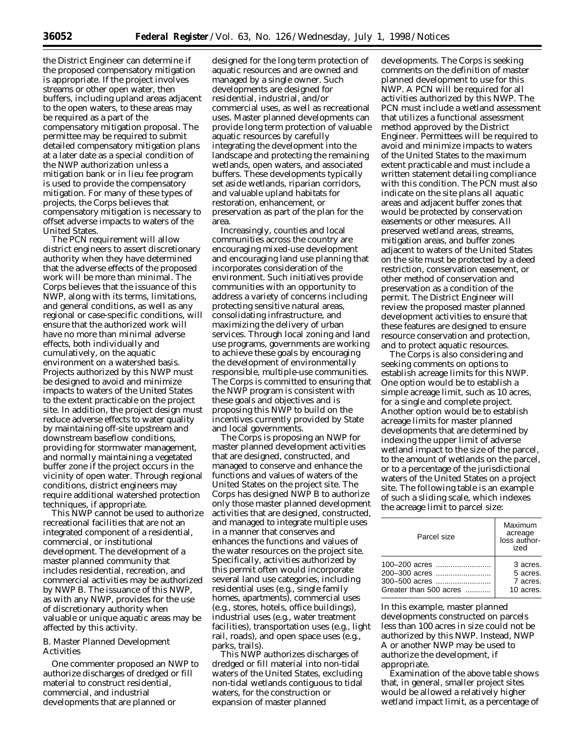the District Engineer can determine if the proposed compensatory mitigation is appropriate. If the project involves streams or other open water, then buffers, including upland areas adjacent to the open waters, to these areas may be required as a part of the compensatory mitigation proposal. The permittee may be required to submit detailed compensatory mitigation plans at a later date as a special condition of the NWP authorization unless a mitigation bank or in lieu fee program is used to provide the compensatory mitigation. For many of these types of projects, the Corps believes that compensatory mitigation is necessary to offset adverse impacts to waters of the United States.

The PCN requirement will allow district engineers to assert discretionary authority when they have determined that the adverse effects of the proposed work will be more than minimal. The Corps believes that the issuance of this NWP, along with its terms, limitations, and general conditions, as well as any regional or case-specific conditions, will ensure that the authorized work will have no more than minimal adverse effects, both individually and cumulatively, on the aquatic environment on a watershed basis. Projects authorized by this NWP must be designed to avoid and minimize impacts to waters of the United States to the extent practicable on the project site. In addition, the project design must reduce adverse effects to water quality by maintaining off-site upstream and downstream baseflow conditions, providing for stormwater management, and normally maintaining a vegetated buffer zone if the project occurs in the vicinity of open water. Through regional conditions, district engineers may require additional watershed protection techniques, if appropriate.

This NWP cannot be used to authorize recreational facilities that are not an integrated component of a residential, commercial, or institutional development. The development of a master planned community that includes residential, recreation, and commercial activities may be authorized by NWP B. The issuance of this NWP, as with any NWP, provides for the use of discretionary authority when valuable or unique aquatic areas may be affected by this activity.

# *B. Master Planned Development Activities*

One commenter proposed an NWP to authorize discharges of dredged or fill material to construct residential, commercial, and industrial developments that are planned or

designed for the long term protection of aquatic resources and are owned and managed by a single owner. Such developments are designed for residential, industrial, and/or commercial uses, as well as recreational uses. Master planned developments can provide long term protection of valuable aquatic resources by carefully integrating the development into the landscape and protecting the remaining wetlands, open waters, and associated buffers. These developments typically set aside wetlands, riparian corridors, and valuable upland habitats for restoration, enhancement, or preservation as part of the plan for the area.

Increasingly, counties and local communities across the country are encouraging mixed-use development and encouraging land use planning that incorporates consideration of the environment. Such initiatives provide communities with an opportunity to address a variety of concerns including protecting sensitive natural areas, consolidating infrastructure, and maximizing the delivery of urban services. Through local zoning and land use programs, governments are working to achieve these goals by encouraging the development of environmentally responsible, multiple-use communities. The Corps is committed to ensuring that the NWP program is consistent with these goals and objectives and is proposing this NWP to build on the incentives currently provided by State and local governments.

The Corps is proposing an NWP for master planned development activities that are designed, constructed, and managed to conserve and enhance the functions and values of waters of the United States on the project site. The Corps has designed NWP B to authorize only those master planned development activities that are designed, constructed, and managed to integrate multiple uses in a manner that conserves and enhances the functions and values of the water resources on the project site. Specifically, activities authorized by this permit often would incorporate several land use categories, including residential uses (e.g., single family homes, apartments), commercial uses (e.g., stores, hotels, office buildings), industrial uses (e.g., water treatment facilities), transportation uses (e.g., light rail, roads), and open space uses (e.g., parks, trails).

This NWP authorizes discharges of dredged or fill material into non-tidal waters of the United States, excluding non-tidal wetlands contiguous to tidal waters, for the construction or expansion of master planned

developments. The Corps is seeking comments on the definition of master planned development to use for this NWP. A PCN will be required for all activities authorized by this NWP. The PCN must include a wetland assessment that utilizes a functional assessment method approved by the District Engineer. Permittees will be required to avoid and minimize impacts to waters of the United States to the maximum extent practicable and must include a written statement detailing compliance with this condition. The PCN must also indicate on the site plans all aquatic areas and adjacent buffer zones that would be protected by conservation easements or other measures. All preserved wetland areas, streams, mitigation areas, and buffer zones adjacent to waters of the United States on the site must be protected by a deed restriction, conservation easement, or other method of conservation and preservation as a condition of the permit. The District Engineer will review the proposed master planned development activities to ensure that these features are designed to ensure resource conservation and protection, and to protect aquatic resources.

The Corps is also considering and seeking comments on options to establish acreage limits for this NWP. One option would be to establish a simple acreage limit, such as 10 acres, for a single and complete project. Another option would be to establish acreage limits for master planned developments that are determined by indexing the upper limit of adverse wetland impact to the size of the parcel, to the amount of wetlands on the parcel, or to a percentage of the jurisdictional waters of the United States on a project site. The following table is an example of such a sliding scale, which indexes the acreage limit to parcel size:

| Parcel size                    | Maximum<br>acreage<br>loss author-<br>ized |
|--------------------------------|--------------------------------------------|
| 100-200 acres<br>200–300 acres | 3 acres.<br>5 acres.                       |
| 300-500 acres                  | 7 acres.                                   |
| Greater than 500 acres         | 10 acres.                                  |

In this example, master planned developments constructed on parcels less than 100 acres in size could not be authorized by this NWP. Instead, NWP A or another NWP may be used to authorize the development, if appropriate.

Examination of the above table shows that, in general, smaller project sites would be allowed a relatively higher wetland impact limit, as a percentage of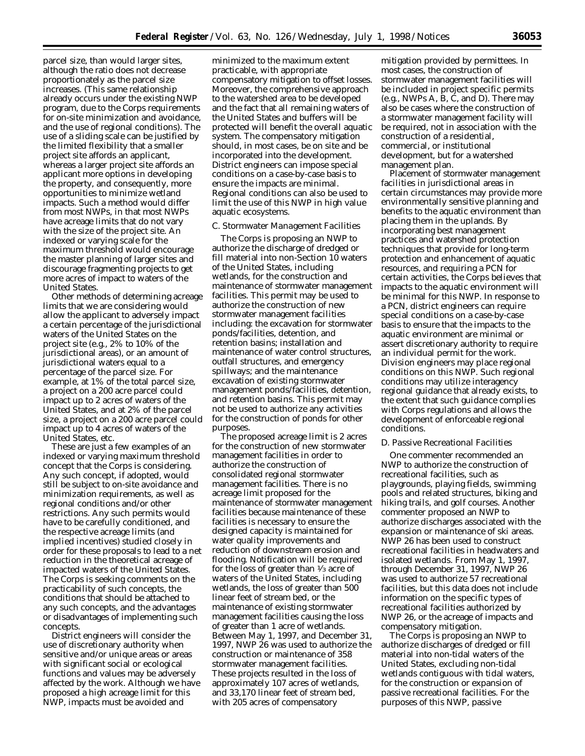parcel size, than would larger sites, although the ratio does not decrease proportionately as the parcel size increases. (This same relationship already occurs under the existing NWP program, due to the Corps requirements for on-site minimization and avoidance, and the use of regional conditions). The use of a sliding scale can be justified by the limited flexibility that a smaller project site affords an applicant, whereas a larger project site affords an applicant more options in developing the property, and consequently, more opportunities to minimize wetland impacts. Such a method would differ from most NWPs, in that most NWPs have acreage limits that do not vary with the size of the project site. An indexed or varying scale for the maximum threshold would encourage the master planning of larger sites and discourage fragmenting projects to get more acres of impact to waters of the United States.

Other methods of determining acreage limits that we are considering would allow the applicant to adversely impact a certain percentage of the jurisdictional waters of the United States on the project site (e.g., 2% to 10% of the jurisdictional areas), or an amount of jurisdictional waters equal to a percentage of the parcel size. For example, at 1% of the total parcel size, a project on a 200 acre parcel could impact up to 2 acres of waters of the United States, and at 2% of the parcel size, a project on a 200 acre parcel could impact up to 4 acres of waters of the United States, etc.

These are just a few examples of an indexed or varying maximum threshold concept that the Corps is considering. Any such concept, if adopted, would still be subject to on-site avoidance and minimization requirements, as well as regional conditions and/or other restrictions. Any such permits would have to be carefully conditioned, and the respective acreage limits (and implied incentives) studied closely in order for these proposals to lead to a net reduction in the theoretical acreage of impacted waters of the United States. The Corps is seeking comments on the practicability of such concepts, the conditions that should be attached to any such concepts, and the advantages or disadvantages of implementing such concepts.

District engineers will consider the use of discretionary authority when sensitive and/or unique areas or areas with significant social or ecological functions and values may be adversely affected by the work. Although we have proposed a high acreage limit for this NWP, impacts must be avoided and

minimized to the maximum extent practicable, with appropriate compensatory mitigation to offset losses. Moreover, the comprehensive approach to the watershed area to be developed and the fact that all remaining waters of the United States and buffers will be protected will benefit the overall aquatic system. The compensatory mitigation should, in most cases, be on site and be incorporated into the development. District engineers can impose special conditions on a case-by-case basis to ensure the impacts are minimal. Regional conditions can also be used to limit the use of this NWP in high value aquatic ecosystems.

# *C. Stormwater Management Facilities*

The Corps is proposing an NWP to authorize the discharge of dredged or fill material into non-Section 10 waters of the United States, including wetlands, for the construction and maintenance of stormwater management facilities. This permit may be used to authorize the construction of new stormwater management facilities including: the excavation for stormwater ponds/facilities, detention, and retention basins; installation and maintenance of water control structures, outfall structures, and emergency spillways; and the maintenance excavation of existing stormwater management ponds/facilities, detention, and retention basins. This permit may not be used to authorize any activities for the construction of ponds for other purposes.

The proposed acreage limit is 2 acres for the construction of new stormwater management facilities in order to authorize the construction of consolidated regional stormwater management facilities. There is no acreage limit proposed for the maintenance of stormwater management facilities because maintenance of these facilities is necessary to ensure the designed capacity is maintained for water quality improvements and reduction of downstream erosion and flooding. Notification will be required for the loss of greater than 1⁄3 acre of waters of the United States, including wetlands, the loss of greater than 500 linear feet of stream bed, or the maintenance of existing stormwater management facilities causing the loss of greater than 1 acre of wetlands. Between May 1, 1997, and December 31, 1997, NWP 26 was used to authorize the construction or maintenance of 358 stormwater management facilities. These projects resulted in the loss of approximately 107 acres of wetlands, and 33,170 linear feet of stream bed, with 205 acres of compensatory

mitigation provided by permittees. In most cases, the construction of stormwater management facilities will be included in project specific permits (e.g., NWPs A, B, C, and D). There may also be cases where the construction of a stormwater management facility will be required, not in association with the construction of a residential, commercial, or institutional development, but for a watershed management plan.

Placement of stormwater management facilities in jurisdictional areas in certain circumstances may provide more environmentally sensitive planning and benefits to the aquatic environment than placing them in the uplands. By incorporating best management practices and watershed protection techniques that provide for long-term protection and enhancement of aquatic resources, and requiring a PCN for certain activities, the Corps believes that impacts to the aquatic environment will be minimal for this NWP. In response to a PCN, district engineers can require special conditions on a case-by-case basis to ensure that the impacts to the aquatic environment are minimal or assert discretionary authority to require an individual permit for the work. Division engineers may place regional conditions on this NWP. Such regional conditions may utilize interagency regional guidance that already exists, to the extent that such guidance complies with Corps regulations and allows the development of enforceable regional conditions.

#### *D. Passive Recreational Facilities*

One commenter recommended an NWP to authorize the construction of recreational facilities, such as playgrounds, playing fields, swimming pools and related structures, biking and hiking trails, and golf courses. Another commenter proposed an NWP to authorize discharges associated with the expansion or maintenance of ski areas. NWP 26 has been used to construct recreational facilities in headwaters and isolated wetlands. From May 1, 1997, through December 31, 1997, NWP 26 was used to authorize 57 recreational facilities, but this data does not include information on the specific types of recreational facilities authorized by NWP 26, or the acreage of impacts and compensatory mitigation.

The Corps is proposing an NWP to authorize discharges of dredged or fill material into non-tidal waters of the United States, excluding non-tidal wetlands contiguous with tidal waters, for the construction or expansion of passive recreational facilities. For the purposes of this NWP, passive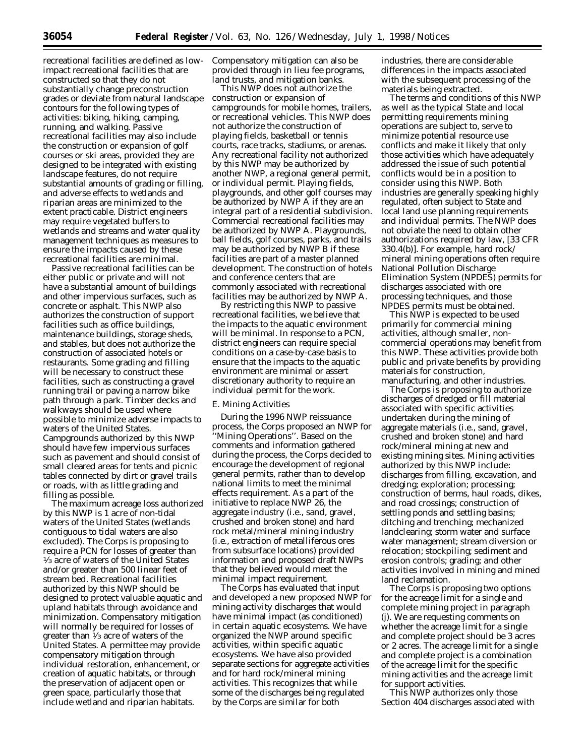recreational facilities are defined as lowimpact recreational facilities that are constructed so that they do not substantially change preconstruction grades or deviate from natural landscape contours for the following types of activities: biking, hiking, camping, running, and walking. Passive recreational facilities may also include the construction or expansion of golf courses or ski areas, provided they are designed to be integrated with existing landscape features, do not require substantial amounts of grading or filling, and adverse effects to wetlands and riparian areas are minimized to the extent practicable. District engineers may require vegetated buffers to wetlands and streams and water quality management techniques as measures to ensure the impacts caused by these recreational facilities are minimal.

Passive recreational facilities can be either public or private and will not have a substantial amount of buildings and other impervious surfaces, such as concrete or asphalt. This NWP also authorizes the construction of support facilities such as office buildings, maintenance buildings, storage sheds, and stables, but does not authorize the construction of associated hotels or restaurants. Some grading and filling will be necessary to construct these facilities, such as constructing a gravel running trail or paving a narrow bike path through a park. Timber decks and walkways should be used where possible to minimize adverse impacts to waters of the United States. Campgrounds authorized by this NWP should have few impervious surfaces such as pavement and should consist of small cleared areas for tents and picnic tables connected by dirt or gravel trails or roads, with as little grading and filling as possible.

The maximum acreage loss authorized by this NWP is 1 acre of non-tidal waters of the United States (wetlands contiguous to tidal waters are also excluded). The Corps is proposing to require a PCN for losses of greater than 1⁄3 acre of waters of the United States and/or greater than 500 linear feet of stream bed. Recreational facilities authorized by this NWP should be designed to protect valuable aquatic and upland habitats through avoidance and minimization. Compensatory mitigation will normally be required for losses of greater than 1⁄3 acre of waters of the United States. A permittee may provide compensatory mitigation through individual restoration, enhancement, or creation of aquatic habitats, or through the preservation of adjacent open or green space, particularly those that include wetland and riparian habitats.

Compensatory mitigation can also be provided through in lieu fee programs, land trusts, and mitigation banks.

This NWP does not authorize the construction or expansion of campgrounds for mobile homes, trailers, or recreational vehicles. This NWP does not authorize the construction of playing fields, basketball or tennis courts, race tracks, stadiums, or arenas. Any recreational facility not authorized by this NWP may be authorized by another NWP, a regional general permit, or individual permit. Playing fields, playgrounds, and other golf courses may be authorized by NWP A if they are an integral part of a residential subdivision. Commercial recreational facilities may be authorized by NWP A. Playgrounds, ball fields, golf courses, parks, and trails may be authorized by NWP B if these facilities are part of a master planned development. The construction of hotels and conference centers that are commonly associated with recreational facilities may be authorized by NWP A.

By restricting this NWP to passive recreational facilities, we believe that the impacts to the aquatic environment will be minimal. In response to a PCN, district engineers can require special conditions on a case-by-case basis to ensure that the impacts to the aquatic environment are minimal or assert discretionary authority to require an individual permit for the work.

## *E. Mining Activities*

During the 1996 NWP reissuance process, the Corps proposed an NWP for ''Mining Operations''. Based on the comments and information gathered during the process, the Corps decided to encourage the development of regional general permits, rather than to develop national limits to meet the minimal effects requirement. As a part of the initiative to replace NWP 26, the aggregate industry (i.e., sand, gravel, crushed and broken stone) and hard rock metal/mineral mining industry (i.e., extraction of metalliferous ores from subsurface locations) provided information and proposed draft NWPs that they believed would meet the minimal impact requirement.

The Corps has evaluated that input and developed a new proposed NWP for mining activity discharges that would have minimal impact (as conditioned) in certain aquatic ecosystems. We have organized the NWP around specific activities, within specific aquatic ecosystems. We have also provided separate sections for aggregate activities and for hard rock/mineral mining activities. This recognizes that while some of the discharges being regulated by the Corps are similar for both

industries, there are considerable differences in the impacts associated with the subsequent processing of the materials being extracted.

The terms and conditions of this NWP as well as the typical State and local permitting requirements mining operations are subject to, serve to minimize potential resource use conflicts and make it likely that only those activities which have adequately addressed the issue of such potential conflicts would be in a position to consider using this NWP. Both industries are generally speaking highly regulated, often subject to State and local land use planning requirements and individual permits. The NWP does not obviate the need to obtain other authorizations required by law, [33 CFR 330.4(b)]. For example, hard rock/ mineral mining operations often require National Pollution Discharge Elimination System (NPDES) permits for discharges associated with ore processing techniques, and those NPDES permits must be obtained.

This NWP is expected to be used primarily for commercial mining activities, although smaller, noncommercial operations may benefit from this NWP. These activities provide both public and private benefits by providing materials for construction, manufacturing, and other industries.

The Corps is proposing to authorize discharges of dredged or fill material associated with specific activities undertaken during the mining of aggregate materials (i.e., sand, gravel, crushed and broken stone) and hard rock/mineral mining at new and existing mining sites. Mining activities authorized by this NWP include: discharges from filling, excavation, and dredging; exploration; processing; construction of berms, haul roads, dikes, and road crossings; construction of settling ponds and settling basins; ditching and trenching; mechanized landclearing; storm water and surface water management; stream diversion or relocation; stockpiling; sediment and erosion controls; grading; and other activities involved in mining and mined land reclamation.

The Corps is proposing two options for the acreage limit for a single and complete mining project in paragraph (j). We are requesting comments on whether the acreage limit for a single and complete project should be 3 acres or 2 acres. The acreage limit for a single and complete project is a combination of the acreage limit for the specific mining activities and the acreage limit for support activities.

This NWP authorizes only those Section 404 discharges associated with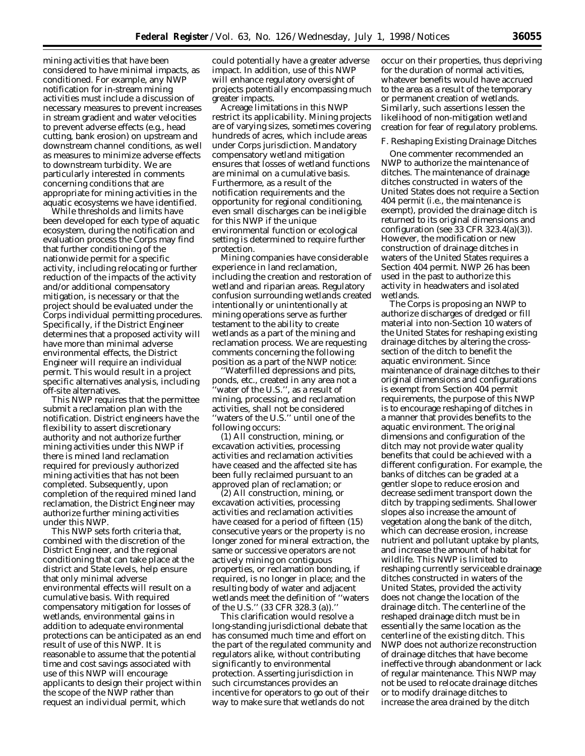mining activities that have been considered to have minimal impacts, as conditioned. For example, any NWP notification for in-stream mining activities must include a discussion of necessary measures to prevent increases in stream gradient and water velocities to prevent adverse effects (e.g., head cutting, bank erosion) on upstream and downstream channel conditions, as well as measures to minimize adverse effects to downstream turbidity. We are particularly interested in comments concerning conditions that are appropriate for mining activities in the aquatic ecosystems we have identified.

While thresholds and limits have been developed for each type of aquatic ecosystem, during the notification and evaluation process the Corps may find that further conditioning of the nationwide permit for a specific activity, including relocating or further reduction of the impacts of the activity and/or additional compensatory mitigation, is necessary or that the project should be evaluated under the Corps individual permitting procedures. Specifically, if the District Engineer determines that a proposed activity will have more than minimal adverse environmental effects, the District Engineer will require an individual permit. This would result in a project specific alternatives analysis, including off-site alternatives.

This NWP requires that the permittee submit a reclamation plan with the notification. District engineers have the flexibility to assert discretionary authority and not authorize further mining activities under this NWP if there is mined land reclamation required for previously authorized mining activities that has not been completed. Subsequently, upon completion of the required mined land reclamation, the District Engineer may authorize further mining activities under this NWP.

This NWP sets forth criteria that, combined with the discretion of the District Engineer, and the regional conditioning that can take place at the district and State levels, help ensure that only minimal adverse environmental effects will result on a cumulative basis. With required compensatory mitigation for losses of wetlands, environmental gains in addition to adequate environmental protections can be anticipated as an end result of use of this NWP. It is reasonable to assume that the potential time and cost savings associated with use of this NWP will encourage applicants to design their project within the scope of the NWP rather than request an individual permit, which

could potentially have a greater adverse impact. In addition, use of this NWP will enhance regulatory oversight of projects potentially encompassing much greater impacts.

Acreage limitations in this NWP restrict its applicability. Mining projects are of varying sizes, sometimes covering hundreds of acres, which include areas under Corps jurisdiction. Mandatory compensatory wetland mitigation ensures that losses of wetland functions are minimal on a cumulative basis. Furthermore, as a result of the notification requirements and the opportunity for regional conditioning, even small discharges can be ineligible for this NWP if the unique environmental function or ecological setting is determined to require further protection.

Mining companies have considerable experience in land reclamation, including the creation and restoration of wetland and riparian areas. Regulatory confusion surrounding wetlands created intentionally or unintentionally at mining operations serve as further testament to the ability to create wetlands as a part of the mining and reclamation process. We are requesting comments concerning the following position as a part of the NWP notice:

''Waterfilled depressions and pits, ponds, etc., created in any area not a 'water of the U.S.'', as a result of mining, processing, and reclamation activities, shall not be considered 'waters of the U.S.'' until one of the following occurs:

(1) All construction, mining, or excavation activities, processing activities and reclamation activities have ceased and the affected site has been fully reclaimed pursuant to an approved plan of reclamation; or

(2) All construction, mining, or excavation activities, processing activities and reclamation activities have ceased for a period of fifteen (15) consecutive years or the property is no longer zoned for mineral extraction, the same or successive operators are not actively mining on contiguous properties, or reclamation bonding, if required, is no longer in place; and the resulting body of water and adjacent wetlands meet the definition of ''waters of the U.S.'' (33 CFR 328.3 (a)).''

This clarification would resolve a long-standing jurisdictional debate that has consumed much time and effort on the part of the regulated community and regulators alike, without contributing significantly to environmental protection. Asserting jurisdiction in such circumstances provides an incentive for operators to go out of their way to make sure that wetlands do not

occur on their properties, thus depriving for the duration of normal activities, whatever benefits would have accrued to the area as a result of the temporary or permanent creation of wetlands. Similarly, such assertions lessen the likelihood of non-mitigation wetland creation for fear of regulatory problems.

# *F. Reshaping Existing Drainage Ditches*

One commenter recommended an NWP to authorize the maintenance of ditches. The maintenance of drainage ditches constructed in waters of the United States does not require a Section 404 permit (i.e., the maintenance is exempt), provided the drainage ditch is returned to its original dimensions and configuration (see 33 CFR 323.4(a)(3)). However, the modification or new construction of drainage ditches in waters of the United States requires a Section 404 permit. NWP 26 has been used in the past to authorize this activity in headwaters and isolated wetlands.

The Corps is proposing an NWP to authorize discharges of dredged or fill material into non-Section 10 waters of the United States for reshaping existing drainage ditches by altering the crosssection of the ditch to benefit the aquatic environment. Since maintenance of drainage ditches to their original dimensions and configurations is exempt from Section 404 permit requirements, the purpose of this NWP is to encourage reshaping of ditches in a manner that provides benefits to the aquatic environment. The original dimensions and configuration of the ditch may not provide water quality benefits that could be achieved with a different configuration. For example, the banks of ditches can be graded at a gentler slope to reduce erosion and decrease sediment transport down the ditch by trapping sediments. Shallower slopes also increase the amount of vegetation along the bank of the ditch, which can decrease erosion, increase nutrient and pollutant uptake by plants, and increase the amount of habitat for wildlife. This NWP is limited to reshaping currently serviceable drainage ditches constructed in waters of the United States, provided the activity does not change the location of the drainage ditch. The centerline of the reshaped drainage ditch must be in essentially the same location as the centerline of the existing ditch. This NWP does not authorize reconstruction of drainage ditches that have become ineffective through abandonment or lack of regular maintenance. This NWP may not be used to relocate drainage ditches or to modify drainage ditches to increase the area drained by the ditch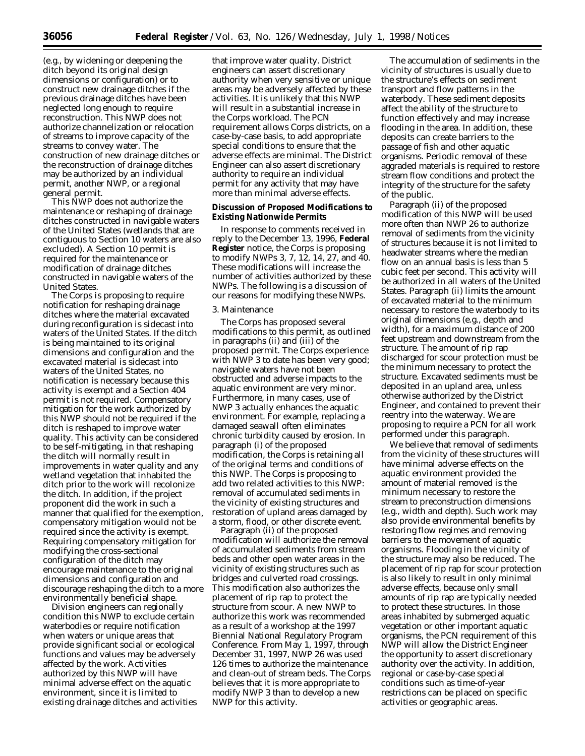(e.g., by widening or deepening the ditch beyond its original design dimensions or configuration) or to construct new drainage ditches if the previous drainage ditches have been neglected long enough to require reconstruction. This NWP does not authorize channelization or relocation of streams to improve capacity of the streams to convey water. The construction of new drainage ditches or the reconstruction of drainage ditches may be authorized by an individual permit, another NWP, or a regional general permit.

This NWP does not authorize the maintenance or reshaping of drainage ditches constructed in navigable waters of the United States (wetlands that are contiguous to Section 10 waters are also excluded). A Section 10 permit is required for the maintenance or modification of drainage ditches constructed in navigable waters of the United States.

The Corps is proposing to require notification for reshaping drainage ditches where the material excavated during reconfiguration is sidecast into waters of the United States. If the ditch is being maintained to its original dimensions and configuration and the excavated material is sidecast into waters of the United States, no notification is necessary because this activity is exempt and a Section 404 permit is not required. Compensatory mitigation for the work authorized by this NWP should not be required if the ditch is reshaped to improve water quality. This activity can be considered to be self-mitigating, in that reshaping the ditch will normally result in improvements in water quality and any wetland vegetation that inhabited the ditch prior to the work will recolonize the ditch. In addition, if the project proponent did the work in such a manner that qualified for the exemption, compensatory mitigation would not be required since the activity is exempt. Requiring compensatory mitigation for modifying the cross-sectional configuration of the ditch may encourage maintenance to the original dimensions and configuration and discourage reshaping the ditch to a more environmentally beneficial shape.

Division engineers can regionally condition this NWP to exclude certain waterbodies or require notification when waters or unique areas that provide significant social or ecological functions and values may be adversely affected by the work. Activities authorized by this NWP will have minimal adverse effect on the aquatic environment, since it is limited to existing drainage ditches and activities

that improve water quality. District engineers can assert discretionary authority when very sensitive or unique areas may be adversely affected by these activities. It is unlikely that this NWP will result in a substantial increase in the Corps workload. The PCN requirement allows Corps districts, on a case-by-case basis, to add appropriate special conditions to ensure that the adverse effects are minimal. The District Engineer can also assert discretionary authority to require an individual permit for any activity that may have more than minimal adverse effects.

# **Discussion of Proposed Modifications to Existing Nationwide Permits**

In response to comments received in reply to the December 13, 1996, **Federal Register** notice, the Corps is proposing to modify NWPs 3, 7, 12, 14, 27, and 40. These modifications will increase the number of activities authorized by these NWPs. The following is a discussion of our reasons for modifying these NWPs.

#### 3. Maintenance

The Corps has proposed several modifications to this permit, as outlined in paragraphs (ii) and (iii) of the proposed permit. The Corps experience with NWP 3 to date has been very good; navigable waters have not been obstructed and adverse impacts to the aquatic environment are very minor. Furthermore, in many cases, use of NWP 3 actually enhances the aquatic environment. For example, replacing a damaged seawall often eliminates chronic turbidity caused by erosion. In paragraph (i) of the proposed modification, the Corps is retaining all of the original terms and conditions of this NWP. The Corps is proposing to add two related activities to this NWP: removal of accumulated sediments in the vicinity of existing structures and restoration of upland areas damaged by a storm, flood, or other discrete event.

Paragraph (ii) of the proposed modification will authorize the removal of accumulated sediments from stream beds and other open water areas in the vicinity of existing structures such as bridges and culverted road crossings. This modification also authorizes the placement of rip rap to protect the structure from scour. A new NWP to authorize this work was recommended as a result of a workshop at the 1997 Biennial National Regulatory Program Conference. From May 1, 1997, through December 31, 1997, NWP 26 was used 126 times to authorize the maintenance and clean-out of stream beds. The Corps believes that it is more appropriate to modify NWP 3 than to develop a new NWP for this activity.

The accumulation of sediments in the vicinity of structures is usually due to the structure's effects on sediment transport and flow patterns in the waterbody. These sediment deposits affect the ability of the structure to function effectively and may increase flooding in the area. In addition, these deposits can create barriers to the passage of fish and other aquatic organisms. Periodic removal of these aggraded materials is required to restore stream flow conditions and protect the integrity of the structure for the safety of the public.

Paragraph (ii) of the proposed modification of this NWP will be used more often than NWP 26 to authorize removal of sediments from the vicinity of structures because it is not limited to headwater streams where the median flow on an annual basis is less than 5 cubic feet per second. This activity will be authorized in all waters of the United States. Paragraph (ii) limits the amount of excavated material to the minimum necessary to restore the waterbody to its original dimensions (e.g., depth and width), for a maximum distance of 200 feet upstream and downstream from the structure. The amount of rip rap discharged for scour protection must be the minimum necessary to protect the structure. Excavated sediments must be deposited in an upland area, unless otherwise authorized by the District Engineer, and contained to prevent their reentry into the waterway. We are proposing to require a PCN for all work performed under this paragraph.

We believe that removal of sediments from the vicinity of these structures will have minimal adverse effects on the aquatic environment provided the amount of material removed is the minimum necessary to restore the stream to preconstruction dimensions (e.g., width and depth). Such work may also provide environmental benefits by restoring flow regimes and removing barriers to the movement of aquatic organisms. Flooding in the vicinity of the structure may also be reduced. The placement of rip rap for scour protection is also likely to result in only minimal adverse effects, because only small amounts of rip rap are typically needed to protect these structures. In those areas inhabited by submerged aquatic vegetation or other important aquatic organisms, the PCN requirement of this NWP will allow the District Engineer the opportunity to assert discretionary authority over the activity. In addition, regional or case-by-case special conditions such as time-of-year restrictions can be placed on specific activities or geographic areas.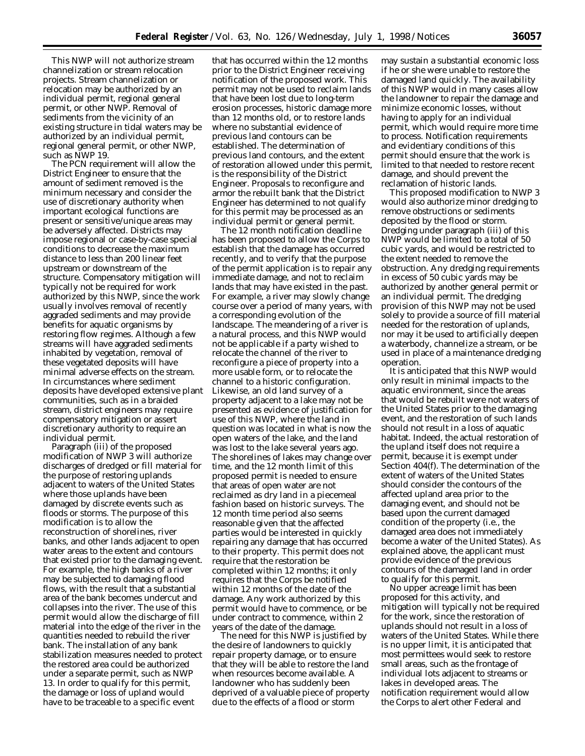This NWP will not authorize stream channelization or stream relocation projects. Stream channelization or relocation may be authorized by an individual permit, regional general permit, or other NWP. Removal of sediments from the vicinity of an existing structure in tidal waters may be authorized by an individual permit, regional general permit, or other NWP, such as NWP 19.

The PCN requirement will allow the District Engineer to ensure that the amount of sediment removed is the minimum necessary and consider the use of discretionary authority when important ecological functions are present or sensitive/unique areas may be adversely affected. Districts may impose regional or case-by-case special conditions to decrease the maximum distance to less than 200 linear feet upstream or downstream of the structure. Compensatory mitigation will typically not be required for work authorized by this NWP, since the work usually involves removal of recently aggraded sediments and may provide benefits for aquatic organisms by restoring flow regimes. Although a few streams will have aggraded sediments inhabited by vegetation, removal of these vegetated deposits will have minimal adverse effects on the stream. In circumstances where sediment deposits have developed extensive plant communities, such as in a braided stream, district engineers may require compensatory mitigation or assert discretionary authority to require an individual permit.

Paragraph (iii) of the proposed modification of NWP 3 will authorize discharges of dredged or fill material for the purpose of restoring uplands adjacent to waters of the United States where those uplands have been damaged by discrete events such as floods or storms. The purpose of this modification is to allow the reconstruction of shorelines, river banks, and other lands adjacent to open water areas to the extent and contours that existed prior to the damaging event. For example, the high banks of a river may be subjected to damaging flood flows, with the result that a substantial area of the bank becomes undercut and collapses into the river. The use of this permit would allow the discharge of fill material into the edge of the river in the quantities needed to rebuild the river bank. The installation of any bank stabilization measures needed to protect the restored area could be authorized under a separate permit, such as NWP 13. In order to qualify for this permit, the damage or loss of upland would have to be traceable to a specific event

that has occurred within the 12 months prior to the District Engineer receiving notification of the proposed work. This permit may not be used to reclaim lands that have been lost due to long-term erosion processes, historic damage more than 12 months old, or to restore lands where no substantial evidence of previous land contours can be established. The determination of previous land contours, and the extent of restoration allowed under this permit, is the responsibility of the District Engineer. Proposals to reconfigure and armor the rebuilt bank that the District Engineer has determined to not qualify for this permit may be processed as an individual permit or general permit.

The 12 month notification deadline has been proposed to allow the Corps to establish that the damage has occurred recently, and to verify that the purpose of the permit application is to repair any immediate damage, and not to reclaim lands that may have existed in the past. For example, a river may slowly change course over a period of many years, with a corresponding evolution of the landscape. The meandering of a river is a natural process, and this NWP would not be applicable if a party wished to relocate the channel of the river to reconfigure a piece of property into a more usable form, or to relocate the channel to a historic configuration. Likewise, an old land survey of a property adjacent to a lake may not be presented as evidence of justification for use of this NWP, where the land in question was located in what is now the open waters of the lake, and the land was lost to the lake several years ago. The shorelines of lakes may change over time, and the 12 month limit of this proposed permit is needed to ensure that areas of open water are not reclaimed as dry land in a piecemeal fashion based on historic surveys. The 12 month time period also seems reasonable given that the affected parties would be interested in quickly repairing any damage that has occurred to their property. This permit does not require that the restoration be completed within 12 months; it only requires that the Corps be notified within 12 months of the date of the damage. Any work authorized by this permit would have to commence, or be under contract to commence, within 2 years of the date of the damage.

The need for this NWP is justified by the desire of landowners to quickly repair property damage, or to ensure that they will be able to restore the land when resources become available. A landowner who has suddenly been deprived of a valuable piece of property due to the effects of a flood or storm

may sustain a substantial economic loss if he or she were unable to restore the damaged land quickly. The availability of this NWP would in many cases allow the landowner to repair the damage and minimize economic losses, without having to apply for an individual permit, which would require more time to process. Notification requirements and evidentiary conditions of this permit should ensure that the work is limited to that needed to restore recent damage, and should prevent the reclamation of historic lands.

This proposed modification to NWP 3 would also authorize minor dredging to remove obstructions or sediments deposited by the flood or storm. Dredging under paragraph (iii) of this NWP would be limited to a total of 50 cubic yards, and would be restricted to the extent needed to remove the obstruction. Any dredging requirements in excess of 50 cubic yards may be authorized by another general permit or an individual permit. The dredging provision of this NWP may not be used solely to provide a source of fill material needed for the restoration of uplands, nor may it be used to artificially deepen a waterbody, channelize a stream, or be used in place of a maintenance dredging operation.

It is anticipated that this NWP would only result in minimal impacts to the aquatic environment, since the areas that would be rebuilt were not waters of the United States prior to the damaging event, and the restoration of such lands should not result in a loss of aquatic habitat. Indeed, the actual restoration of the upland itself does not require a permit, because it is exempt under Section 404(f). The determination of the extent of waters of the United States should consider the contours of the affected upland area prior to the damaging event, and should not be based upon the current damaged condition of the property (i.e., the damaged area does not immediately become a water of the United States). As explained above, the applicant must provide evidence of the previous contours of the damaged land in order to qualify for this permit.

No upper acreage limit has been proposed for this activity, and mitigation will typically not be required for the work, since the restoration of uplands should not result in a loss of waters of the United States. While there is no upper limit, it is anticipated that most permittees would seek to restore small areas, such as the frontage of individual lots adjacent to streams or lakes in developed areas. The notification requirement would allow the Corps to alert other Federal and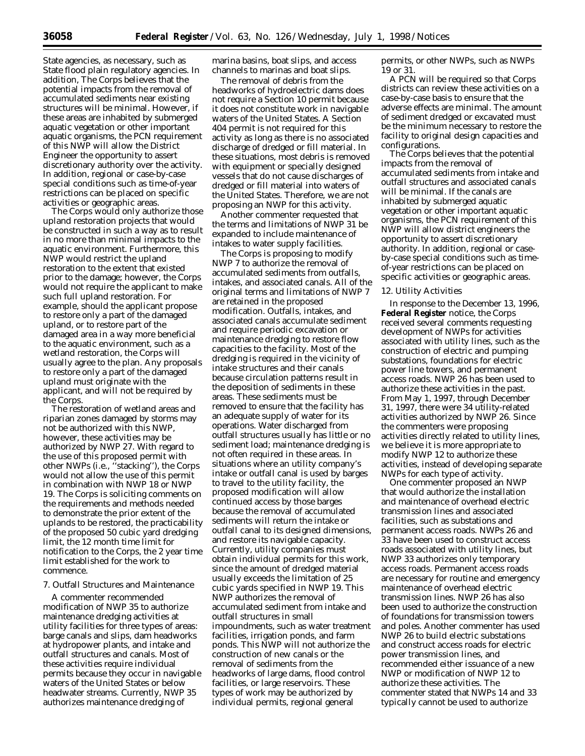State agencies, as necessary, such as State flood plain regulatory agencies. In addition, The Corps believes that the potential impacts from the removal of accumulated sediments near existing structures will be minimal. However, if these areas are inhabited by submerged aquatic vegetation or other important aquatic organisms, the PCN requirement of this NWP will allow the District Engineer the opportunity to assert discretionary authority over the activity. In addition, regional or case-by-case special conditions such as time-of-year restrictions can be placed on specific activities or geographic areas.

The Corps would only authorize those upland restoration projects that would be constructed in such a way as to result in no more than minimal impacts to the aquatic environment. Furthermore, this NWP would restrict the upland restoration to the extent that existed prior to the damage; however, the Corps would not require the applicant to make such full upland restoration. For example, should the applicant propose to restore only a part of the damaged upland, or to restore part of the damaged area in a way more beneficial to the aquatic environment, such as a wetland restoration, the Corps will usually agree to the plan. Any proposals to restore only a part of the damaged upland must originate with the applicant, and will not be required by the Corps.

The restoration of wetland areas and riparian zones damaged by storms may not be authorized with this NWP, however, these activities may be authorized by NWP 27. With regard to the use of this proposed permit with other NWPs (i.e., ''stacking''), the Corps would not allow the use of this permit in combination with NWP 18 or NWP 19. The Corps is soliciting comments on the requirements and methods needed to demonstrate the prior extent of the uplands to be restored, the practicability of the proposed 50 cubic yard dredging limit, the 12 month time limit for notification to the Corps, the 2 year time limit established for the work to commence.

#### 7. Outfall Structures and Maintenance

A commenter recommended modification of NWP 35 to authorize maintenance dredging activities at utility facilities for three types of areas: barge canals and slips, dam headworks at hydropower plants, and intake and outfall structures and canals. Most of these activities require individual permits because they occur in navigable waters of the United States or below headwater streams. Currently, NWP 35 authorizes maintenance dredging of

marina basins, boat slips, and access channels to marinas and boat slips.

The removal of debris from the headworks of hydroelectric dams does not require a Section 10 permit because it does not constitute work in navigable waters of the United States. A Section 404 permit is not required for this activity as long as there is no associated discharge of dredged or fill material. In these situations, most debris is removed with equipment or specially designed vessels that do not cause discharges of dredged or fill material into waters of the United States. Therefore, we are not proposing an NWP for this activity.

Another commenter requested that the terms and limitations of NWP 31 be expanded to include maintenance of intakes to water supply facilities.

The Corps is proposing to modify NWP 7 to authorize the removal of accumulated sediments from outfalls, intakes, and associated canals. All of the original terms and limitations of NWP 7 are retained in the proposed modification. Outfalls, intakes, and associated canals accumulate sediment and require periodic excavation or maintenance dredging to restore flow capacities to the facility. Most of the dredging is required in the vicinity of intake structures and their canals because circulation patterns result in the deposition of sediments in these areas. These sediments must be removed to ensure that the facility has an adequate supply of water for its operations. Water discharged from outfall structures usually has little or no sediment load; maintenance dredging is not often required in these areas. In situations where an utility company's intake or outfall canal is used by barges to travel to the utility facility, the proposed modification will allow continued access by those barges because the removal of accumulated sediments will return the intake or outfall canal to its designed dimensions, and restore its navigable capacity. Currently, utility companies must obtain individual permits for this work, since the amount of dredged material usually exceeds the limitation of 25 cubic yards specified in NWP 19. This NWP authorizes the removal of accumulated sediment from intake and outfall structures in small impoundments, such as water treatment facilities, irrigation ponds, and farm ponds. This NWP will not authorize the construction of new canals or the removal of sediments from the headworks of large dams, flood control facilities, or large reservoirs. These types of work may be authorized by individual permits, regional general

permits, or other NWPs, such as NWPs 19 or 31.

A PCN will be required so that Corps districts can review these activities on a case-by-case basis to ensure that the adverse effects are minimal. The amount of sediment dredged or excavated must be the minimum necessary to restore the facility to original design capacities and configurations.

The Corps believes that the potential impacts from the removal of accumulated sediments from intake and outfall structures and associated canals will be minimal. If the canals are inhabited by submerged aquatic vegetation or other important aquatic organisms, the PCN requirement of this NWP will allow district engineers the opportunity to assert discretionary authority. In addition, regional or caseby-case special conditions such as timeof-year restrictions can be placed on specific activities or geographic areas.

#### 12. Utility Activities

In response to the December 13, 1996, **Federal Register** notice, the Corps received several comments requesting development of NWPs for activities associated with utility lines, such as the construction of electric and pumping substations, foundations for electric power line towers, and permanent access roads. NWP 26 has been used to authorize these activities in the past. From May 1, 1997, through December 31, 1997, there were 34 utility-related activities authorized by NWP 26. Since the commenters were proposing activities directly related to utility lines, we believe it is more appropriate to modify NWP 12 to authorize these activities, instead of developing separate NWPs for each type of activity.

One commenter proposed an NWP that would authorize the installation and maintenance of overhead electric transmission lines and associated facilities, such as substations and permanent access roads. NWPs 26 and 33 have been used to construct access roads associated with utility lines, but NWP 33 authorizes only temporary access roads. Permanent access roads are necessary for routine and emergency maintenance of overhead electric transmission lines. NWP 26 has also been used to authorize the construction of foundations for transmission towers and poles. Another commenter has used NWP 26 to build electric substations and construct access roads for electric power transmission lines, and recommended either issuance of a new NWP or modification of NWP 12 to authorize these activities. The commenter stated that NWPs 14 and 33 typically cannot be used to authorize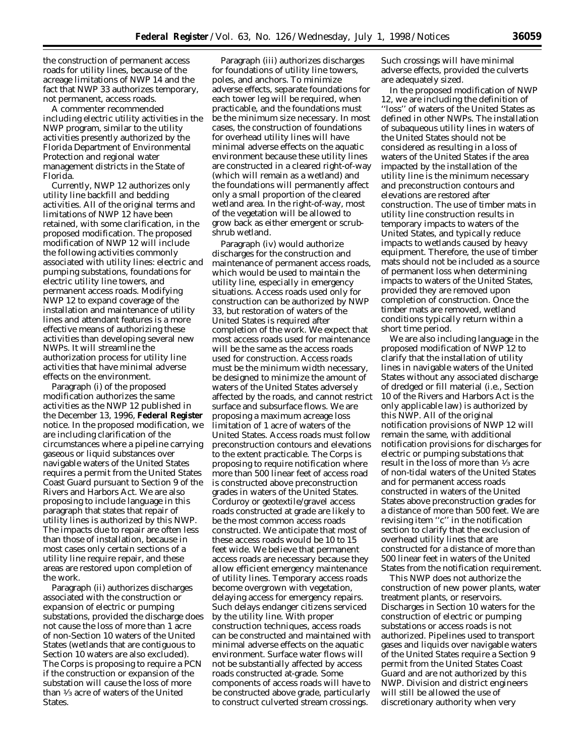the construction of permanent access roads for utility lines, because of the acreage limitations of NWP 14 and the fact that NWP 33 authorizes temporary, not permanent, access roads.

A commenter recommended including electric utility activities in the NWP program, similar to the utility activities presently authorized by the Florida Department of Environmental Protection and regional water management districts in the State of Florida.

Currently, NWP 12 authorizes only utility line backfill and bedding activities. All of the original terms and limitations of NWP 12 have been retained, with some clarification, in the proposed modification. The proposed modification of NWP 12 will include the following activities commonly associated with utility lines: electric and pumping substations, foundations for electric utility line towers, and permanent access roads. Modifying NWP 12 to expand coverage of the installation and maintenance of utility lines and attendant features is a more effective means of authorizing these activities than developing several new NWPs. It will streamline the authorization process for utility line activities that have minimal adverse effects on the environment.

Paragraph (i) of the proposed modification authorizes the same activities as the NWP 12 published in the December 13, 1996, **Federal Register** notice. In the proposed modification, we are including clarification of the circumstances where a pipeline carrying gaseous or liquid substances over navigable waters of the United States requires a permit from the United States Coast Guard pursuant to Section 9 of the Rivers and Harbors Act. We are also proposing to include language in this paragraph that states that repair of utility lines is authorized by this NWP. The impacts due to repair are often less than those of installation, because in most cases only certain sections of a utility line require repair, and these areas are restored upon completion of the work.

Paragraph (ii) authorizes discharges associated with the construction or expansion of electric or pumping substations, provided the discharge does not cause the loss of more than 1 acre of non-Section 10 waters of the United States (wetlands that are contiguous to Section 10 waters are also excluded). The Corps is proposing to require a PCN if the construction or expansion of the substation will cause the loss of more than 1⁄3 acre of waters of the United States.

Paragraph (iii) authorizes discharges for foundations of utility line towers, poles, and anchors. To minimize adverse effects, separate foundations for each tower leg will be required, when practicable, and the foundations must be the minimum size necessary. In most cases, the construction of foundations for overhead utility lines will have minimal adverse effects on the aquatic environment because these utility lines are constructed in a cleared right-of-way (which will remain as a wetland) and the foundations will permanently affect only a small proportion of the cleared wetland area. In the right-of-way, most of the vegetation will be allowed to grow back as either emergent or scrubshrub wetland.

Paragraph (iv) would authorize discharges for the construction and maintenance of permanent access roads, which would be used to maintain the utility line, especially in emergency situations. Access roads used only for construction can be authorized by NWP 33, but restoration of waters of the United States is required after completion of the work. We expect that most access roads used for maintenance will be the same as the access roads used for construction. Access roads must be the minimum width necessary, be designed to minimize the amount of waters of the United States adversely affected by the roads, and cannot restrict surface and subsurface flows. We are proposing a maximum acreage loss limitation of 1 acre of waters of the United States. Access roads must follow preconstruction contours and elevations to the extent practicable. The Corps is proposing to require notification where more than 500 linear feet of access road is constructed above preconstruction grades in waters of the United States. Corduroy or geotextile/gravel access roads constructed at grade are likely to be the most common access roads constructed. We anticipate that most of these access roads would be 10 to 15 feet wide. We believe that permanent access roads are necessary because they allow efficient emergency maintenance of utility lines. Temporary access roads become overgrown with vegetation, delaying access for emergency repairs. Such delays endanger citizens serviced by the utility line. With proper construction techniques, access roads can be constructed and maintained with minimal adverse effects on the aquatic environment. Surface water flows will not be substantially affected by access roads constructed at-grade. Some components of access roads will have to be constructed above grade, particularly to construct culverted stream crossings.

Such crossings will have minimal adverse effects, provided the culverts are adequately sized.

In the proposed modification of NWP 12, we are including the definition of ''loss'' of waters of the United States as defined in other NWPs. The installation of subaqueous utility lines in waters of the United States should not be considered as resulting in a loss of waters of the United States if the area impacted by the installation of the utility line is the minimum necessary and preconstruction contours and elevations are restored after construction. The use of timber mats in utility line construction results in temporary impacts to waters of the United States, and typically reduce impacts to wetlands caused by heavy equipment. Therefore, the use of timber mats should not be included as a source of permanent loss when determining impacts to waters of the United States, provided they are removed upon completion of construction. Once the timber mats are removed, wetland conditions typically return within a short time period.

We are also including language in the proposed modification of NWP 12 to clarify that the installation of utility lines in navigable waters of the United States without any associated discharge of dredged or fill material (i.e., Section 10 of the Rivers and Harbors Act is the only applicable law) is authorized by this NWP. All of the original notification provisions of NWP 12 will remain the same, with additional notification provisions for discharges for electric or pumping substations that result in the loss of more than 1⁄3 acre of non-tidal waters of the United States and for permanent access roads constructed in waters of the United States above preconstruction grades for a distance of more than 500 feet. We are revising item ''c'' in the notification section to clarify that the exclusion of overhead utility lines that are constructed for a distance of more than 500 linear feet in waters of the United States from the notification requirement.

This NWP does not authorize the construction of new power plants, water treatment plants, or reservoirs. Discharges in Section 10 waters for the construction of electric or pumping substations or access roads is not authorized. Pipelines used to transport gases and liquids over navigable waters of the United States require a Section 9 permit from the United States Coast Guard and are not authorized by this NWP. Division and district engineers will still be allowed the use of discretionary authority when very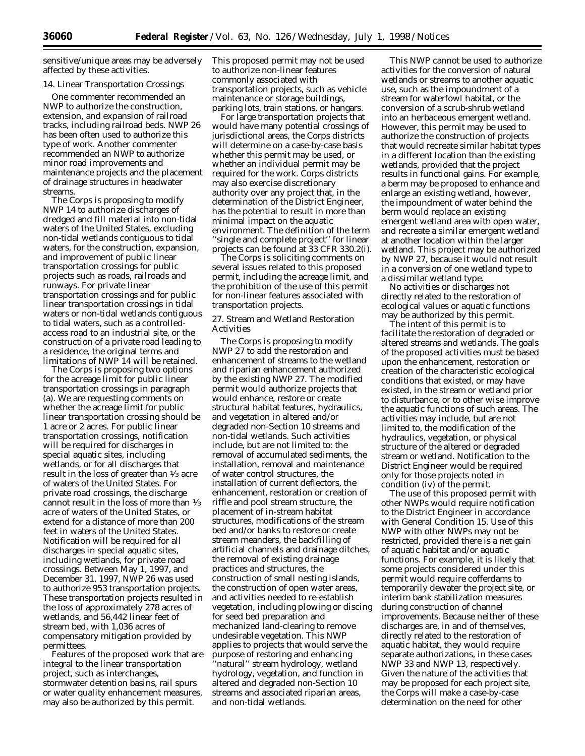sensitive/unique areas may be adversely affected by these activities.

#### 14. Linear Transportation Crossings

One commenter recommended an NWP to authorize the construction, extension, and expansion of railroad tracks, including railroad beds. NWP 26 has been often used to authorize this type of work. Another commenter recommended an NWP to authorize minor road improvements and maintenance projects and the placement of drainage structures in headwater streams.

The Corps is proposing to modify NWP 14 to authorize discharges of dredged and fill material into non-tidal waters of the United States, excluding non-tidal wetlands contiguous to tidal waters, for the construction, expansion, and improvement of public linear transportation crossings for public projects such as roads, railroads and runways. For private linear transportation crossings and for public linear transportation crossings in tidal waters or non-tidal wetlands contiguous to tidal waters, such as a controlledaccess road to an industrial site, or the construction of a private road leading to a residence, the original terms and limitations of NWP 14 will be retained.

The Corps is proposing two options for the acreage limit for public linear transportation crossings in paragraph (a). We are requesting comments on whether the acreage limit for public linear transportation crossing should be 1 acre or 2 acres. For public linear transportation crossings, notification will be required for discharges in special aquatic sites, including wetlands, or for all discharges that result in the loss of greater than 1⁄3 acre of waters of the United States. For private road crossings, the discharge cannot result in the loss of more than 1⁄3 acre of waters of the United States, or extend for a distance of more than 200 feet in waters of the United States. Notification will be required for all discharges in special aquatic sites, including wetlands, for private road crossings. Between May 1, 1997, and December 31, 1997, NWP 26 was used to authorize 953 transportation projects. These transportation projects resulted in the loss of approximately 278 acres of wetlands, and 56,442 linear feet of stream bed, with 1,036 acres of compensatory mitigation provided by permittees.

Features of the proposed work that are integral to the linear transportation project, such as interchanges, stormwater detention basins, rail spurs or water quality enhancement measures, may also be authorized by this permit.

This proposed permit may not be used to authorize non-linear features commonly associated with transportation projects, such as vehicle maintenance or storage buildings, parking lots, train stations, or hangars.

For large transportation projects that would have many potential crossings of jurisdictional areas, the Corps districts will determine on a case-by-case basis whether this permit may be used, or whether an individual permit may be required for the work. Corps districts may also exercise discretionary authority over any project that, in the determination of the District Engineer, has the potential to result in more than minimal impact on the aquatic environment. The definition of the term ''single and complete project'' for linear projects can be found at 33 CFR 330.2(i).

The Corps is soliciting comments on several issues related to this proposed permit, including the acreage limit, and the prohibition of the use of this permit for non-linear features associated with transportation projects.

27. Stream and Wetland Restoration Activities

The Corps is proposing to modify NWP 27 to add the restoration and enhancement of streams to the wetland and riparian enhancement authorized by the existing NWP 27. The modified permit would authorize projects that would enhance, restore or create structural habitat features, hydraulics, and vegetation in altered and/or degraded non-Section 10 streams and non-tidal wetlands. Such activities include, but are not limited to: the removal of accumulated sediments, the installation, removal and maintenance of water control structures, the installation of current deflectors, the enhancement, restoration or creation of riffle and pool stream structure, the placement of in-stream habitat structures, modifications of the stream bed and/or banks to restore or create stream meanders, the backfilling of artificial channels and drainage ditches, the removal of existing drainage practices and structures, the construction of small nesting islands, the construction of open water areas, and activities needed to re-establish vegetation, including plowing or discing for seed bed preparation and mechanized land-clearing to remove undesirable vegetation. This NWP applies to projects that would serve the purpose of restoring and enhancing 'natural'' stream hydrology, wetland hydrology, vegetation, and function in altered and degraded non-Section 10 streams and associated riparian areas, and non-tidal wetlands.

This NWP cannot be used to authorize activities for the conversion of natural wetlands or streams to another aquatic use, such as the impoundment of a stream for waterfowl habitat, or the conversion of a scrub-shrub wetland into an herbaceous emergent wetland. However, this permit may be used to authorize the construction of projects that would recreate similar habitat types in a different location than the existing wetlands, provided that the project results in functional gains. For example, a berm may be proposed to enhance and enlarge an existing wetland, however, the impoundment of water behind the berm would replace an existing emergent wetland area with open water, and recreate a similar emergent wetland at another location within the larger wetland. This project may be authorized by NWP 27, because it would not result in a conversion of one wetland type to a dissimilar wetland type.

No activities or discharges not directly related to the restoration of ecological values or aquatic functions may be authorized by this permit.

The intent of this permit is to facilitate the restoration of degraded or altered streams and wetlands. The goals of the proposed activities must be based upon the enhancement, restoration or creation of the characteristic ecological conditions that existed, or may have existed, in the stream or wetland prior to disturbance, or to other wise improve the aquatic functions of such areas. The activities may include, but are not limited to, the modification of the hydraulics, vegetation, or physical structure of the altered or degraded stream or wetland. Notification to the District Engineer would be required only for those projects noted in condition (iv) of the permit.

The use of this proposed permit with other NWPs would require notification to the District Engineer in accordance with General Condition 15. Use of this NWP with other NWPs may not be restricted, provided there is a net gain of aquatic habitat and/or aquatic functions. For example, it is likely that some projects considered under this permit would require cofferdams to temporarily dewater the project site, or interim bank stabilization measures during construction of channel improvements. Because neither of these discharges are, in and of themselves, directly related to the restoration of aquatic habitat, they would require separate authorizations, in these cases NWP 33 and NWP 13, respectively. Given the nature of the activities that may be proposed for each project site, the Corps will make a case-by-case determination on the need for other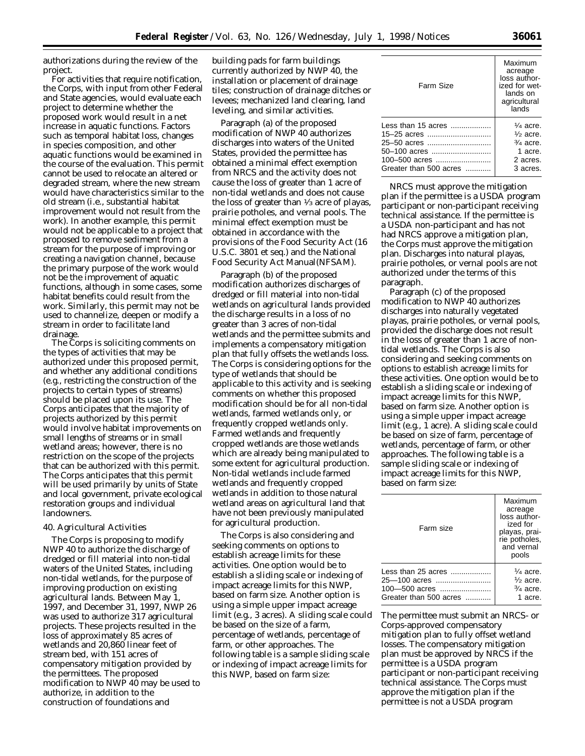authorizations during the review of the project.

For activities that require notification, the Corps, with input from other Federal and State agencies, would evaluate each project to determine whether the proposed work would result in a net increase in aquatic functions. Factors such as temporal habitat loss, changes in species composition, and other aquatic functions would be examined in the course of the evaluation. This permit cannot be used to relocate an altered or degraded stream, where the new stream would have characteristics similar to the old stream (i.e., substantial habitat improvement would not result from the work). In another example, this permit would not be applicable to a project that proposed to remove sediment from a stream for the purpose of improving or creating a navigation channel, because the primary purpose of the work would not be the improvement of aquatic functions, although in some cases, some habitat benefits could result from the work. Similarly, this permit may not be used to channelize, deepen or modify a stream in order to facilitate land drainage.

The Corps is soliciting comments on the types of activities that may be authorized under this proposed permit, and whether any additional conditions (e.g., restricting the construction of the projects to certain types of streams) should be placed upon its use. The Corps anticipates that the majority of projects authorized by this permit would involve habitat improvements on small lengths of streams or in small wetland areas; however, there is no restriction on the scope of the projects that can be authorized with this permit. The Corps anticipates that this permit will be used primarily by units of State and local government, private ecological restoration groups and individual landowners.

## 40. Agricultural Activities

The Corps is proposing to modify NWP 40 to authorize the discharge of dredged or fill material into non-tidal waters of the United States, including non-tidal wetlands, for the purpose of improving production on existing agricultural lands. Between May 1, 1997, and December 31, 1997, NWP 26 was used to authorize 317 agricultural projects. These projects resulted in the loss of approximately 85 acres of wetlands and 20,860 linear feet of stream bed, with 151 acres of compensatory mitigation provided by the permittees. The proposed modification to NWP 40 may be used to authorize, in addition to the construction of foundations and

building pads for farm buildings currently authorized by NWP 40, the installation or placement of drainage tiles; construction of drainage ditches or levees; mechanized land clearing, land leveling, and similar activities.

Paragraph (a) of the proposed modification of NWP 40 authorizes discharges into waters of the United States, provided the permittee has obtained a minimal effect exemption from NRCS and the activity does not cause the loss of greater than 1 acre of non-tidal wetlands and does not cause the loss of greater than 1⁄3 acre of playas, prairie potholes, and vernal pools. The minimal effect exemption must be obtained in accordance with the provisions of the Food Security Act (16 U.S.C. 3801 *et seq.*) and the National Food Security Act Manual(NFSAM).

Paragraph (b) of the proposed modification authorizes discharges of dredged or fill material into non-tidal wetlands on agricultural lands provided the discharge results in a loss of no greater than 3 acres of non-tidal wetlands and the permittee submits and implements a compensatory mitigation plan that fully offsets the wetlands loss. The Corps is considering options for the type of wetlands that should be applicable to this activity and is seeking comments on whether this proposed modification should be for all non-tidal wetlands, farmed wetlands only, or frequently cropped wetlands only. Farmed wetlands and frequently cropped wetlands are those wetlands which are already being manipulated to some extent for agricultural production. Non-tidal wetlands include farmed wetlands and frequently cropped wetlands in addition to those natural wetland areas on agricultural land that have not been previously manipulated for agricultural production.

The Corps is also considering and seeking comments on options to establish acreage limits for these activities. One option would be to establish a sliding scale or indexing of impact acreage limits for this NWP, based on farm size. Another option is using a simple upper impact acreage limit (e.g., 3 acres). A sliding scale could be based on the size of a farm, percentage of wetlands, percentage of farm, or other approaches. The following table is a sample sliding scale or indexing of impact acreage limits for this NWP, based on farm size:

| Farm Size              | Maximum<br>acreage<br>loss author-<br>ized for wet-<br>lands on<br>agricultural<br>lands |
|------------------------|------------------------------------------------------------------------------------------|
| Less than 15 acres     | $\frac{1}{4}$ acre.                                                                      |
| 15-25 acres            | $\frac{1}{2}$ acre.                                                                      |
| 25-50 acres            | $\frac{3}{4}$ acre.                                                                      |
| 50–100 acres           | 1 acre.                                                                                  |
| 100–500 acres          | 2 acres.                                                                                 |
| Greater than 500 acres | 3 acres.                                                                                 |

NRCS must approve the mitigation plan if the permittee is a USDA program participant or non-participant receiving technical assistance. If the permittee is a USDA non-participant and has not had NRCS approve a mitigation plan, the Corps must approve the mitigation plan. Discharges into natural playas, prairie potholes, or vernal pools are not authorized under the terms of this paragraph.

Paragraph (c) of the proposed modification to NWP 40 authorizes discharges into naturally vegetated playas, prairie potholes, or vernal pools, provided the discharge does not result in the loss of greater than 1 acre of nontidal wetlands. The Corps is also considering and seeking comments on options to establish acreage limits for these activities. One option would be to establish a sliding scale or indexing of impact acreage limits for this NWP, based on farm size. Another option is using a simple upper impact acreage limit (e.g., 1 acre). A sliding scale could be based on size of farm, percentage of wetlands, percentage of farm, or other approaches. The following table is a sample sliding scale or indexing of impact acreage limits for this NWP, based on farm size:

| Farm size                                           | Maximum<br>acreage<br>loss author-<br>ized for<br>playas, prai-<br>rie potholes,<br>and vernal<br>pools |
|-----------------------------------------------------|---------------------------------------------------------------------------------------------------------|
| Less than 25 acres<br>25—100 acres<br>100-500 acres | $\frac{1}{4}$ acre.<br>$\frac{1}{2}$ acre.<br>$\frac{3}{4}$ acre.                                       |
| Greater than 500 acres                              | 1 acre.                                                                                                 |

The permittee must submit an NRCS- or Corps-approved compensatory mitigation plan to fully offset wetland losses. The compensatory mitigation plan must be approved by NRCS if the permittee is a USDA program participant or non-participant receiving technical assistance. The Corps must approve the mitigation plan if the permittee is not a USDA program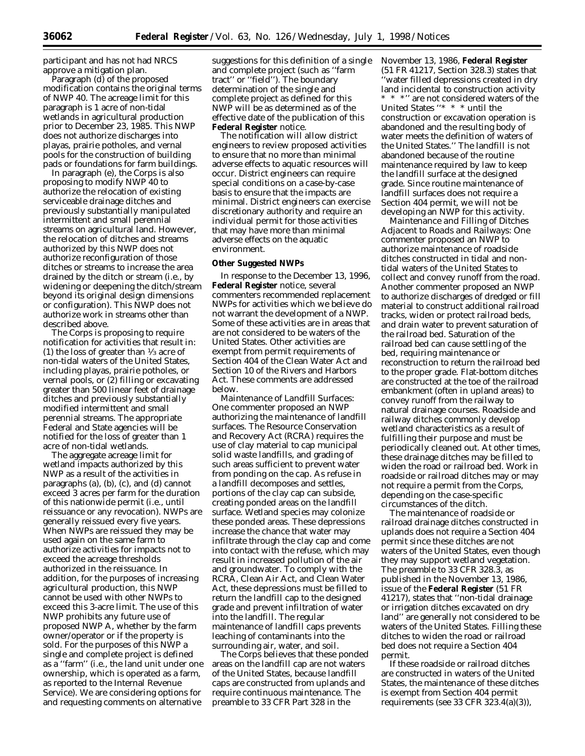participant and has not had NRCS approve a mitigation plan.

Paragraph (d) of the proposed modification contains the original terms of NWP 40. The acreage limit for this paragraph is 1 acre of non-tidal wetlands in agricultural production prior to December 23, 1985. This NWP does not authorize discharges into playas, prairie potholes, and vernal pools for the construction of building pads or foundations for farm buildings.

In paragraph (e), the Corps is also proposing to modify NWP 40 to authorize the relocation of existing serviceable drainage ditches and previously substantially manipulated intermittent and small perennial streams on agricultural land. However, the relocation of ditches and streams authorized by this NWP does not authorize reconfiguration of those ditches or streams to increase the area drained by the ditch or stream (i.e., by widening or deepening the ditch/stream beyond its original design dimensions or configuration). This NWP does not authorize work in streams other than described above.

The Corps is proposing to require notification for activities that result in: (1) the loss of greater than  $\frac{1}{3}$  acre of non-tidal waters of the United States, including playas, prairie potholes, or vernal pools, or (2) filling or excavating greater than 500 linear feet of drainage ditches and previously substantially modified intermittent and small perennial streams. The appropriate Federal and State agencies will be notified for the loss of greater than 1 acre of non-tidal wetlands.

The aggregate acreage limit for wetland impacts authorized by this NWP as a result of the activities in paragraphs (a), (b), (c), and (d) cannot exceed 3 acres per farm for the duration of this nationwide permit (i.e., until reissuance or any revocation). NWPs are generally reissued every five years. When NWPs are reissued they may be used again on the same farm to authorize activities for impacts not to exceed the acreage thresholds authorized in the reissuance. In addition, for the purposes of increasing agricultural production, this NWP cannot be used with other NWPs to exceed this 3-acre limit. The use of this NWP prohibits any future use of proposed NWP A, whether by the farm owner/operator or if the property is sold. For the purposes of this NWP a single and complete project is defined as a ''farm'' (i.e., the land unit under one ownership, which is operated as a farm, as reported to the Internal Revenue Service). We are considering options for and requesting comments on alternative

suggestions for this definition of a single and complete project (such as ''farm tract'' or ''field''). The boundary determination of the single and complete project as defined for this NWP will be as determined as of the effective date of the publication of this **Federal Register** notice.

The notification will allow district engineers to review proposed activities to ensure that no more than minimal adverse effects to aquatic resources will occur. District engineers can require special conditions on a case-by-case basis to ensure that the impacts are minimal. District engineers can exercise discretionary authority and require an individual permit for those activities that may have more than minimal adverse effects on the aquatic environment.

#### **Other Suggested NWPs**

In response to the December 13, 1996, **Federal Register** notice, several commenters recommended replacement NWPs for activities which we believe do not warrant the development of a NWP. Some of these activities are in areas that are not considered to be waters of the United States. Other activities are exempt from permit requirements of Section 404 of the Clean Water Act and Section 10 of the Rivers and Harbors Act. These comments are addressed below.

*Maintenance of Landfill Surfaces:* One commenter proposed an NWP authorizing the maintenance of landfill surfaces. The Resource Conservation and Recovery Act (RCRA) requires the use of clay material to cap municipal solid waste landfills, and grading of such areas sufficient to prevent water from ponding on the cap. As refuse in a landfill decomposes and settles, portions of the clay cap can subside, creating ponded areas on the landfill surface. Wetland species may colonize these ponded areas. These depressions increase the chance that water may infiltrate through the clay cap and come into contact with the refuse, which may result in increased pollution of the air and groundwater. To comply with the RCRA, Clean Air Act, and Clean Water Act, these depressions must be filled to return the landfill cap to the designed grade and prevent infiltration of water into the landfill. The regular maintenance of landfill caps prevents leaching of contaminants into the surrounding air, water, and soil.

The Corps believes that these ponded areas on the landfill cap are not waters of the United States, because landfill caps are constructed from uplands and require continuous maintenance. The preamble to 33 CFR Part 328 in the

November 13, 1986, **Federal Register** (51 FR 41217, Section 328.3) states that 'water filled depressions created in dry land incidental to construction activity \* \* \*'' are not considered waters of the United States ''\* \* \* until the construction or excavation operation is abandoned and the resulting body of water meets the definition of waters of the United States.'' The landfill is not abandoned because of the routine maintenance required by law to keep the landfill surface at the designed grade. Since routine maintenance of landfill surfaces does not require a Section 404 permit, we will not be developing an NWP for this activity.

*Maintenance and Filling of Ditches Adjacent to Roads and Railways:* One commenter proposed an NWP to authorize maintenance of roadside ditches constructed in tidal and nontidal waters of the United States to collect and convey runoff from the road. Another commenter proposed an NWP to authorize discharges of dredged or fill material to construct additional railroad tracks, widen or protect railroad beds, and drain water to prevent saturation of the railroad bed. Saturation of the railroad bed can cause settling of the bed, requiring maintenance or reconstruction to return the railroad bed to the proper grade. Flat-bottom ditches are constructed at the toe of the railroad embankment (often in upland areas) to convey runoff from the railway to natural drainage courses. Roadside and railway ditches commonly develop wetland characteristics as a result of fulfilling their purpose and must be periodically cleaned out. At other times, these drainage ditches may be filled to widen the road or railroad bed. Work in roadside or railroad ditches may or may not require a permit from the Corps, depending on the case-specific circumstances of the ditch.

The maintenance of roadside or railroad drainage ditches constructed in uplands does not require a Section 404 permit since these ditches are not waters of the United States, even though they may support wetland vegetation. The preamble to 33 CFR 328.3, as published in the November 13, 1986, issue of the **Federal Register** (51 FR 41217), states that ''non-tidal drainage or irrigation ditches excavated on dry land'' are generally not considered to be waters of the United States. Filling these ditches to widen the road or railroad bed does not require a Section 404 permit.

If these roadside or railroad ditches are constructed in waters of the United States, the maintenance of these ditches is exempt from Section 404 permit requirements (see 33 CFR 323.4(a)(3)),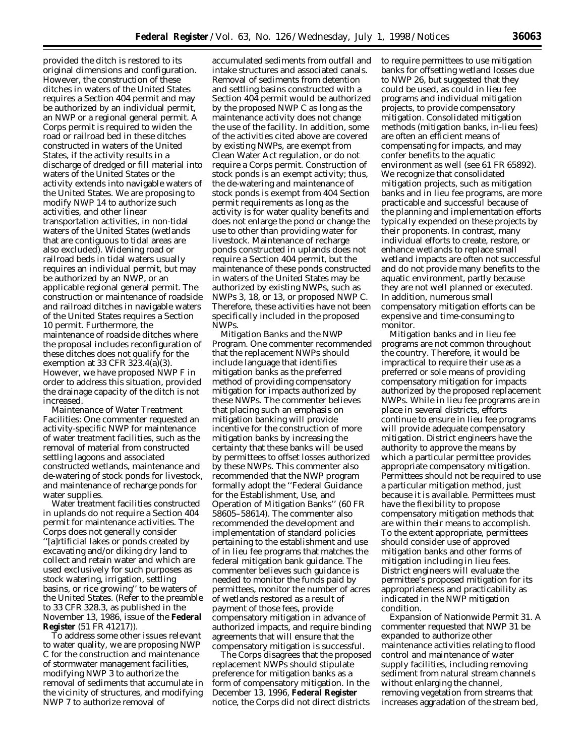provided the ditch is restored to its original dimensions and configuration. However, the construction of these ditches in waters of the United States requires a Section 404 permit and may be authorized by an individual permit, an NWP or a regional general permit. A Corps permit is required to widen the road or railroad bed in these ditches constructed in waters of the United States, if the activity results in a discharge of dredged or fill material into waters of the United States or the activity extends into navigable waters of the United States. We are proposing to modify NWP 14 to authorize such activities, and other linear transportation activities, in non-tidal waters of the United States (wetlands that are contiguous to tidal areas are also excluded). Widening road or railroad beds in tidal waters usually requires an individual permit, but may be authorized by an NWP, or an applicable regional general permit. The construction or maintenance of roadside and railroad ditches in navigable waters of the United States requires a Section 10 permit. Furthermore, the maintenance of roadside ditches where the proposal includes reconfiguration of these ditches does not qualify for the exemption at 33 CFR 323.4(a)(3). However, we have proposed NWP F in order to address this situation, provided the drainage capacity of the ditch is not increased.

*Maintenance of Water Treatment Facilities:* One commenter requested an activity-specific NWP for maintenance of water treatment facilities, such as the removal of material from constructed settling lagoons and associated constructed wetlands, maintenance and de-watering of stock ponds for livestock, and maintenance of recharge ponds for water supplies.

Water treatment facilities constructed in uplands do not require a Section 404 permit for maintenance activities. The Corps does not generally consider ''[a]rtificial lakes or ponds created by excavating and/or diking dry land to collect and retain water and which are used exclusively for such purposes as stock watering, irrigation, settling basins, or rice growing'' to be waters of the United States. (Refer to the preamble to 33 CFR 328.3, as published in the November 13, 1986, issue of the **Federal Register** (51 FR 41217)).

To address some other issues relevant to water quality, we are proposing NWP C for the construction and maintenance of stormwater management facilities, modifying NWP 3 to authorize the removal of sediments that accumulate in the vicinity of structures, and modifying NWP 7 to authorize removal of

accumulated sediments from outfall and intake structures and associated canals. Removal of sediments from detention and settling basins constructed with a Section 404 permit would be authorized by the proposed NWP C as long as the maintenance activity does not change the use of the facility. In addition, some of the activities cited above are covered by existing NWPs, are exempt from Clean Water Act regulation, or do not require a Corps permit. Construction of stock ponds is an exempt activity; thus, the de-watering and maintenance of stock ponds is exempt from 404 Section permit requirements as long as the activity is for water quality benefits and does not enlarge the pond or change the use to other than providing water for livestock. Maintenance of recharge ponds constructed in uplands does not require a Section 404 permit, but the maintenance of these ponds constructed in waters of the United States may be authorized by existing NWPs, such as NWPs 3, 18, or 13, or proposed NWP C. Therefore, these activities have not been specifically included in the proposed NWPs.

*Mitigation Banks and the NWP Program.* One commenter recommended that the replacement NWPs should include language that identifies mitigation banks as the preferred method of providing compensatory mitigation for impacts authorized by these NWPs. The commenter believes that placing such an emphasis on mitigation banking will provide incentive for the construction of more mitigation banks by increasing the certainty that these banks will be used by permittees to offset losses authorized by these NWPs. This commenter also recommended that the NWP program formally adopt the ''Federal Guidance for the Establishment, Use, and Operation of Mitigation Banks'' (60 FR 58605–58614). The commenter also recommended the development and implementation of standard policies pertaining to the establishment and use of in lieu fee programs that matches the federal mitigation bank guidance. The commenter believes such guidance is needed to monitor the funds paid by permittees, monitor the number of acres of wetlands restored as a result of payment of those fees, provide compensatory mitigation in advance of authorized impacts, and require binding agreements that will ensure that the compensatory mitigation is successful.

The Corps disagrees that the proposed replacement NWPs should stipulate preference for mitigation banks as a form of compensatory mitigation. In the December 13, 1996, **Federal Register** notice, the Corps did not direct districts

to require permittees to use mitigation banks for offsetting wetland losses due to NWP 26, but suggested that they could be used, as could in lieu fee programs and individual mitigation projects, to provide compensatory mitigation. Consolidated mitigation methods (mitigation banks, in-lieu fees) are often an efficient means of compensating for impacts, and may confer benefits to the aquatic environment as well (see 61 FR 65892). We recognize that consolidated mitigation projects, such as mitigation banks and in lieu fee programs, are more practicable and successful because of the planning and implementation efforts typically expended on these projects by their proponents. In contrast, many individual efforts to create, restore, or enhance wetlands to replace small wetland impacts are often not successful and do not provide many benefits to the aquatic environment, partly because they are not well planned or executed. In addition, numerous small compensatory mitigation efforts can be expensive and time-consuming to monitor.

Mitigation banks and in lieu fee programs are not common throughout the country. Therefore, it would be impractical to require their use as a preferred or sole means of providing compensatory mitigation for impacts authorized by the proposed replacement NWPs. While in lieu fee programs are in place in several districts, efforts continue to ensure in lieu fee programs will provide adequate compensatory mitigation. District engineers have the authority to approve the means by which a particular permittee provides appropriate compensatory mitigation. Permittees should not be required to use a particular mitigation method, just because it is available. Permittees must have the flexibility to propose compensatory mitigation methods that are within their means to accomplish. To the extent appropriate, permittees should consider use of approved mitigation banks and other forms of mitigation including in lieu fees. District engineers will evaluate the permittee's proposed mitigation for its appropriateness and practicability as indicated in the NWP mitigation condition.

*Expansion of Nationwide Permit 31.* A commenter requested that NWP 31 be expanded to authorize other maintenance activities relating to flood control and maintenance of water supply facilities, including removing sediment from natural stream channels without enlarging the channel, removing vegetation from streams that increases aggradation of the stream bed,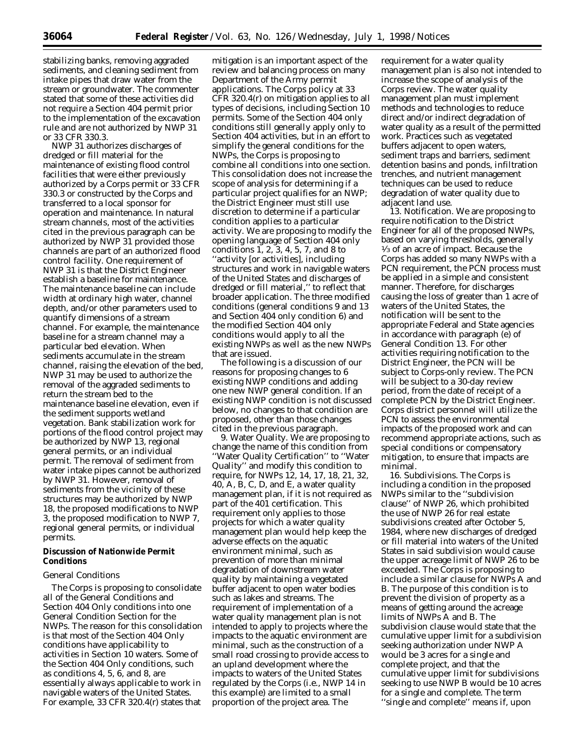stabilizing banks, removing aggraded sediments, and cleaning sediment from intake pipes that draw water from the stream or groundwater. The commenter stated that some of these activities did not require a Section 404 permit prior to the implementation of the excavation rule and are not authorized by NWP 31 or 33 CFR 330.3.

NWP 31 authorizes discharges of dredged or fill material for the maintenance of existing flood control facilities that were either previously authorized by a Corps permit or 33 CFR 330.3 or constructed by the Corps and transferred to a local sponsor for operation and maintenance. In natural stream channels, most of the activities cited in the previous paragraph can be authorized by NWP 31 provided those channels are part of an authorized flood control facility. One requirement of NWP 31 is that the District Engineer establish a baseline for maintenance. The maintenance baseline can include width at ordinary high water, channel depth, and/or other parameters used to quantify dimensions of a stream channel. For example, the maintenance baseline for a stream channel may a particular bed elevation. When sediments accumulate in the stream channel, raising the elevation of the bed, NWP 31 may be used to authorize the removal of the aggraded sediments to return the stream bed to the maintenance baseline elevation, even if the sediment supports wetland vegetation. Bank stabilization work for portions of the flood control project may be authorized by NWP 13, regional general permits, or an individual permit. The removal of sediment from water intake pipes cannot be authorized by NWP 31. However, removal of sediments from the vicinity of these structures may be authorized by NWP 18, the proposed modifications to NWP 3, the proposed modification to NWP 7, regional general permits, or individual permits.

# **Discussion of Nationwide Permit Conditions**

# *General Conditions*

The Corps is proposing to consolidate all of the General Conditions and Section 404 Only conditions into one General Condition Section for the NWPs. The reason for this consolidation is that most of the Section 404 Only conditions have applicability to activities in Section 10 waters. Some of the Section 404 Only conditions, such as conditions 4, 5, 6, and 8, are essentially always applicable to work in navigable waters of the United States. For example, 33 CFR 320.4(r) states that

mitigation is an important aspect of the review and balancing process on many Department of the Army permit applications. The Corps policy at 33 CFR 320.4(r) on mitigation applies to all types of decisions, including Section 10 permits. Some of the Section 404 only conditions still generally apply only to Section 404 activities, but in an effort to simplify the general conditions for the NWPs, the Corps is proposing to combine all conditions into one section. This consolidation does not increase the scope of analysis for determining if a particular project qualifies for an NWP; the District Engineer must still use discretion to determine if a particular condition applies to a particular activity. We are proposing to modify the opening language of Section 404 only conditions 1, 2, 3, 4, 5, 7, and 8 to ''activity [or activities], including structures and work in navigable waters of the United States and discharges of dredged or fill material,'' to reflect that broader application. The three modified conditions (general conditions 9 and 13 and Section 404 only condition 6) and the modified Section 404 only conditions would apply to all the existing NWPs as well as the new NWPs that are issued.

The following is a discussion of our reasons for proposing changes to 6 existing NWP conditions and adding one new NWP general condition. If an existing NWP condition is not discussed below, no changes to that condition are proposed, other than those changes cited in the previous paragraph.

9. Water Quality. We are proposing to change the name of this condition from ''Water Quality Certification'' to ''Water Quality'' and modify this condition to require, for NWPs 12, 14, 17, 18, 21, 32, 40, A, B, C, D, and E, a water quality management plan, if it is not required as part of the 401 certification. This requirement only applies to those projects for which a water quality management plan would help keep the adverse effects on the aquatic environment minimal, such as prevention of more than minimal degradation of downstream water quality by maintaining a vegetated buffer adjacent to open water bodies such as lakes and streams. The requirement of implementation of a water quality management plan is not intended to apply to projects where the impacts to the aquatic environment are minimal, such as the construction of a small road crossing to provide access to an upland development where the impacts to waters of the United States regulated by the Corps (i.e., NWP 14 in this example) are limited to a small proportion of the project area. The

requirement for a water quality management plan is also not intended to increase the scope of analysis of the Corps review. The water quality management plan must implement methods and technologies to reduce direct and/or indirect degradation of water quality as a result of the permitted work. Practices such as vegetated buffers adjacent to open waters, sediment traps and barriers, sediment detention basins and ponds, infiltration trenches, and nutrient management techniques can be used to reduce degradation of water quality due to adjacent land use.

13. Notification. We are proposing to require notification to the District Engineer for all of the proposed NWPs, based on varying thresholds, generally 1⁄3 of an acre of impact. Because the Corps has added so many NWPs with a PCN requirement, the PCN process must be applied in a simple and consistent manner. Therefore, for discharges causing the loss of greater than 1 acre of waters of the United States, the notification will be sent to the appropriate Federal and State agencies in accordance with paragraph (e) of General Condition 13. For other activities requiring notification to the District Engineer, the PCN will be subject to Corps-only review. The PCN will be subject to a 30-day review period, from the date of receipt of a complete PCN by the District Engineer. Corps district personnel will utilize the PCN to assess the environmental impacts of the proposed work and can recommend appropriate actions, such as special conditions or compensatory mitigation, to ensure that impacts are minimal.

16. Subdivisions. The Corps is including a condition in the proposed NWPs similar to the ''subdivision clause'' of NWP 26, which prohibited the use of NWP 26 for real estate subdivisions created after October 5, 1984, where new discharges of dredged or fill material into waters of the United States in said subdivision would cause the upper acreage limit of NWP 26 to be exceeded. The Corps is proposing to include a similar clause for NWPs A and B. The purpose of this condition is to prevent the division of property as a means of getting around the acreage limits of NWPs A and B. The subdivision clause would state that the cumulative upper limit for a subdivision seeking authorization under NWP A would be 3 acres for a single and complete project, and that the cumulative upper limit for subdivisions seeking to use NWP B would be 10 acres for a single and complete. The term ''single and complete'' means if, upon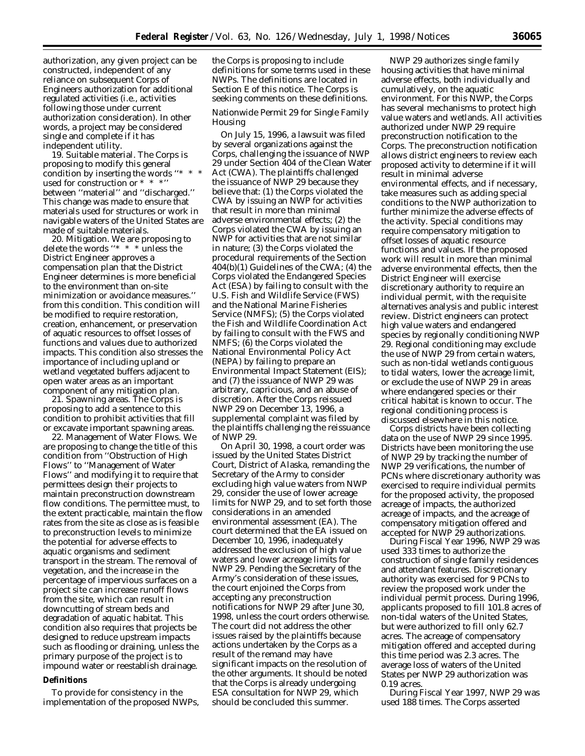authorization, any given project can be constructed, independent of any reliance on *subsequent* Corps of Engineers authorization for additional regulated activities (i.e., activities following those under current authorization consideration). In other words, a project may be considered single and complete if it has independent utility.

19. Suitable material. The Corps is proposing to modify this general condition by inserting the words "\* used for construction or \* \* \*'' between ''material'' and ''discharged.'' This change was made to ensure that materials used for structures or work in navigable waters of the United States are made of suitable materials.

20. Mitigation. We are proposing to delete the words ''\* \* \* unless the District Engineer approves a compensation plan that the District Engineer determines is more beneficial to the environment than on-site minimization or avoidance measures.'' from this condition. This condition will be modified to require restoration, creation, enhancement, or preservation of aquatic resources to offset losses of functions and values due to authorized impacts. This condition also stresses the importance of including upland or wetland vegetated buffers adjacent to open water areas as an important component of any mitigation plan.

21. Spawning areas. The Corps is proposing to add a sentence to this condition to prohibit activities that fill or excavate important spawning areas.

22. Management of Water Flows. We are proposing to change the title of this condition from ''Obstruction of High Flows'' to ''Management of Water Flows'' and modifying it to require that permittees design their projects to maintain preconstruction downstream flow conditions. The permittee must, to the extent practicable, maintain the flow rates from the site as close as is feasible to preconstruction levels to minimize the potential for adverse effects to aquatic organisms and sediment transport in the stream. The removal of vegetation, and the increase in the percentage of impervious surfaces on a project site can increase runoff flows from the site, which can result in downcutting of stream beds and degradation of aquatic habitat. This condition also requires that projects be designed to reduce upstream impacts such as flooding or draining, unless the primary purpose of the project is to impound water or reestablish drainage.

#### **Definitions**

To provide for consistency in the implementation of the proposed NWPs,

the Corps is proposing to include definitions for some terms used in these NWPs. The definitions are located in Section E of this notice. The Corps is seeking comments on these definitions.

# *Nationwide Permit 29 for Single Family Housing*

On July 15, 1996, a lawsuit was filed by several organizations against the Corps, challenging the issuance of NWP 29 under Section 404 of the Clean Water Act (CWA). The plaintiffs challenged the issuance of NWP 29 because they believe that: (1) the Corps violated the CWA by issuing an NWP for activities that result in more than minimal adverse environmental effects; (2) the Corps violated the CWA by issuing an NWP for activities that are not similar in nature; (3) the Corps violated the procedural requirements of the Section 404(b)(1) Guidelines of the CWA; (4) the Corps violated the Endangered Species Act (ESA) by failing to consult with the U.S. Fish and Wildlife Service (FWS) and the National Marine Fisheries Service (NMFS); (5) the Corps violated the Fish and Wildlife Coordination Act by failing to consult with the FWS and NMFS; (6) the Corps violated the National Environmental Policy Act (NEPA) by failing to prepare an Environmental Impact Statement (EIS); and (7) the issuance of NWP 29 was arbitrary, capricious, and an abuse of discretion. After the Corps reissued NWP 29 on December 13, 1996, a supplemental complaint was filed by the plaintiffs challenging the reissuance of NWP 29.

On April 30, 1998, a court order was issued by the United States District Court, District of Alaska, remanding the Secretary of the Army to consider excluding high value waters from NWP 29, consider the use of lower acreage limits for NWP 29, and to set forth those considerations in an amended environmental assessment (EA). The court determined that the EA issued on December 10, 1996, inadequately addressed the exclusion of high value waters and lower acreage limits for NWP 29. Pending the Secretary of the Army's consideration of these issues, the court enjoined the Corps from accepting any preconstruction notifications for NWP 29 after June 30, 1998, unless the court orders otherwise. The court did not address the other issues raised by the plaintiffs because actions undertaken by the Corps as a result of the remand may have significant impacts on the resolution of the other arguments. It should be noted that the Corps is already undergoing ESA consultation for NWP 29, which should be concluded this summer.

NWP 29 authorizes single family housing activities that have minimal adverse effects, both individually and cumulatively, on the aquatic environment. For this NWP, the Corps has several mechanisms to protect high value waters and wetlands. All activities authorized under NWP 29 require preconstruction notification to the Corps. The preconstruction notification allows district engineers to review each proposed activity to determine if it will result in minimal adverse environmental effects, and if necessary, take measures such as adding special conditions to the NWP authorization to further minimize the adverse effects of the activity. Special conditions may require compensatory mitigation to offset losses of aquatic resource functions and values. If the proposed work will result in more than minimal adverse environmental effects, then the District Engineer will exercise discretionary authority to require an individual permit, with the requisite alternatives analysis and public interest review. District engineers can protect high value waters and endangered species by regionally conditioning NWP 29. Regional conditioning may exclude the use of NWP 29 from certain waters, such as non-tidal wetlands contiguous to tidal waters, lower the acreage limit, or exclude the use of NWP 29 in areas where endangered species or their critical habitat is known to occur. The regional conditioning process is discussed elsewhere in this notice.

Corps districts have been collecting data on the use of NWP 29 since 1995. Districts have been monitoring the use of NWP 29 by tracking the number of NWP 29 verifications, the number of PCNs where discretionary authority was exercised to require individual permits for the proposed activity, the proposed acreage of impacts, the authorized acreage of impacts, and the acreage of compensatory mitigation offered and accepted for NWP 29 authorizations.

During Fiscal Year 1996, NWP 29 was used 333 times to authorize the construction of single family residences and attendant features. Discretionary authority was exercised for 9 PCNs to review the proposed work under the individual permit process. During 1996, applicants proposed to fill 101.8 acres of non-tidal waters of the United States, but were authorized to fill only 62.7 acres. The acreage of compensatory mitigation offered and accepted during this time period was 2.3 acres. The average loss of waters of the United States per NWP 29 authorization was 0.19 acres.

During Fiscal Year 1997, NWP 29 was used 188 times. The Corps asserted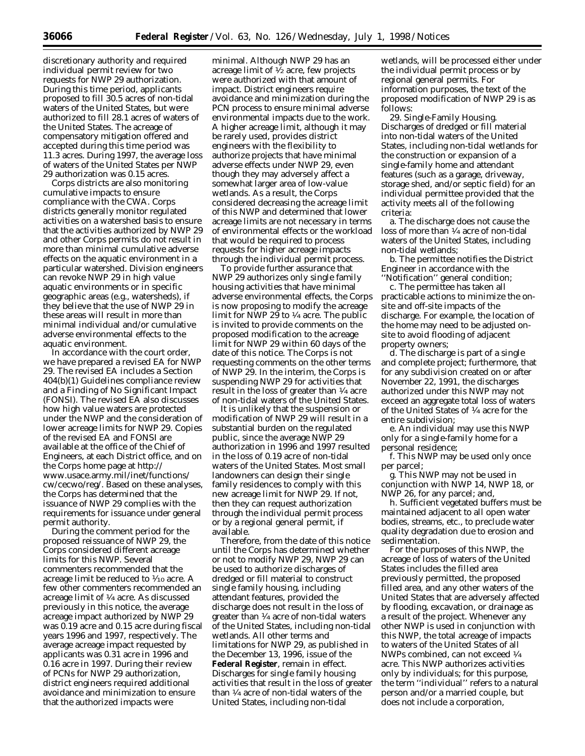discretionary authority and required individual permit review for two requests for NWP 29 authorization. During this time period, applicants proposed to fill 30.5 acres of non-tidal waters of the United States, but were authorized to fill 28.1 acres of waters of the United States. The acreage of compensatory mitigation offered and accepted during this time period was 11.3 acres. During 1997, the average loss of waters of the United States per NWP 29 authorization was 0.15 acres.

Corps districts are also monitoring cumulative impacts to ensure compliance with the CWA. Corps districts generally monitor regulated activities on a watershed basis to ensure that the activities authorized by NWP 29 and other Corps permits do not result in more than minimal cumulative adverse effects on the aquatic environment in a particular watershed. Division engineers can revoke NWP 29 in high value aquatic environments or in specific geographic areas (e.g., watersheds), if they believe that the use of NWP 29 in these areas will result in more than minimal individual and/or cumulative adverse environmental effects to the aquatic environment.

In accordance with the court order, we have prepared a revised EA for NWP 29. The revised EA includes a Section 404(b)(1) Guidelines compliance review and a Finding of No Significant Impact (FONSI). The revised EA also discusses how high value waters are protected under the NWP and the consideration of lower acreage limits for NWP 29. Copies of the revised EA and FONSI are available at the office of the Chief of Engineers, at each District office, and on the Corps home page at http:// www.usace.army.mil/inet/functions/ cw/cecwo/reg/. Based on these analyses, the Corps has determined that the issuance of NWP 29 complies with the requirements for issuance under general permit authority.

During the comment period for the proposed reissuance of NWP 29, the Corps considered different acreage limits for this NWP. Several commenters recommended that the acreage limit be reduced to 1⁄10 acre. A few other commenters recommended an acreage limit of 1⁄4 acre. As discussed previously in this notice, the average acreage impact authorized by NWP 29 was 0.19 acre and 0.15 acre during fiscal years 1996 and 1997, respectively. The average acreage impact requested by applicants was 0.31 acre in 1996 and 0.16 acre in 1997. During their review of PCNs for NWP 29 authorization, district engineers required additional avoidance and minimization to ensure that the authorized impacts were

minimal. Although NWP 29 has an acreage limit of  $\frac{1}{2}$  acre, few projects were authorized with that amount of impact. District engineers require avoidance and minimization during the PCN process to ensure minimal adverse environmental impacts due to the work. A higher acreage limit, although it may be rarely used, provides district engineers with the flexibility to authorize projects that have minimal adverse effects under NWP 29, even though they may adversely affect a somewhat larger area of low-value wetlands. As a result, the Corps considered decreasing the acreage limit of this NWP and determined that lower acreage limits are not necessary in terms of environmental effects or the workload that would be required to process requests for higher acreage impacts through the individual permit process.

To provide further assurance that NWP 29 authorizes only single family housing activities that have minimal adverse environmental effects, the Corps is now proposing to modify the acreage limit for NWP 29 to 1⁄4 acre. The public is invited to provide comments on the proposed modification to the acreage limit for NWP 29 within 60 days of the date of this notice. The Corps is not requesting comments on the other terms of NWP 29. In the interim, the Corps is suspending NWP 29 for activities that result in the loss of greater than 1⁄4 acre of non-tidal waters of the United States.

It is unlikely that the suspension or modification of NWP 29 will result in a substantial burden on the regulated public, since the average NWP 29 authorization in 1996 and 1997 resulted in the loss of 0.19 acre of non-tidal waters of the United States. Most small landowners can design their single family residences to comply with this new acreage limit for NWP 29. If not, then they can request authorization through the individual permit process or by a regional general permit, if available.

Therefore, from the date of this notice until the Corps has determined whether or not to modify NWP 29, NWP 29 can be used to authorize discharges of dredged or fill material to construct single family housing, including attendant features, provided the discharge does not result in the loss of greater than 1⁄4 acre of non-tidal waters of the United States, including non-tidal wetlands. All other terms and limitations for NWP 29, as published in the December 13, 1996, issue of the **Federal Register**, remain in effect. Discharges for single family housing activities that result in the loss of greater than 1⁄4 acre of non-tidal waters of the United States, including non-tidal

wetlands, will be processed either under the individual permit process or by regional general permits. For information purposes, the text of the proposed modification of NWP 29 is as follows:

29. Single-Family Housing. Discharges of dredged or fill material into non-tidal waters of the United States, including non-tidal wetlands for the construction or expansion of a single-family home and attendant features (such as a garage, driveway, storage shed, and/or septic field) for an individual permittee provided that the activity meets all of the following criteria:

a. The discharge does not cause the loss of more than 1⁄4 acre of non-tidal waters of the United States, including non-tidal wetlands;

b. The permittee notifies the District Engineer in accordance with the ''Notification'' general condition;

c. The permittee has taken all practicable actions to minimize the onsite and off-site impacts of the discharge. For example, the location of the home may need to be adjusted onsite to avoid flooding of adjacent property owners;

d. The discharge is part of a single and complete project; furthermore, that for any subdivision created on or after November 22, 1991, the discharges authorized under this NWP may not exceed an aggregate total loss of waters of the United States of 1⁄4 acre for the entire subdivision;

e. An individual may use this NWP only for a single-family home for a personal residence;

f. This NWP may be used only once per parcel;

g. This NWP may not be used in conjunction with NWP 14, NWP 18, or NWP 26, for any parcel; and,

h. Sufficient vegetated buffers must be maintained adjacent to all open water bodies, streams, etc., to preclude water quality degradation due to erosion and sedimentation.

For the purposes of this NWP, the acreage of loss of waters of the United States includes the filled area previously permitted, the proposed filled area, and any other waters of the United States that are adversely affected by flooding, excavation, or drainage as a result of the project. Whenever any other NWP is used in conjunction with this NWP, the total acreage of impacts to waters of the United States of all NWPs combined, can not exceed 1⁄4 acre. This NWP authorizes activities only by individuals; for this purpose, the term ''individual'' refers to a natural person and/or a married couple, but does not include a corporation,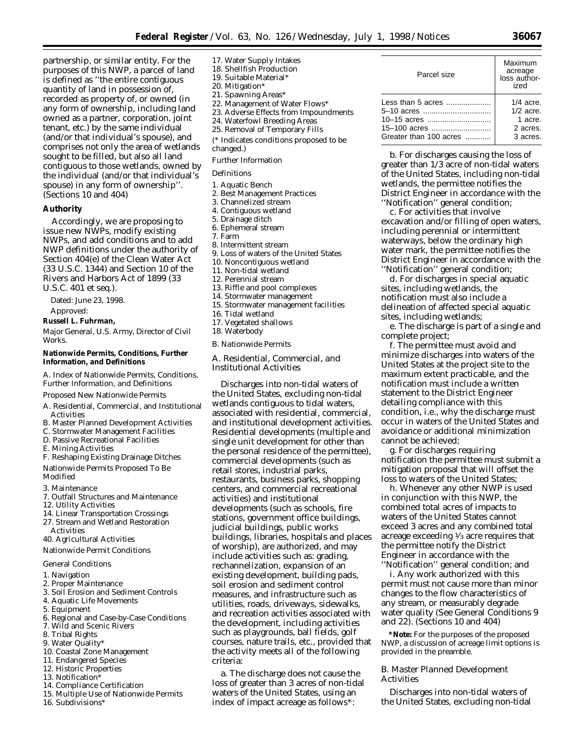partnership, or similar entity. For the purposes of this NWP, a parcel of land is defined as ''the entire contiguous quantity of land in possession of, recorded as property of, or owned (in any form of ownership, including land owned as a partner, corporation, joint tenant, etc.) by the same individual (and/or that individual's spouse), and comprises not only the area of wetlands sought to be filled, but also all land contiguous to those wetlands, owned by the individual (and/or that individual's spouse) in any form of ownership''. (Sections 10 and 404)

# **Authority**

Accordingly, we are proposing to issue new NWPs, modify existing NWPs, and add conditions and to add NWP definitions under the authority of Section 404(e) of the Clean Water Act (33 U.S.C. 1344) and Section 10 of the Rivers and Harbors Act of 1899 (33 U.S.C. 401 *et seq.*).

Dated: June 23, 1998. Approved:

#### **Russell L. Fuhrman,**

*Major General, U.S. Army, Director of Civil Works.*

#### **Nationwide Permits, Conditions, Further Information, and Definitions**

*A. Index of Nationwide Permits, Conditions, Further Information, and Definitions* Proposed New Nationwide Permits

A. Residential, Commercial, and Institutional

- Activities
- B. Master Planned Development Activities
- C. Stormwater Management Facilities D. Passive Recreational Facilities
- 
- E. Mining Activities

F. Reshaping Existing Drainage Ditches

- Nationwide Permits Proposed To Be Modified
- 3. Maintenance
- 7. Outfall Structures and Maintenance
- 12. Utility Activities
- 14. Linear Transportation Crossings
- 27. Stream and Wetland Restoration Activities
- 40. Agricultural Activities

Nationwide Permit Conditions

- General Conditions
- 1. Navigation
- 2. Proper Maintenance
- 3. Soil Erosion and Sediment Controls
- 4. Aquatic Life Movements
- 5. Equipment
- 6. Regional and Case-by-Case Conditions
- 7. Wild and Scenic Rivers
- 8. Tribal Rights
- 9. Water Quality
- 10. Coastal Zone Management
- 11. Endangered Species
- 12. Historic Properties
- 13. Notification\*
- 14. Compliance Certification
- 15. Multiple Use of Nationwide Permits
- 16. Subdivisions\*
- 17. Water Supply Intakes
- 18. Shellfish Production
- 19. Suitable Material\*
- 20. Mitigation\*
- 21. Spawning Areas\*
- 22. Management of Water Flows\*
- 23. Adverse Effects from Impoundments
- 24. Waterfowl Breeding Areas 25. Removal of Temporary Fills
- 
- (\* Indicates conditions proposed to be changed.)
- Further Information

# Definitions

- 1. Aquatic Bench
- 2. Best Management Practices
- 3. Channelized stream
- 4. Contiguous wetland
- 5. Drainage ditch
- 6. Ephemeral stream
- 7. Farm
- 8. Intermittent stream
- 9. Loss of waters of the United States
- 10. Noncontiguous wetland
- 11. Non-tidal wetland
- 12. Perennial stream
- 13. Riffle and pool complexes
- 14. Stormwater management
- 15. Stormwater management facilities
- 16. Tidal wetland
- 17. Vegetated shallows
- 18. Waterbody

#### *B. Nationwide Permits*

## *A. Residential, Commercial, and Institutional Activities*

Discharges into non-tidal waters of the United States, excluding non-tidal wetlands contiguous to tidal waters, associated with residential, commercial, and institutional development activities. Residential developments (multiple and single unit development for other than the personal residence of the permittee), commercial developments (such as retail stores, industrial parks, restaurants, business parks, shopping centers, and commercial recreational activities) and institutional developments (such as schools, fire stations, government office buildings, judicial buildings, public works buildings, libraries, hospitals and places of worship), are authorized, and may include activities such as: grading, rechannelization, expansion of an existing development, building pads, soil erosion and sediment control measures, and infrastructure such as utilities, roads, driveways, sidewalks, and recreation activities associated with the development, including activities such as playgrounds, ball fields, golf courses, nature trails, etc., provided that the activity meets all of the following criteria:

a. The discharge does not cause the loss of greater than 3 acres of non-tidal waters of the United States, using an index of impact acreage as follows\*:

| Parcel size            | Maximum<br>acreage<br>loss author-<br>ized |
|------------------------|--------------------------------------------|
|                        | $1/4$ acre.                                |
| 5–10 acres             | $1/2$ acre.                                |
| 10-15 acres            | 1 acre.                                    |
| 15-100 acres           | 2 acres.                                   |
| Greater than 100 acres | 3 acres.                                   |

b. For discharges causing the loss of greater than 1/3 acre of non-tidal waters of the United States, including non-tidal wetlands, the permittee notifies the District Engineer in accordance with the ''Notification'' general condition;

c. For activities that involve excavation and/or filling of open waters, including perennial or intermittent waterways, below the ordinary high water mark, the permittee notifies the District Engineer in accordance with the ''Notification'' general condition;

d. For discharges in special aquatic sites, including wetlands, the notification must also include a delineation of affected special aquatic sites, including wetlands;

e. The discharge is part of a single and complete project;

f. The permittee must avoid and minimize discharges into waters of the United States at the project site to the maximum extent practicable, and the notification must include a written statement to the District Engineer detailing compliance with this condition, i.e., why the discharge must occur in waters of the United States and avoidance or additional minimization cannot be achieved;

g. For discharges requiring notification the permittee must submit a mitigation proposal that will offset the loss to waters of the United States;

h. Whenever any other NWP is used in conjunction with this NWP, the combined total acres of impacts to waters of the United States cannot exceed 3 acres and any combined total acreage exceeding 1⁄3 acre requires that the permittee notify the District Engineer in accordance with the ''Notification'' general condition; and

i. Any work authorized with this permit must not cause more than minor changes to the flow characteristics of any stream, or measurably degrade water quality (See General Conditions 9 and 22). (Sections 10 and 404)

**\*Note:** For the purposes of the proposed NWP, a discussion of acreage limit options is provided in the preamble.

# *B. Master Planned Development Activities*

Discharges into non-tidal waters of the United States, excluding non-tidal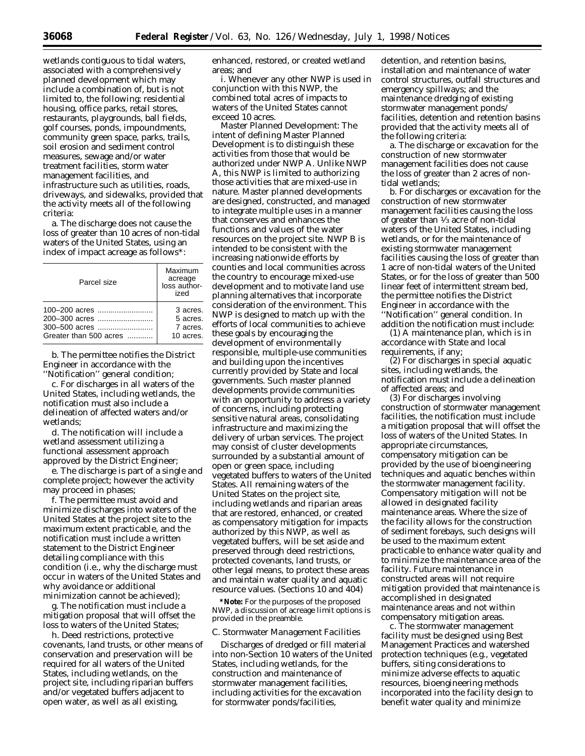wetlands contiguous to tidal waters, associated with a comprehensively planned development which may include a combination of, but is not limited to, the following: residential housing, office parks, retail stores, restaurants, playgrounds, ball fields, golf courses, ponds, impoundments, community green space, parks, trails, soil erosion and sediment control measures, sewage and/or water treatment facilities, storm water management facilities, and infrastructure such as utilities, roads, driveways, and sidewalks, provided that the activity meets all of the following criteria:

a. The discharge does not cause the loss of greater than 10 acres of non-tidal waters of the United States, using an index of impact acreage as follows\*:

| Parcel size            | Maximum<br>acreage<br>loss author-<br>ized |
|------------------------|--------------------------------------------|
|                        | 3 acres.                                   |
|                        | 5 acres.                                   |
| 300-500 acres          | 7 acres.                                   |
| Greater than 500 acres | 10 acres.                                  |

b. The permittee notifies the District Engineer in accordance with the ''Notification'' general condition;

c. For discharges in all waters of the United States, including wetlands, the notification must also include a delineation of affected waters and/or wetlands;

d. The notification will include a wetland assessment utilizing a functional assessment approach approved by the District Engineer;

e. The discharge is part of a single and complete project; however the activity may proceed in phases;

f. The permittee must avoid and minimize discharges into waters of the United States at the project site to the maximum extent practicable, and the notification must include a written statement to the District Engineer detailing compliance with this condition (i.e., why the discharge must occur in waters of the United States and why avoidance or additional minimization cannot be achieved);

g. The notification must include a mitigation proposal that will offset the loss to waters of the United States;

h. Deed restrictions, protective covenants, land trusts, or other means of conservation and preservation will be required for all waters of the United States, including wetlands, on the project site, including riparian buffers and/or vegetated buffers adjacent to open water, as well as all existing,

enhanced, restored, or created wetland areas; and

i. Whenever any other NWP is used in conjunction with this NWP, the combined total acres of impacts to waters of the United States cannot exceed 10 acres.

*Master Planned Development:* The intent of defining Master Planned Development is to distinguish these activities from those that would be authorized under NWP A. Unlike NWP A, this NWP is limited to authorizing those activities that are mixed-use in nature. Master planned developments are designed, constructed, and managed to integrate multiple uses in a manner that conserves and enhances the functions and values of the water resources on the project site. NWP B is intended to be consistent with the increasing nationwide efforts by counties and local communities across the country to encourage mixed-use development and to motivate land use planning alternatives that incorporate consideration of the environment. This NWP is designed to match up with the efforts of local communities to achieve these goals by encouraging the development of environmentally responsible, multiple-use communities and building upon the incentives currently provided by State and local governments. Such master planned developments provide communities with an opportunity to address a variety of concerns, including protecting sensitive natural areas, consolidating infrastructure and maximizing the delivery of urban services. The project may consist of cluster developments surrounded by a substantial amount of open or green space, including vegetated buffers to waters of the United States. All remaining waters of the United States on the project site, including wetlands and riparian areas that are restored, enhanced, or created as compensatory mitigation for impacts authorized by this NWP, as well as vegetated buffers, will be set aside and preserved through deed restrictions, protected covenants, land trusts, or other legal means, to protect these areas and maintain water quality and aquatic resource values. (Sections 10 and 404)

**\*Note:** For the purposes of the proposed NWP, a discussion of acreage limit options is provided in the preamble.

#### *C. Stormwater Management Facilities*

Discharges of dredged or fill material into non-Section 10 waters of the United States, including wetlands, for the construction and maintenance of stormwater management facilities, including activities for the excavation for stormwater ponds/facilities,

detention, and retention basins installation and maintenance of water control structures, outfall structures and emergency spillways; and the maintenance dredging of existing stormwater management ponds/ facilities, detention and retention basins provided that the activity meets all of the following criteria:

a. The discharge or excavation for the construction of new stormwater management facilities does not cause the loss of greater than 2 acres of nontidal wetlands;

b. For discharges or excavation for the construction of new stormwater management facilities causing the loss of greater than  $\frac{1}{3}$  acre of non-tidal waters of the United States, including wetlands, or for the maintenance of existing stormwater management facilities causing the loss of greater than 1 acre of non-tidal waters of the United States, or for the loss of greater than 500 linear feet of intermittent stream bed, the permittee notifies the District Engineer in accordance with the ''Notification'' general condition. In addition the notification must include:

(1) A maintenance plan, which is in accordance with State and local requirements, if any;

(2) For discharges in special aquatic sites, including wetlands, the notification must include a delineation of affected areas; and

(3) For discharges involving construction of stormwater management facilities, the notification must include a mitigation proposal that will offset the loss of waters of the United States. In appropriate circumstances, compensatory mitigation can be provided by the use of bioengineering techniques and aquatic benches within the stormwater management facility. Compensatory mitigation will not be allowed in designated facility maintenance areas. Where the size of the facility allows for the construction of sediment forebays, such designs will be used to the maximum extent practicable to enhance water quality and to minimize the maintenance area of the facility. Future maintenance in constructed areas will not require mitigation provided that maintenance is accomplished in designated maintenance areas and not within compensatory mitigation areas.

c. The stormwater management facility must be designed using Best Management Practices and watershed protection techniques (e.g., vegetated buffers, siting considerations to minimize adverse effects to aquatic resources, bioengineering methods incorporated into the facility design to benefit water quality and minimize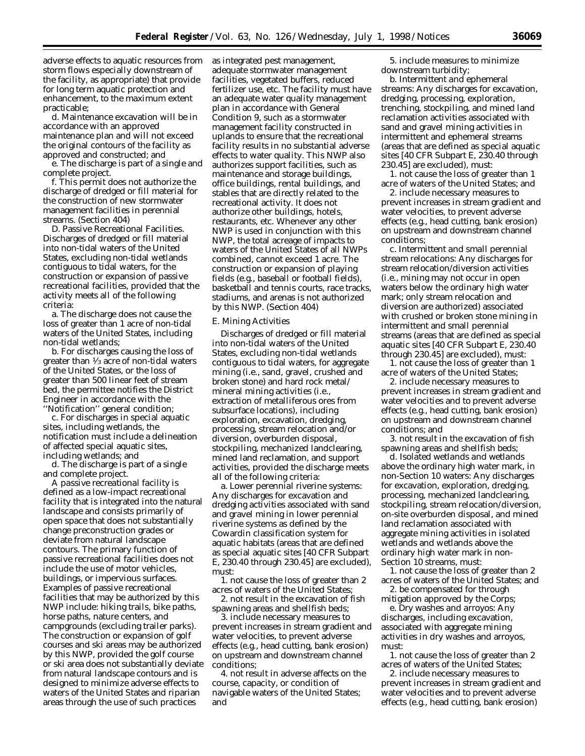adverse effects to aquatic resources from storm flows especially downstream of the facility, as appropriate) that provide for long term aquatic protection and enhancement, to the maximum extent practicable;

d. Maintenance excavation will be in accordance with an approved maintenance plan and will not exceed the original contours of the facility as approved and constructed; and

e. The discharge is part of a single and complete project.

f. This permit does not authorize the discharge of dredged or fill material for the construction of new stormwater management facilities in perennial streams. (Section 404)

D. Passive Recreational Facilities. Discharges of dredged or fill material into non-tidal waters of the United States, excluding non-tidal wetlands contiguous to tidal waters, for the construction or expansion of passive recreational facilities, provided that the activity meets all of the following criteria:

a. The discharge does not cause the loss of greater than 1 acre of non-tidal waters of the United States, including non-tidal wetlands;

b. For discharges causing the loss of greater than 1⁄3 acre of non-tidal waters of the United States, or the loss of greater than 500 linear feet of stream bed, the permittee notifies the District Engineer in accordance with the ''Notification'' general condition;

c. For discharges in special aquatic sites, including wetlands, the notification must include a delineation of affected special aquatic sites, including wetlands; and

d. The discharge is part of a single and complete project.

A *passive recreational facility* is defined as a low-impact recreational facility that is integrated into the natural landscape and consists primarily of open space that does not substantially change preconstruction grades or deviate from natural landscape contours. The primary function of passive recreational facilities does not include the use of motor vehicles, buildings, or impervious surfaces. Examples of passive recreational facilities that may be authorized by this NWP include: hiking trails, bike paths, horse paths, nature centers, and campgrounds (excluding trailer parks). The construction or expansion of golf courses and ski areas may be authorized by this NWP, provided the golf course or ski area does not substantially deviate from natural landscape contours and is designed to minimize adverse effects to waters of the United States and riparian areas through the use of such practices

as integrated pest management, adequate stormwater management facilities, vegetated buffers, reduced fertilizer use, etc. The facility must have an adequate water quality management plan in accordance with General Condition 9, such as a stormwater management facility constructed in uplands to ensure that the recreational facility results in no substantial adverse effects to water quality. This NWP also authorizes support facilities, such as maintenance and storage buildings, office buildings, rental buildings, and stables that are directly related to the recreational activity. It does not authorize other buildings, hotels, restaurants, etc. Whenever any other NWP is used in conjunction with this NWP, the total acreage of impacts to waters of the United States of all NWPs combined, cannot exceed 1 acre. The construction or expansion of playing fields (e.g., baseball or football fields), basketball and tennis courts, race tracks, stadiums, and arenas is not authorized by this NWP. (Section 404)

#### *E. Mining Activities*

Discharges of dredged or fill material into non-tidal waters of the United States, excluding non-tidal wetlands contiguous to tidal waters, for aggregate mining (i.e., sand, gravel, crushed and broken stone) and hard rock metal/ mineral mining activities (i.e., extraction of metalliferous ores from subsurface locations), including exploration, excavation, dredging, processing, stream relocation and/or diversion, overburden disposal, stockpiling, mechanized landclearing, mined land reclamation, and support activities, provided the discharge meets all of the following criteria:

a. *Lower perennial riverine systems:* Any discharges for excavation and dredging activities associated with sand and gravel mining in lower perennial riverine systems as defined by the Cowardin classification system for aquatic habitats (areas that are defined as special aquatic sites [40 CFR Subpart E, 230.40 through 230.45] are excluded), must:

1. not cause the loss of greater than 2 acres of waters of the United States;

2. not result in the excavation of fish spawning areas and shellfish beds;

3. include necessary measures to prevent increases in stream gradient and water velocities, to prevent adverse effects (e.g., head cutting, bank erosion) on upstream and downstream channel conditions;

4. not result in adverse affects on the course, capacity, or condition of navigable waters of the United States; and

5. include measures to minimize downstream turbidity;

b. *Intermittent and ephemeral streams:* Any discharges for excavation, dredging, processing, exploration, trenching, stockpiling, and mined land reclamation activities associated with sand and gravel mining activities in intermittent and ephemeral streams (areas that are defined as special aquatic sites [40 CFR Subpart E, 230.40 through 230.45] are excluded), must:

1. not cause the loss of greater than 1 acre of waters of the United States; and

2. include necessary measures to prevent increases in stream gradient and water velocities, to prevent adverse effects (e.g., head cutting, bank erosion) on upstream and downstream channel conditions;

c. *Intermittent and small perennial stream relocations:* Any discharges for stream relocation/diversion activities (i.e., mining may not occur in open waters below the ordinary high water mark; only stream relocation and diversion are authorized) associated with crushed or broken stone mining in intermittent and small perennial streams (areas that are defined as special aquatic sites [40 CFR Subpart E, 230.40 through 230.45] are excluded), must:

1. not cause the loss of greater than 1 acre of waters of the United States;

2. include necessary measures to prevent increases in stream gradient and water velocities and to prevent adverse effects (e.g., head cutting, bank erosion) on upstream and downstream channel conditions; and

3. not result in the excavation of fish spawning areas and shellfish beds;

d. *Isolated wetlands and wetlands above the ordinary high water mark, in non-Section 10 waters:* Any discharges for excavation, exploration, dredging, processing, mechanized landclearing, stockpiling, stream relocation/diversion, on-site overburden disposal, and mined land reclamation associated with aggregate mining activities in isolated wetlands and wetlands above the ordinary high water mark in non-Section 10 streams, must:

1. not cause the loss of greater than 2 acres of waters of the United States; and

2. be compensated for through mitigation approved by the Corps;

e. *Dry washes and arroyos:* Any discharges, including excavation, associated with aggregate mining activities in dry washes and arroyos, must:

1. not cause the loss of greater than 2 acres of waters of the United States;

2. include necessary measures to prevent increases in stream gradient and water velocities and to prevent adverse effects (e.g., head cutting, bank erosion)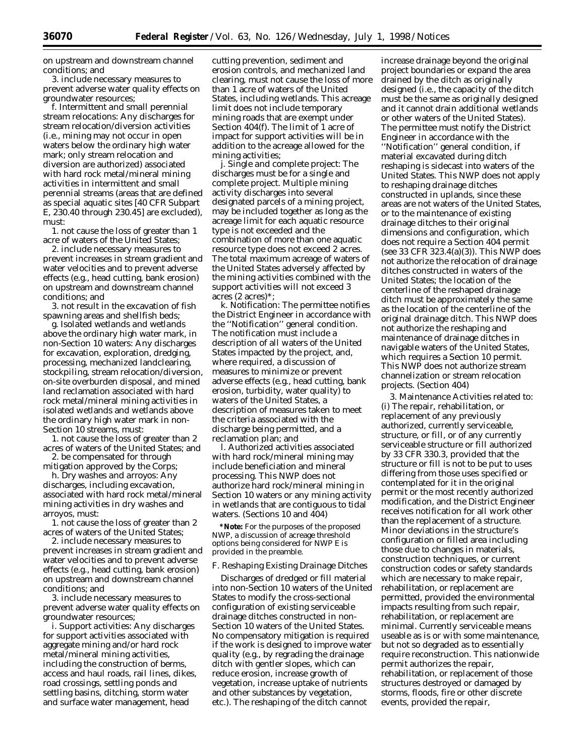on upstream and downstream channel conditions; and

3. include necessary measures to prevent adverse water quality effects on groundwater resources;

f. *Intermittent and small perennial stream relocations:* Any discharges for stream relocation/diversion activities (i.e., mining may not occur in open waters below the ordinary high water mark; only stream relocation and diversion are authorized) associated with hard rock metal/mineral mining activities in intermittent and small perennial streams (areas that are defined as special aquatic sites [40 CFR Subpart E, 230.40 through 230.45] are excluded), must:

1. not cause the loss of greater than 1 acre of waters of the United States;

2. include necessary measures to prevent increases in stream gradient and water velocities and to prevent adverse effects (e.g., head cutting, bank erosion) on upstream and downstream channel conditions; and

3. not result in the excavation of fish spawning areas and shellfish beds;

g. *Isolated wetlands and wetlands above the ordinary high water mark, in non-Section 10 waters:* Any discharges for excavation, exploration, dredging, processing, mechanized landclearing, stockpiling, stream relocation/diversion, on-site overburden disposal, and mined land reclamation associated with hard rock metal/mineral mining activities in isolated wetlands and wetlands above the ordinary high water mark in non-Section 10 streams, must:

1. not cause the loss of greater than 2 acres of waters of the United States; and 2. be compensated for through

mitigation approved by the Corps;

h. *Dry washes and arroyos:* Any discharges, including excavation, associated with hard rock metal/mineral mining activities in dry washes and arroyos, must:

1. not cause the loss of greater than 2 acres of waters of the United States;

2. include necessary measures to prevent increases in stream gradient and water velocities and to prevent adverse effects (e.g., head cutting, bank erosion) on upstream and downstream channel conditions; and

3. include necessary measures to prevent adverse water quality effects on groundwater resources;

i. *Support activities:* Any discharges for support activities associated with aggregate mining and/or hard rock metal/mineral mining activities, including the construction of berms, access and haul roads, rail lines, dikes, road crossings, settling ponds and settling basins, ditching, storm water and surface water management, head

cutting prevention, sediment and erosion controls, and mechanized land clearing, must not cause the loss of more than 1 acre of waters of the United States, including wetlands. This acreage limit does not include temporary mining roads that are exempt under Section 404(f). The limit of 1 acre of impact for support activities will be in addition to the acreage allowed for the mining activities;

j. *Single and complete project:* The discharges must be for a single and complete project. Multiple mining activity discharges into several designated parcels of a mining project, may be included together as long as the acreage limit for each aquatic resource type is not exceeded and the combination of more than one aquatic resource type does not exceed 2 acres. The total maximum acreage of waters of the United States adversely affected by the mining activities combined with the support activities will not exceed 3 acres (2 acres)\*;

k. *Notification:* The permittee notifies the District Engineer in accordance with the ''Notification'' general condition. The notification must include a description of all waters of the United States impacted by the project, and, where required, a discussion of measures to minimize or prevent adverse effects (e.g., head cutting, bank erosion, turbidity, water quality) to waters of the United States, a description of measures taken to meet the criteria associated with the discharge being permitted, and a reclamation plan; and

l. Authorized activities associated with hard rock/mineral mining may include beneficiation and mineral processing. This NWP does not authorize hard rock/mineral mining in Section 10 waters or any mining activity in wetlands that are contiguous to tidal waters. (Sections 10 and 404)

**\*Note:** For the purposes of the proposed NWP, a discussion of acreage threshold options being considered for NWP E is provided in the preamble.

#### *F. Reshaping Existing Drainage Ditches*

Discharges of dredged or fill material into non-Section 10 waters of the United States to modify the cross-sectional configuration of existing serviceable drainage ditches constructed in non-Section 10 waters of the United States. No compensatory mitigation is required if the work is designed to improve water quality (e.g., by regrading the drainage ditch with gentler slopes, which can reduce erosion, increase growth of vegetation, increase uptake of nutrients and other substances by vegetation, etc.). The reshaping of the ditch cannot

increase drainage beyond the original project boundaries or expand the area drained by the ditch as originally designed (i.e., the capacity of the ditch must be the same as originally designed and it cannot drain additional wetlands or other waters of the United States). The permittee must notify the District Engineer in accordance with the ''Notification'' general condition, if material excavated during ditch reshaping is sidecast into waters of the United States. This NWP does not apply to reshaping drainage ditches constructed in uplands, since these areas are not waters of the United States, or to the maintenance of existing drainage ditches to their original dimensions and configuration, which does not require a Section 404 permit (see 33 CFR 323.4(a)(3)). This NWP does not authorize the relocation of drainage ditches constructed in waters of the United States; the location of the centerline of the reshaped drainage ditch must be approximately the same as the location of the centerline of the original drainage ditch. This NWP does not authorize the reshaping and maintenance of drainage ditches in navigable waters of the United States, which requires a Section 10 permit. This NWP does not authorize stream channelization or stream relocation projects. (Section 404)

3. Maintenance Activities related to: (i) The repair, rehabilitation, or replacement of any previously authorized, currently serviceable, structure, or fill, or of any currently serviceable structure or fill authorized by 33 CFR 330.3, provided that the structure or fill is not to be put to uses differing from those uses specified or contemplated for it in the original permit or the most recently authorized modification, and the District Engineer receives notification for all work other than the replacement of a structure. Minor deviations in the structure's configuration or filled area including those due to changes in materials, construction techniques, or current construction codes or safety standards which are necessary to make repair, rehabilitation, or replacement are permitted, provided the environmental impacts resulting from such repair, rehabilitation, or replacement are minimal. Currently serviceable means useable as is or with some maintenance, but not so degraded as to essentially require reconstruction. This nationwide permit authorizes the repair, rehabilitation, or replacement of those structures destroyed or damaged by storms, floods, fire or other discrete events, provided the repair,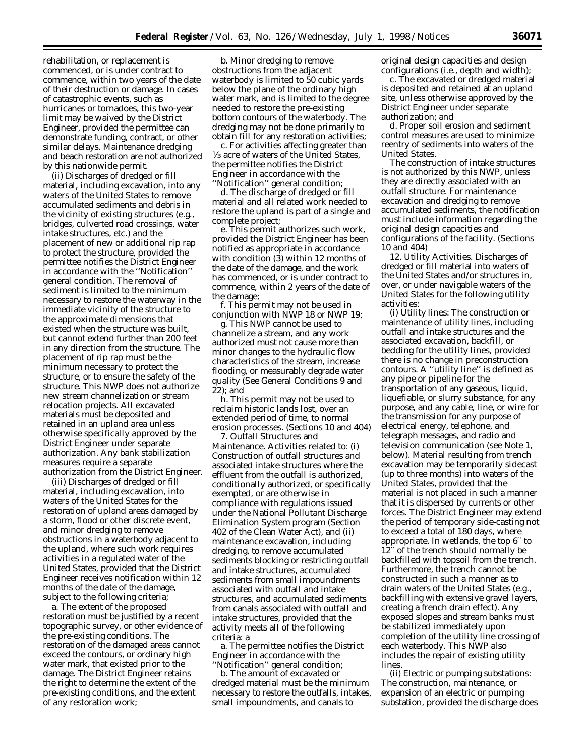rehabilitation, or replacement is commenced, or is under contract to commence, within two years of the date of their destruction or damage. In cases of catastrophic events, such as hurricanes or tornadoes, this two-year limit may be waived by the District Engineer, provided the permittee can demonstrate funding, contract, or other similar delays. Maintenance dredging and beach restoration are not authorized by this nationwide permit.

(ii) Discharges of dredged or fill material, including excavation, into any waters of the United States to remove accumulated sediments and debris in the vicinity of existing structures (e.g., bridges, culverted road crossings, water intake structures, etc.) and the placement of new or additional rip rap to protect the structure, provided the permittee notifies the District Engineer in accordance with the ''Notification'' general condition. The removal of sediment is limited to the minimum necessary to restore the waterway in the immediate vicinity of the structure to the approximate dimensions that existed when the structure was built, but cannot extend further than 200 feet in any direction from the structure. The placement of rip rap must be the minimum necessary to protect the structure, or to ensure the safety of the structure. This NWP does not authorize new stream channelization or stream relocation projects. All excavated materials must be deposited and retained in an upland area unless otherwise specifically approved by the District Engineer under separate authorization. Any bank stabilization measures require a separate authorization from the District Engineer.

(iii) Discharges of dredged or fill material, including excavation, into waters of the United States for the restoration of upland areas damaged by a storm, flood or other discrete event, and minor dredging to remove obstructions in a waterbody adjacent to the upland, where such work requires activities in a regulated water of the United States, provided that the District Engineer receives notification within 12 months of the date of the damage, subject to the following criteria;

a. The extent of the proposed restoration must be justified by a recent topographic survey, or other evidence of the pre-existing conditions. The restoration of the damaged areas cannot exceed the contours, or ordinary high water mark, that existed prior to the damage. The District Engineer retains the right to determine the extent of the pre-existing conditions, and the extent of any restoration work;

b. Minor dredging to remove obstructions from the adjacent waterbody is limited to 50 cubic yards below the plane of the ordinary high water mark, and is limited to the degree needed to restore the pre-existing bottom contours of the waterbody. The dredging may not be done primarily to obtain fill for any restoration activities;

c. For activities affecting greater than 1⁄3 acre of waters of the United States, the permittee notifies the District Engineer in accordance with the ''Notification'' general condition;

d. The discharge of dredged or fill material and all related work needed to restore the upland is part of a single and complete project;

e. This permit authorizes such work, provided the District Engineer has been notified as appropriate in accordance with condition (3) within 12 months of the date of the damage, and the work has commenced, or is under contract to commence, within 2 years of the date of the damage;

f. This permit may not be used in conjunction with NWP 18 or NWP 19;

g. This NWP cannot be used to channelize a stream, and any work authorized must not cause more than minor changes to the hydraulic flow characteristics of the stream, increase flooding, or measurably degrade water quality (See General Conditions 9 and 22); and

h. This permit may not be used to reclaim historic lands lost, over an extended period of time, to normal erosion processes. (Sections 10 and 404)

7. Outfall Structures and Maintenance. Activities related to: (i) Construction of outfall structures and associated intake structures where the effluent from the outfall is authorized, conditionally authorized, or specifically exempted, or are otherwise in compliance with regulations issued under the National Pollutant Discharge Elimination System program (Section 402 of the Clean Water Act), and (ii) maintenance excavation, including dredging, to remove accumulated sediments blocking or restricting outfall and intake structures, accumulated sediments from small impoundments associated with outfall and intake structures, and accumulated sediments from canals associated with outfall and intake structures, provided that the activity meets all of the following criteria: a

a. The permittee notifies the District Engineer in accordance with the 'Notification'' general condition;

b. The amount of excavated or dredged material must be the minimum necessary to restore the outfalls, intakes, small impoundments, and canals to

original design capacities and design configurations (i.e., depth and width);

c. The excavated or dredged material is deposited and retained at an upland site, unless otherwise approved by the District Engineer under separate authorization; and

d. Proper soil erosion and sediment control measures are used to minimize reentry of sediments into waters of the United States.

The construction of intake structures is not authorized by this NWP, unless they are directly associated with an outfall structure. For maintenance excavation and dredging to remove accumulated sediments, the notification must include information regarding the original design capacities and configurations of the facility. (Sections 10 and 404)

12. Utility Activities. Discharges of dredged or fill material into waters of the United States and/or structures in, over, or under navigable waters of the United States for the following utility activities:

*(i) Utility lines:* The construction or maintenance of utility lines, including outfall and intake structures and the associated excavation, backfill, or bedding for the utility lines, provided there is no change in preconstruction contours. A ''utility line'' is defined as any pipe or pipeline for the transportation of any gaseous, liquid, liquefiable, or slurry substance, for any purpose, and any cable, line, or wire for the transmission for any purpose of electrical energy, telephone, and telegraph messages, and radio and television communication (see Note 1, below). Material resulting from trench excavation may be temporarily sidecast (up to three months) into waters of the United States, provided that the material is not placed in such a manner that it is dispersed by currents or other forces. The District Engineer may extend the period of temporary side-casting not to exceed a total of 180 days, where appropriate. In wetlands, the top 6′′ to 12′′ of the trench should normally be backfilled with topsoil from the trench. Furthermore, the trench cannot be constructed in such a manner as to drain waters of the United States (e.g., backfilling with extensive gravel layers, creating a french drain effect). Any exposed slopes and stream banks must be stabilized immediately upon completion of the utility line crossing of each waterbody. This NWP also includes the repair of existing utility lines.

*(ii) Electric or pumping substations:* The construction, maintenance, or expansion of an electric or pumping substation, provided the discharge does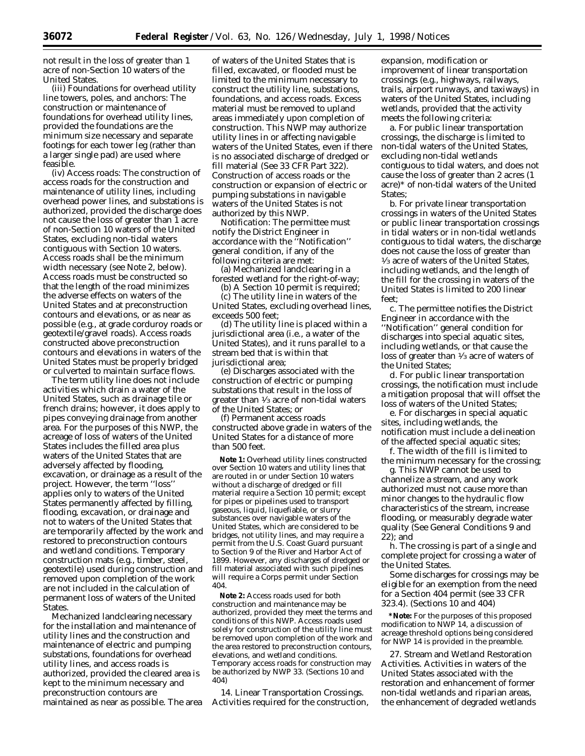not result in the loss of greater than 1 acre of non-Section 10 waters of the United States.

*(iii) Foundations for overhead utility line towers, poles, and anchors:* The construction or maintenance of foundations for overhead utility lines, provided the foundations are the minimum size necessary and separate footings for each tower leg (rather than a larger single pad) are used where feasible.

*(iv) Access roads:* The construction of access roads for the construction and maintenance of utility lines, including overhead power lines, and substations is authorized, provided the discharge does not cause the loss of greater than 1 acre of non-Section 10 waters of the United States, excluding non-tidal waters contiguous with Section 10 waters. Access roads shall be the minimum width necessary (see Note 2, below). Access roads must be constructed so that the length of the road minimizes the adverse effects on waters of the United States and at preconstruction contours and elevations, or as near as possible (e.g., at grade corduroy roads or geotextile/gravel roads). Access roads constructed above preconstruction contours and elevations in waters of the United States must be properly bridged or culverted to maintain surface flows.

The term *utility line* does not include activities which drain a water of the United States, such as drainage tile or french drains; however, it does apply to pipes conveying drainage from another area. For the purposes of this NWP, the acreage of loss of waters of the United States includes the filled area plus waters of the United States that are adversely affected by flooding, excavation, or drainage as a result of the project. However, the term ''loss'' applies only to waters of the United States permanently affected by filling, flooding, excavation, or drainage and not to waters of the United States that are temporarily affected by the work and restored to preconstruction contours and wetland conditions. Temporary construction mats (e.g., timber, steel, geotextile) used during construction and removed upon completion of the work are not included in the calculation of permanent loss of waters of the United States.

Mechanized landclearing necessary for the installation and maintenance of utility lines and the construction and maintenance of electric and pumping substations, foundations for overhead utility lines, and access roads is authorized, provided the cleared area is kept to the minimum necessary and preconstruction contours are maintained as near as possible. The area

of waters of the United States that is filled, excavated, or flooded must be limited to the minimum necessary to construct the utility line, substations, foundations, and access roads. Excess material must be removed to upland areas immediately upon completion of construction. This NWP may authorize utility lines in or affecting navigable waters of the United States, even if there is no associated discharge of dredged or fill material (See 33 CFR Part 322). Construction of access roads or the construction or expansion of electric or pumping substations in navigable waters of the United States is not authorized by this NWP.

*Notification:* The permittee must notify the District Engineer in accordance with the ''Notification'' general condition, if any of the following criteria are met:

(a) Mechanized landclearing in a forested wetland for the right-of-way;

(b) A Section 10 permit is required;

(c) The utility line in waters of the United States, excluding overhead lines, exceeds 500 feet;

(d) The utility line is placed within a jurisdictional area (i.e., a water of the United States), and it runs parallel to a stream bed that is within that jurisdictional area;

(e) Discharges associated with the construction of electric or pumping substations that result in the loss of greater than 1⁄3 acre of non-tidal waters of the United States; or

(f) Permanent access roads constructed above grade in waters of the United States for a distance of more than 500 feet.

**Note 1:** Overhead utility lines constructed over Section 10 waters and utility lines that are routed in or under Section 10 waters without a discharge of dredged or fill material require a Section 10 permit; except for pipes or pipelines used to transport gaseous, liquid, liquefiable, or slurry substances over navigable waters of the United States, which are considered to be bridges, not utility lines, and may require a permit from the U.S. Coast Guard pursuant to Section 9 of the River and Harbor Act of 1899. However, any discharges of dredged or fill material associated with such pipelines will require a Corps permit under Section 404.

**Note 2:** Access roads used for both construction and maintenance may be authorized, provided they meet the terms and conditions of this NWP. Access roads used solely for construction of the utility line must be removed upon completion of the work and the area restored to preconstruction contours, elevations, and wetland conditions. Temporary access roads for construction may be authorized by NWP 33. (Sections 10 and 404)

14. Linear Transportation Crossings. Activities required for the construction,

expansion, modification or improvement of linear transportation crossings (e.g., highways, railways, trails, airport runways, and taxiways) in waters of the United States, including wetlands, provided that the activity meets the following criteria:

a. For public linear transportation crossings, the discharge is limited to non-tidal waters of the United States, excluding non-tidal wetlands contiguous to tidal waters, and does not cause the loss of greater than 2 acres (1 acre)\* of non-tidal waters of the United States;

b. For private linear transportation crossings in waters of the United States or public linear transportation crossings in tidal waters or in non-tidal wetlands contiguous to tidal waters, the discharge does not cause the loss of greater than 1⁄3 acre of waters of the United States, including wetlands, and the length of the fill for the crossing in waters of the United States is limited to 200 linear feet;

c. The permittee notifies the District Engineer in accordance with the ''Notification'' general condition for discharges into special aquatic sites, including wetlands, or that cause the loss of greater than 1⁄3 acre of waters of the United States;

d. For public linear transportation crossings, the notification must include a mitigation proposal that will offset the loss of waters of the United States;

e. For discharges in special aquatic sites, including wetlands, the notification must include a delineation of the affected special aquatic sites;

f. The width of the fill is limited to the minimum necessary for the crossing;

g. This NWP cannot be used to channelize a stream, and any work authorized must not cause more than minor changes to the hydraulic flow characteristics of the stream, increase flooding, or measurably degrade water quality (See General Conditions 9 and 22); and

h. The crossing is part of a single and complete project for crossing a water of the United States.

Some discharges for crossings may be eligible for an exemption from the need for a Section 404 permit (see 33 CFR 323.4). (Sections 10 and 404)

**\*Note:** For the purposes of this proposed modification to NWP 14, a discussion of acreage threshold options being considered for NWP 14 is provided in the preamble.

27. Stream and Wetland Restoration Activities. Activities in waters of the United States associated with the restoration and enhancement of former non-tidal wetlands and riparian areas, the enhancement of degraded wetlands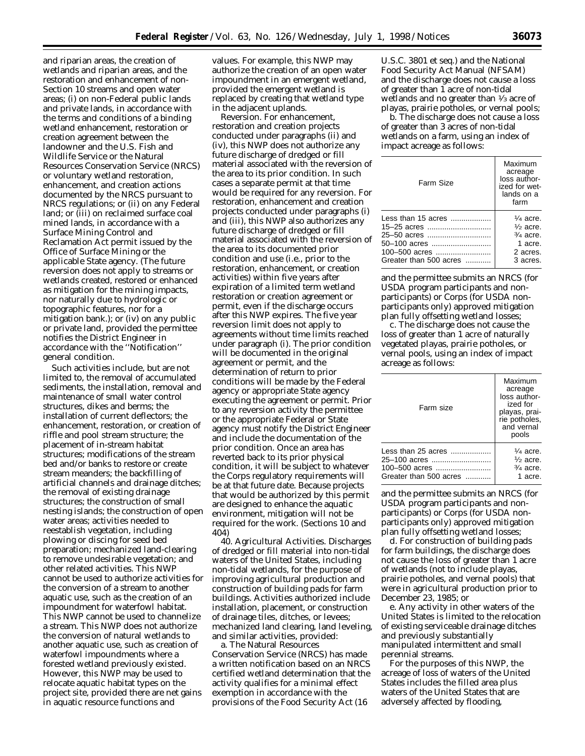and riparian areas, the creation of wetlands and riparian areas, and the restoration and enhancement of non-Section 10 streams and open water areas; (i) on non-Federal public lands and private lands, in accordance with the terms and conditions of a binding wetland enhancement, restoration or creation agreement between the landowner and the U.S. Fish and Wildlife Service or the Natural Resources Conservation Service (NRCS) or voluntary wetland restoration, enhancement, and creation actions documented by the NRCS pursuant to NRCS regulations; or (ii) on any Federal land; or (iii) on reclaimed surface coal mined lands, in accordance with a Surface Mining Control and Reclamation Act permit issued by the Office of Surface Mining or the applicable State agency. (The future reversion does not apply to streams or wetlands created, restored or enhanced as mitigation for the mining impacts, nor naturally due to hydrologic or topographic features, nor for a mitigation bank.); or (iv) on any public or private land, provided the permittee notifies the District Engineer in accordance with the ''Notification'' general condition.

Such activities include, but are not limited to, the removal of accumulated sediments, the installation, removal and maintenance of small water control structures, dikes and berms; the installation of current deflectors; the enhancement, restoration, or creation of riffle and pool stream structure; the placement of in-stream habitat structures; modifications of the stream bed and/or banks to restore or create stream meanders; the backfilling of artificial channels and drainage ditches; the removal of existing drainage structures; the construction of small nesting islands; the construction of open water areas; activities needed to reestablish vegetation, including plowing or discing for seed bed preparation; mechanized land-clearing to remove undesirable vegetation; and other related activities. This NWP cannot be used to authorize activities for the conversion of a stream to another aquatic use, such as the creation of an impoundment for waterfowl habitat. This NWP cannot be used to channelize a stream. This NWP does not authorize the conversion of natural wetlands to another aquatic use, such as creation of waterfowl impoundments where a forested wetland previously existed. However, this NWP may be used to relocate aquatic habitat types on the project site, provided there are net gains in aquatic resource functions and

values. For example, this NWP may authorize the creation of an open water impoundment in an emergent wetland, provided the emergent wetland is replaced by creating that wetland type in the adjacent uplands.

*Reversion.* For enhancement, restoration and creation projects conducted under paragraphs (ii) and (iv), this NWP does not authorize any future discharge of dredged or fill material associated with the reversion of the area to its prior condition. In such cases a separate permit at that time would be required for any reversion. For restoration, enhancement and creation projects conducted under paragraphs (i) and (iii), this NWP also authorizes any future discharge of dredged or fill material associated with the reversion of the area to its documented prior condition and use (i.e., prior to the restoration, enhancement, or creation activities) within five years after expiration of a limited term wetland restoration or creation agreement or permit, even if the discharge occurs after this NWP expires. The five year reversion limit does not apply to agreements without time limits reached under paragraph (i). The prior condition will be documented in the original agreement or permit, and the determination of return to prior conditions will be made by the Federal agency or appropriate State agency executing the agreement or permit. Prior to any reversion activity the permittee or the appropriate Federal or State agency must notify the District Engineer and include the documentation of the prior condition. Once an area has reverted back to its prior physical condition, it will be subject to whatever the Corps regulatory requirements will be at that future date. Because projects that would be authorized by this permit are designed to enhance the aquatic environment, mitigation will not be required for the work. (Sections 10 and 404)

40. Agricultural Activities. Discharges of dredged or fill material into non-tidal waters of the United States, including non-tidal wetlands, for the purpose of improving agricultural production and construction of building pads for farm buildings. Activities authorized include installation, placement, or construction of drainage tiles, ditches, or levees; mechanized land clearing, land leveling, and similar activities, provided:

a. The Natural Resources Conservation Service (NRCS) has made a written notification based on an NRCS certified wetland determination that the activity qualifies for a minimal effect exemption in accordance with the provisions of the Food Security Act (16

U.S.C. 3801 *et seq.*) and the National Food Security Act Manual (NFSAM) and the discharge does not cause a loss of greater than 1 acre of non-tidal wetlands and no greater than 1⁄3 acre of playas, prairie potholes, or vernal pools;

b. The discharge does not cause a loss of greater than 3 acres of non-tidal wetlands on a farm, using an index of impact acreage as follows:

| Farm Size                      | Maximum<br>acreage<br>loss author-<br>ized for wet-<br>lands on a<br>farm |
|--------------------------------|---------------------------------------------------------------------------|
| $l$ ess than 15 acres $\ldots$ | $\frac{1}{4}$ acre.                                                       |
| 15–25 acres                    | $\frac{1}{2}$ acre.                                                       |
| 25-50 acres                    | $\frac{3}{4}$ acre.                                                       |
| 50-100 acres                   | 1 acre.                                                                   |
|                                | 2 acres.                                                                  |
| Greater than 500 acres         | 3 acres.                                                                  |

and the permittee submits an NRCS (for USDA program participants and nonparticipants) or Corps (for USDA nonparticipants only) approved mitigation plan fully offsetting wetland losses;

c. The discharge does not cause the loss of greater than 1 acre of naturally vegetated playas, prairie potholes, or vernal pools, using an index of impact acreage as follows:

| Farm size                                                                     | Maximum<br>acreage<br>loss author-<br>ized for<br>playas, prai-<br>rie potholes.<br>and vernal<br>pools |
|-------------------------------------------------------------------------------|---------------------------------------------------------------------------------------------------------|
| Less than 25 acres<br>25–100 acres<br>100-500 acres<br>Greater than 500 acres | $\frac{1}{4}$ acre.<br>$\frac{1}{2}$ acre.<br>$\frac{3}{4}$ acre.<br>1 acre.                            |

and the permittee submits an NRCS (for USDA program participants and nonparticipants) or Corps (for USDA nonparticipants only) approved mitigation plan fully offsetting wetland losses;

d. For construction of building pads for farm buildings, the discharge does not cause the loss of greater than 1 acre of wetlands (not to include playas, prairie potholes, and vernal pools) that were in agricultural production prior to December 23, 1985; or

e. Any activity in other waters of the United States is limited to the relocation of existing serviceable drainage ditches and previously substantially manipulated intermittent and small perennial streams.

For the purposes of this NWP, the acreage of loss of waters of the United States includes the filled area plus waters of the United States that are adversely affected by flooding,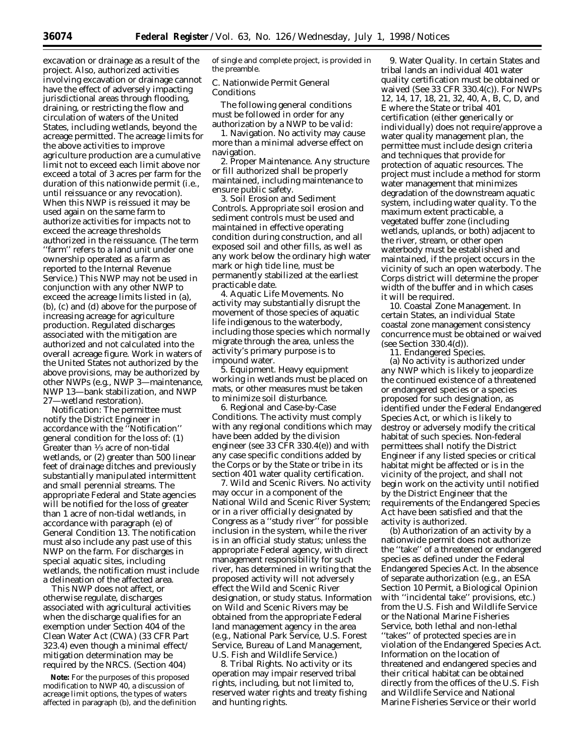excavation or drainage as a result of the project. Also, authorized activities involving excavation or drainage cannot have the effect of adversely impacting jurisdictional areas through flooding, draining, or restricting the flow and circulation of waters of the United States, including wetlands, beyond the acreage permitted. The acreage limits for the above activities to improve agriculture production are a cumulative limit not to exceed each limit above nor exceed a total of 3 acres per farm for the duration of this nationwide permit (i.e., until reissuance or any revocation). When this NWP is reissued it may be used again on the same farm to authorize activities for impacts not to exceed the acreage thresholds authorized in the reissuance. (The term ''farm'' refers to a land unit under one ownership operated as a farm as reported to the Internal Revenue Service.) This NWP may not be used in conjunction with any other NWP to exceed the acreage limits listed in (a) (b), (c) and (d) above for the purpose of increasing acreage for agriculture production. Regulated discharges associated with the mitigation are authorized and not calculated into the overall acreage figure. Work in waters of the United States not authorized by the above provisions, may be authorized by other NWPs (e.g., NWP 3—maintenance, NWP 13—bank stabilization, and NWP 27—wetland restoration).

*Notification:* The permittee must notify the District Engineer in accordance with the ''Notification'' general condition for the loss of: (1) Greater than 1⁄3 acre of non-tidal wetlands, or (2) greater than 500 linear feet of drainage ditches and previously substantially manipulated intermittent and small perennial streams. The appropriate Federal and State agencies will be notified for the loss of greater than 1 acre of non-tidal wetlands, in accordance with paragraph (e) of General Condition 13. The notification must also include any past use of this NWP on the farm. For discharges in special aquatic sites, including wetlands, the notification must include a delineation of the affected area.

This NWP does not affect, or otherwise regulate, discharges associated with agricultural activities when the discharge qualifies for an exemption under Section 404 of the Clean Water Act (CWA) (33 CFR Part 323.4) even though a minimal effect/ mitigation determination may be required by the NRCS. (Section 404)

**Note:** For the purposes of this proposed modification to NWP 40, a discussion of acreage limit options, the types of waters affected in paragraph (b), and the definition of single and complete project, is provided in the preamble.

# *C. Nationwide Permit General Conditions*

The following general conditions must be followed in order for any authorization by a NWP to be valid:

1. Navigation. No activity may cause more than a minimal adverse effect on navigation.

2. Proper Maintenance. Any structure or fill authorized shall be properly maintained, including maintenance to ensure public safety.

3. Soil Erosion and Sediment Controls. Appropriate soil erosion and sediment controls must be used and maintained in effective operating condition during construction, and all exposed soil and other fills, as well as any work below the ordinary high water mark or high tide line, must be permanently stabilized at the earliest practicable date.

4. Aquatic Life Movements. No activity may substantially disrupt the movement of those species of aquatic life indigenous to the waterbody, including those species which normally migrate through the area, unless the activity's primary purpose is to impound water.

5. Equipment. Heavy equipment working in wetlands must be placed on mats, or other measures must be taken to minimize soil disturbance.

6. Regional and Case-by-Case Conditions. The activity must comply with any regional conditions which may have been added by the division engineer (see 33 CFR 330.4(e)) and with any case specific conditions added by the Corps or by the State or tribe in its section 401 water quality certification.

7. Wild and Scenic Rivers. No activity may occur in a component of the National Wild and Scenic River System; or in a river officially designated by Congress as a ''study river'' for possible inclusion in the system, while the river is in an official study status; unless the appropriate Federal agency, with direct management responsibility for such river, has determined in writing that the proposed activity will not adversely effect the Wild and Scenic River designation, or study status. Information on Wild and Scenic Rivers may be obtained from the appropriate Federal land management agency in the area (e.g., National Park Service, U.S. Forest Service, Bureau of Land Management, U.S. Fish and Wildlife Service.)

8. Tribal Rights. No activity or its operation may impair reserved tribal rights, including, but not limited to, reserved water rights and treaty fishing and hunting rights.

9. Water Quality. In certain States and tribal lands an individual 401 water quality certification must be obtained or waived (See 33 CFR 330.4(c)). For NWPs 12, 14, 17, 18, 21, 32, 40, A, B, C, D, and E where the State or tribal 401 certification (either generically or individually) does not require/approve a water quality management plan, the permittee must include design criteria and techniques that provide for protection of aquatic resources. The project must include a method for storm water management that minimizes degradation of the downstream aquatic system, including water quality. To the maximum extent practicable, a vegetated buffer zone (including wetlands, uplands, or both) adjacent to the river, stream, or other open waterbody must be established and maintained, if the project occurs in the vicinity of such an open waterbody. The Corps district will determine the proper width of the buffer and in which cases it will be required.

10. Coastal Zone Management. In certain States, an individual State coastal zone management consistency concurrence must be obtained or waived (see Section 330.4(d)).

11. Endangered Species.

(a) No activity is authorized under any NWP which is likely to jeopardize the continued existence of a threatened or endangered species or a species proposed for such designation, as identified under the Federal Endangered Species Act, or which is likely to destroy or adversely modify the critical habitat of such species. Non-federal permittees shall notify the District Engineer if any listed species or critical habitat might be affected or is in the vicinity of the project, and shall not begin work on the activity until notified by the District Engineer that the requirements of the Endangered Species Act have been satisfied and that the activity is authorized.

(b) Authorization of an activity by a nationwide permit does not authorize the ''take'' of a threatened or endangered species as defined under the Federal Endangered Species Act. In the absence of separate authorization (*e.g.,* an ESA Section 10 Permit, a Biological Opinion with ''incidental take'' provisions, etc.) from the U.S. Fish and Wildlife Service or the National Marine Fisheries Service, both lethal and non-lethal ''takes'' of protected species are in violation of the Endangered Species Act. Information on the location of threatened and endangered species and their critical habitat can be obtained directly from the offices of the U.S. Fish and Wildlife Service and National Marine Fisheries Service or their world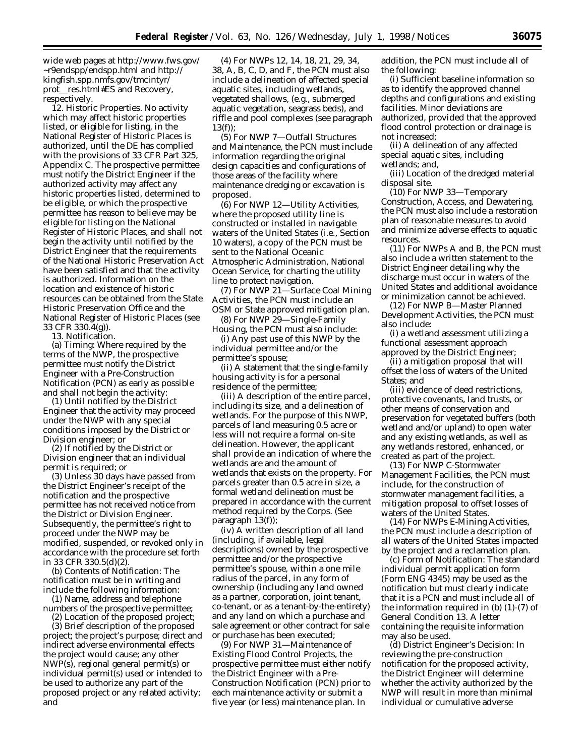wide web pages at http://www.fws.gov/ ∼r9endspp/endspp.html and http:// kingfish.spp.nmfs.gov/tmcintyr/ prot\_res.html#ES and Recovery, respectively.

12. Historic Properties. No activity which may affect historic properties listed, or eligible for listing, in the National Register of Historic Places is authorized, until the DE has complied with the provisions of 33 CFR Part 325, Appendix C. The prospective permittee must notify the District Engineer if the authorized activity may affect any historic properties listed, determined to be eligible, or which the prospective permittee has reason to believe may be eligible for listing on the National Register of Historic Places, and shall not begin the activity until notified by the District Engineer that the requirements of the National Historic Preservation Act have been satisfied and that the activity is authorized. Information on the location and existence of historic resources can be obtained from the State Historic Preservation Office and the National Register of Historic Places (see 33 CFR 330.4(g)).

13. Notification.

(a) *Timing:* Where required by the terms of the NWP, the prospective permittee must notify the District Engineer with a Pre-Construction Notification (PCN) as early as possible and shall not begin the activity:

(1) Until notified by the District Engineer that the activity may proceed under the NWP with any special conditions imposed by the District or Division engineer; or

(2) If notified by the District or Division engineer that an individual permit is required; or

(3) Unless 30 days have passed from the District Engineer's receipt of the notification and the prospective permittee has not received notice from the District or Division Engineer. Subsequently, the permittee's right to proceed under the NWP may be modified, suspended, or revoked only in accordance with the procedure set forth in 33 CFR 330.5(d)(2).

(b) *Contents of Notification:* The notification must be in writing and include the following information:

(1) Name, address and telephone numbers of the prospective permittee;

(2) Location of the proposed project;

(3) Brief description of the proposed project; the project's purpose; direct and indirect adverse environmental effects the project would cause; any other NWP(s), regional general permit(s) or individual permit(s) used or intended to be used to authorize any part of the proposed project or any related activity; and

(4) For NWPs 12, 14, 18, 21, 29, 34, 38, A, B, C, D, and F, the PCN must also include a delineation of affected special aquatic sites, including wetlands, vegetated shallows, (e.g., submerged aquatic vegetation, seagrass beds), and riffle and pool complexes (see paragraph 13(f));

(5) For NWP 7—Outfall Structures and Maintenance, the PCN must include information regarding the original design capacities and configurations of those areas of the facility where maintenance dredging or excavation is proposed.

(6) For NWP 12—Utility Activities, where the proposed utility line is constructed or installed in navigable waters of the United States (i.e., Section 10 waters), a copy of the PCN must be sent to the National Oceanic Atmospheric Administration, National Ocean Service, for charting the utility line to protect navigation.

(7) For NWP 21—Surface Coal Mining Activities, the PCN must include an OSM or State approved mitigation plan.

(8) For NWP 29—Single-Family Housing, the PCN must also include:

(i) Any past use of this NWP by the individual permittee and/or the permittee's spouse;

(ii) A statement that the single-family housing activity is for a personal residence of the permittee;

(iii) A description of the entire parcel, including its size, and a delineation of wetlands. For the purpose of this NWP, parcels of land measuring 0.5 acre or less will not require a formal on-site delineation. However, the applicant shall provide an indication of where the wetlands are and the amount of wetlands that exists on the property. For parcels greater than 0.5 acre in size, a formal wetland delineation must be prepared in accordance with the current method required by the Corps. (See paragraph 13(f));

(iv) A written description of all land (including, if available, legal descriptions) owned by the prospective permittee and/or the prospective permittee's spouse, within a one mile radius of the parcel, in any form of ownership (including any land owned as a partner, corporation, joint tenant, co-tenant, or as a tenant-by-the-entirety) and any land on which a purchase and sale agreement or other contract for sale or purchase has been executed;

(9) For NWP 31—Maintenance of Existing Flood Control Projects, the prospective permittee must either notify the District Engineer with a Pre-Construction Notification (PCN) prior to each maintenance activity or submit a five year (or less) maintenance plan. In

addition, the PCN must include all of the following:

(i) Sufficient baseline information so as to identify the approved channel depths and configurations and existing facilities. Minor deviations are authorized, provided that the approved flood control protection or drainage is not increased;

(ii) A delineation of any affected special aquatic sites, including wetlands; and,

(iii) Location of the dredged material disposal site.

(10) For NWP 33—Temporary Construction, Access, and Dewatering, the PCN must also include a restoration plan of reasonable measures to avoid and minimize adverse effects to aquatic resources.

(11) For NWPs A and B, the PCN must also include a written statement to the District Engineer detailing why the discharge must occur in waters of the United States and additional avoidance or minimization cannot be achieved.

(12) For NWP B—Master Planned Development Activities, the PCN must also include:

(i) a wetland assessment utilizing a functional assessment approach approved by the District Engineer;

(ii) a mitigation proposal that will offset the loss of waters of the United States: and

(iii) evidence of deed restrictions, protective covenants, land trusts, or other means of conservation and preservation for vegetated buffers (both wetland and/or upland) to open water and any existing wetlands, as well as any wetlands restored, enhanced, or created as part of the project.

(13) For NWP C-Stormwater Management Facilities, the PCN must include, for the construction of stormwater management facilities, a mitigation proposal to offset losses of waters of the United States.

(14) For NWPs E-Mining Activities, the PCN must include a description of all waters of the United States impacted by the project and a reclamation plan.

(c) *Form of Notification:* The standard individual permit application form (Form ENG 4345) may be used as the notification but must clearly indicate that it is a PCN and must include all of the information required in (b) (1)-(7) of General Condition 13. A letter containing the requisite information may also be used.

(d) *District Engineer's Decision:* In reviewing the pre-construction notification for the proposed activity, the District Engineer will determine whether the activity authorized by the NWP will result in more than minimal individual or cumulative adverse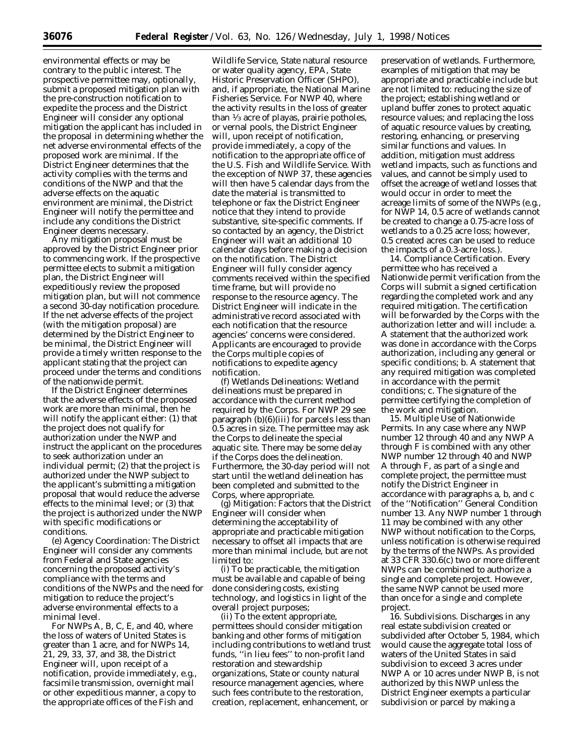environmental effects or may be contrary to the public interest. The prospective permittee may, optionally, submit a proposed mitigation plan with the pre-construction notification to expedite the process and the District Engineer will consider any optional mitigation the applicant has included in the proposal in determining whether the net adverse environmental effects of the proposed work are minimal. If the District Engineer determines that the activity complies with the terms and conditions of the NWP and that the adverse effects on the aquatic environment are minimal, the District Engineer will notify the permittee and include any conditions the District Engineer deems necessary.

Any mitigation proposal must be approved by the District Engineer prior to commencing work. If the prospective permittee elects to submit a mitigation plan, the District Engineer will expeditiously review the proposed mitigation plan, but will not commence a second 30-day notification procedure. If the net adverse effects of the project (with the mitigation proposal) are determined by the District Engineer to be minimal, the District Engineer will provide a timely written response to the applicant stating that the project can proceed under the terms and conditions of the nationwide permit.

If the District Engineer determines that the adverse effects of the proposed work are more than minimal, then he will notify the applicant either: (1) that the project does not qualify for authorization under the NWP and instruct the applicant on the procedures to seek authorization under an individual permit; (2) that the project is authorized under the NWP subject to the applicant's submitting a mitigation proposal that would reduce the adverse effects to the minimal level; or (3) that the project is authorized under the NWP with specific modifications or conditions.

(e) *Agency Coordination:* The District Engineer will consider any comments from Federal and State agencies concerning the proposed activity's compliance with the terms and conditions of the NWPs and the need for mitigation to reduce the project's adverse environmental effects to a minimal level.

For NWPs A, B, C, E, and 40, where the loss of waters of United States is greater than 1 acre, and for NWPs 14, 21, 29, 33, 37, and 38, the District Engineer will, upon receipt of a notification, provide immediately, e.g., facsimile transmission, overnight mail or other expeditious manner, a copy to the appropriate offices of the Fish and

Wildlife Service, State natural resource or water quality agency, EPA, State Historic Preservation Officer (SHPO), and, if appropriate, the National Marine Fisheries Service. For NWP 40, where the activity results in the loss of greater than 1⁄3 acre of playas, prairie potholes, or vernal pools, the District Engineer will, upon receipt of notification, provide immediately, a copy of the notification to the appropriate office of the U.S. Fish and Wildlife Service. With the exception of NWP 37, these agencies will then have 5 calendar days from the date the material is transmitted to telephone or fax the District Engineer notice that they intend to provide substantive, site-specific comments. If so contacted by an agency, the District Engineer will wait an additional 10 calendar days before making a decision on the notification. The District Engineer will fully consider agency comments received within the specified time frame, but will provide no response to the resource agency. The District Engineer will indicate in the administrative record associated with each notification that the resource agencies' concerns were considered. Applicants are encouraged to provide the Corps multiple copies of notifications to expedite agency notification.

(f) *Wetlands Delineations:* Wetland delineations must be prepared in accordance with the current method required by the Corps. For NWP 29 see paragraph (b)(6)(iii) for parcels less than 0.5 acres in size. The permittee may ask the Corps to delineate the special aquatic site. There may be some delay if the Corps does the delineation. Furthermore, the 30-day period will not start until the wetland delineation has been completed and submitted to the Corps, where appropriate.

(g) *Mitigation:* Factors that the District Engineer will consider when determining the acceptability of appropriate and practicable mitigation necessary to offset all impacts that are more than minimal include, but are not limited to:

(i) To be practicable, the mitigation must be available and capable of being done considering costs, existing technology, and logistics in light of the overall project purposes;

(ii) To the extent appropriate, permittees should consider mitigation banking and other forms of mitigation including contributions to wetland trust funds, ''in lieu fees'' to non-profit land restoration and stewardship organizations, State or county natural resource management agencies, where such fees contribute to the restoration, creation, replacement, enhancement, or

preservation of wetlands. Furthermore, examples of mitigation that may be appropriate and practicable include but are not limited to: reducing the size of the project; establishing wetland or upland buffer zones to protect aquatic resource values; and replacing the loss of aquatic resource values by creating, restoring, enhancing, or preserving similar functions and values. In addition, mitigation must address wetland impacts, such as functions and values, and cannot be simply used to offset the acreage of wetland losses that would occur in order to meet the acreage limits of some of the NWPs (e.g., for NWP 14, 0.5 acre of wetlands cannot be created to change a 0.75-acre loss of wetlands to a 0.25 acre loss; however, 0.5 created acres can be used to reduce the impacts of a 0.3-acre loss.).

14. Compliance Certification. Every permittee who has received a Nationwide permit verification from the Corps will submit a signed certification regarding the completed work and any required mitigation. The certification will be forwarded by the Corps with the authorization letter and will include: a. A statement that the authorized work was done in accordance with the Corps authorization, including any general or specific conditions; b. A statement that any required mitigation was completed in accordance with the permit conditions; c. The signature of the permittee certifying the completion of the work and mitigation.

15. Multiple Use of Nationwide Permits. In any case where any NWP number 12 through 40 and any NWP A through F is combined with any other NWP number 12 through 40 and NWP A through F, as part of a single and complete project, the permittee must notify the District Engineer in accordance with paragraphs a, b, and c of the ''Notification'' General Condition number 13. Any NWP number 1 through 11 may be combined with any other NWP without notification to the Corps, unless notification is otherwise required by the terms of the NWPs. As provided at 33 CFR 330.6(c) two or more different NWPs can be combined to authorize a single and complete project. However, the same NWP cannot be used more than once for a single and complete project.

16. Subdivisions. Discharges in any real estate subdivision created or subdivided after October 5, 1984, which would cause the aggregate total loss of waters of the United States in said subdivision to exceed 3 acres under NWP A or 10 acres under NWP B, is not authorized by this NWP unless the District Engineer exempts a particular subdivision or parcel by making a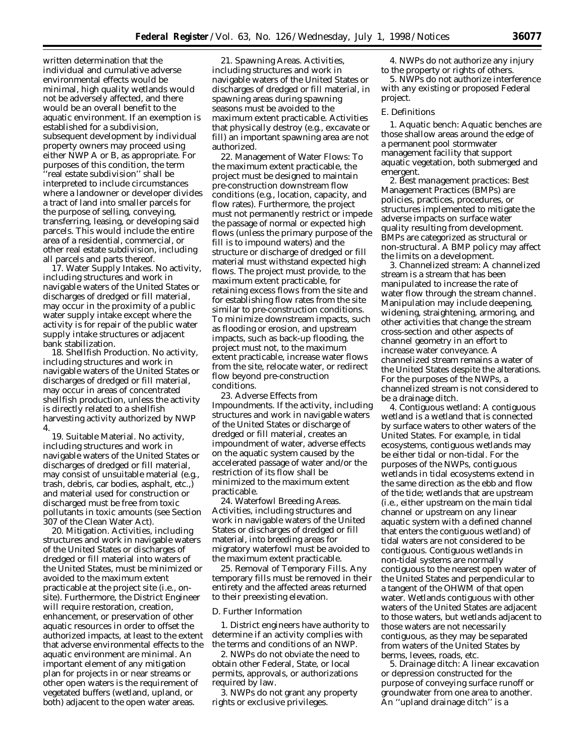written determination that the individual and cumulative adverse environmental effects would be minimal, high quality wetlands would not be adversely affected, and there would be an overall benefit to the aquatic environment. If an exemption is established for a subdivision, subsequent development by individual property owners may proceed using either NWP A or B, as appropriate. For purposes of this condition, the term 'real estate subdivision'' shall be interpreted to include circumstances where a landowner or developer divides a tract of land into smaller parcels for the purpose of selling, conveying, transferring, leasing, or developing said parcels. This would include the entire area of a residential, commercial, or other real estate subdivision, including all parcels and parts thereof.

17. Water Supply Intakes. No activity, including structures and work in navigable waters of the United States or discharges of dredged or fill material, may occur in the proximity of a public water supply intake except where the activity is for repair of the public water supply intake structures or adjacent bank stabilization.

18. Shellfish Production. No activity, including structures and work in navigable waters of the United States or discharges of dredged or fill material, may occur in areas of concentrated shellfish production, unless the activity is directly related to a shellfish harvesting activity authorized by NWP 4.

19. Suitable Material. No activity, including structures and work in navigable waters of the United States or discharges of dredged or fill material, may consist of unsuitable material (e.g., trash, debris, car bodies, asphalt, etc.,) and material used for construction or discharged must be free from toxic pollutants in toxic amounts (see Section 307 of the Clean Water Act).

20. Mitigation. Activities, including structures and work in navigable waters of the United States or discharges of dredged or fill material into waters of the United States, must be minimized or avoided to the maximum extent practicable at the project site (i.e., onsite). Furthermore, the District Engineer will require restoration, creation, enhancement, or preservation of other aquatic resources in order to offset the authorized impacts, at least to the extent that adverse environmental effects to the aquatic environment are minimal. An important element of any mitigation plan for projects in or near streams or other open waters is the requirement of vegetated buffers (wetland, upland, or both) adjacent to the open water areas.

21. Spawning Areas. Activities, including structures and work in navigable waters of the United States or discharges of dredged or fill material, in spawning areas during spawning seasons must be avoided to the maximum extent practicable. Activities that physically destroy (e.g., excavate or fill) an important spawning area are not authorized.

22. Management of Water Flows: To the maximum extent practicable, the project must be designed to maintain pre-construction downstream flow conditions (e.g., location, capacity, and flow rates). Furthermore, the project must not permanently restrict or impede the passage of normal or expected high flows (unless the primary purpose of the fill is to impound waters) and the structure or discharge of dredged or fill material must withstand expected high flows. The project must provide, to the maximum extent practicable, for retaining excess flows from the site and for establishing flow rates from the site similar to pre-construction conditions. To minimize downstream impacts, such as flooding or erosion, and upstream impacts, such as back-up flooding, the project must not, to the maximum extent practicable, increase water flows from the site, relocate water, or redirect flow beyond pre-construction conditions.

23. Adverse Effects from Impoundments. If the activity, including structures and work in navigable waters of the United States or discharge of dredged or fill material, creates an impoundment of water, adverse effects on the aquatic system caused by the accelerated passage of water and/or the restriction of its flow shall be minimized to the maximum extent practicable.

24. Waterfowl Breeding Areas. Activities, including structures and work in navigable waters of the United States or discharges of dredged or fill material, into breeding areas for migratory waterfowl must be avoided to the maximum extent practicable.

25. Removal of Temporary Fills. Any temporary fills must be removed in their entirety and the affected areas returned to their preexisting elevation.

#### *D. Further Information*

1. District engineers have authority to determine if an activity complies with the terms and conditions of an NWP.

2. NWPs do not obviate the need to obtain other Federal, State, or local permits, approvals, or authorizations required by law.

3. NWPs do not grant any property rights or exclusive privileges.

4. NWPs do not authorize any injury to the property or rights of others.

5. NWPs do not authorize interference with any existing or proposed Federal project.

#### *E. Definitions*

*1. Aquatic bench:* Aquatic benches are those shallow areas around the edge of a permanent pool stormwater management facility that support aquatic vegetation, both submerged and emergent.

*2. Best management practices:* Best Management Practices (BMPs) are policies, practices, procedures, or structures implemented to mitigate the adverse impacts on surface water quality resulting from development. BMPs are categorized as structural or non-structural. A BMP policy may affect the limits on a development.

*3. Channelized stream:* A channelized stream is a stream that has been manipulated to increase the rate of water flow through the stream channel. Manipulation may include deepening, widening, straightening, armoring, and other activities that change the stream cross-section and other aspects of channel geometry in an effort to increase water conveyance. A channelized stream remains a water of the United States despite the alterations. For the purposes of the NWPs, a channelized stream is not considered to be a drainage ditch.

*4. Contiguous wetland:* A contiguous wetland is a wetland that is connected by surface waters to other waters of the United States. For example, in tidal ecosystems, contiguous wetlands may be either tidal or non-tidal. For the purposes of the NWPs, contiguous wetlands in tidal ecosystems extend in the same direction as the ebb and flow of the tide; wetlands that are upstream (i.e., either upstream on the main tidal channel or upstream on any linear aquatic system with a defined channel that enters the contiguous wetland) of tidal waters are not considered to be contiguous. Contiguous wetlands in non-tidal systems are normally contiguous to the nearest open water of the United States and perpendicular to a tangent of the OHWM of that open water. Wetlands contiguous with other waters of the United States are adjacent to those waters, but wetlands adjacent to those waters are not necessarily contiguous, as they may be separated from waters of the United States by berms, levees, roads, etc.

*5. Drainage ditch:* A linear excavation or depression constructed for the purpose of conveying surface runoff or groundwater from one area to another. An ''upland drainage ditch'' is a